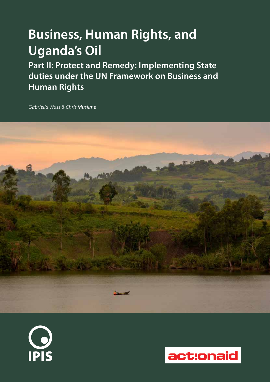# **Business, Human Rights, and Uganda's Oil**

**Part II: Protect and Remedy: Implementing State duties under the UN Framework on Business and Human Rights**

*Gabriella Wass & Chris Musiime*





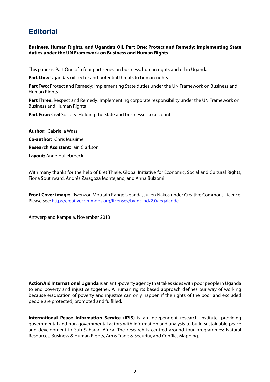## **Editorial**

## **Business, Human Rights, and Uganda's Oil. Part One: Protect and Remedy: Implementing State duties under the UN Framework on Business and Human Rights**

This paper is Part One of a four part series on business, human rights and oil in Uganda:

Part One: Uganda's oil sector and potential threats to human rights

Part Two: Protect and Remedy: Implementing State duties under the UN Framework on Business and Human Rights

**Part Three:** Respect and Remedy: Implementing corporate responsibility under the UN Framework on Business and Human Rights

**Part Four:** Civil Society: Holding the State and businesses to account

**Author:** Gabriella Wass **Co-author:** Chris Musiime **Research Assistant:** Iain Clarkson **Layout:** Anne Hullebroeck

With many thanks for the help of Bret Thiele, Global Initiative for Economic, Social and Cultural Rights, Fiona Southward, Andrés Zaragoza Montejano, and Anna Bulzomi.

**Front Cover image:** Rwenzori Moutain Range Uganda, Julien Nakos under Creative Commons Licence. Please see: http://creativecommons.org/licenses/by-nc-nd/2.0/legalcode

Antwerp and Kampala, November 2013

**ActionAid International Uganda** is an anti-poverty agency that takes sides with poor people in Uganda to end poverty and injustice together. A human rights based approach defines our way of working because eradication of poverty and injustice can only happen if the rights of the poor and excluded people are protected, promoted and fulfilled.

**International Peace Information Service (IPIS)** is an independent research institute, providing governmental and non-governmental actors with information and analysis to build sustainable peace and development in Sub-Saharan Africa. The research is centred around four programmes: Natural Resources, Business & Human Rights, Arms Trade & Security, and Conflict Mapping.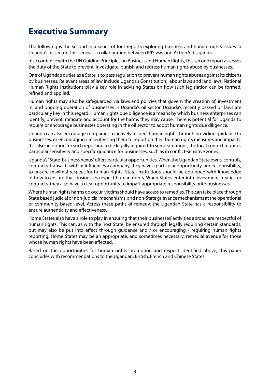## **Executive Summary**

The following is the second in a series of four reports exploring business and human rights issues in Uganda's oil sector. This series is a collaboration between IPIS vsw and ActionAid Uganda.

In accordance with the UN Guiding Principles on Business and Human Rights, this second report assesses the duty of the State to prevent, investigate, punish and redress human rights abuse by businesses.

One of Uganda's duties as a State is to pass regulation to prevent human rights abuses against its citizens by businesses. Relevant areas of law include Uganda's Constitution, labour laws and land laws. National Human Rights Institutions play a key role in advising States on how such legislation can be formed, refined and applied.

Human rights may also be safeguarded via laws and policies that govern the creation of, investment in, and ongoing operation of businesses in Uganda's oil sector. Uganda's recently passed oil laws are particularly key in this regard. Human rights due diligence is a means by which business enterprises can identify, prevent, mitigate and account for the harms they may cause. There is potential for Uganda to require or encourage businesses operating in the oil sector to adopt human rights due diligence.

Uganda can also encourage companies to actively respect human rights through providing guidance to businesses, or encouraging / incentivising them to report on their human rights measures and impacts. It is also an option for such reporting to be legally required. In some situations, the local context requires particular sensitivity and specific guidance for businesses, such as in conflict-sensitive zones.

Uganda's "State-business nexus" offers particular opportunities. When the Ugandan State owns, controls, contracts, transacts with or influences a company, they have a particular opportunity, and responsibility, to ensure maximal respect for human rights. State institutions should be equipped with knowledge of how to ensure that businesses respect human rights. When States enter into investment treaties or contracts, they also have a clear opportunity to impart appropriate responsibility onto businesses.

Where human rights harms do occur, victims should have access to remedies. This can take place through State based judicial or non-judicial mechanisms, and non-State grievance mechanisms at the operational or community-based level. Across these paths of remedy, the Ugandan State has a responsibility to ensure authenticity and effectiveness.

Home States also have a role to play in ensuring that their businesses' activities abroad are respectful of human rights. This can, as with the host State, be ensured through legally requiring certain standards, but may also be put into effect through guidance and / or encouraging / requiring human rights reporting. Home States may be an appropriate, and sometimes necessary, remedial avenue for those whose human rights have been affected.

Based on the opportunities for human rights promotion and respect identified above, this paper concludes with recommendations to the Ugandan, British, French and Chinese States.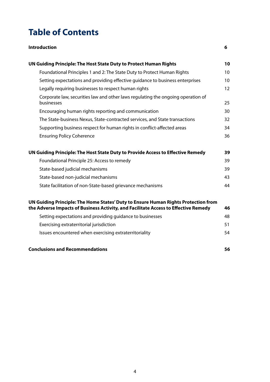## **Table of Contents**

| <b>Introduction</b>                                                                                                                                                       | 6                 |
|---------------------------------------------------------------------------------------------------------------------------------------------------------------------------|-------------------|
| UN Guiding Principle: The Host State Duty to Protect Human Rights                                                                                                         | 10                |
| Foundational Principles 1 and 2: The State Duty to Protect Human Rights                                                                                                   | 10 <sup>°</sup>   |
| Setting expectations and providing effective guidance to business enterprises                                                                                             | 10                |
| Legally requiring businesses to respect human rights                                                                                                                      | $12 \overline{ }$ |
| Corporate law, securities law and other laws regulating the ongoing operation of<br>businesses                                                                            | 25                |
| Encouraging human rights reporting and communication                                                                                                                      | 30                |
| The State-business Nexus, State-contracted services, and State transactions                                                                                               | 32                |
| Supporting business respect for human rights in conflict-affected areas                                                                                                   | 34                |
| <b>Ensuring Policy Coherence</b>                                                                                                                                          | 36                |
| UN Guiding Principle: The Host State Duty to Provide Access to Effective Remedy                                                                                           | 39                |
| Foundational Principle 25: Access to remedy                                                                                                                               | 39                |
| State-based judicial mechanisms                                                                                                                                           | 39                |
| State-based non-judicial mechanisms                                                                                                                                       | 43                |
| State facilitation of non-State-based grievance mechanisms                                                                                                                | 44                |
| UN Guiding Principle: The Home States' Duty to Ensure Human Rights Protection from<br>the Adverse Impacts of Business Activity, and Facilitate Access to Effective Remedy | 46                |
| Setting expectations and providing guidance to businesses                                                                                                                 | 48                |
| Exercising extraterritorial jurisdiction                                                                                                                                  | 51                |
| Issues encountered when exercising extraterritoriality                                                                                                                    | 54                |
| <b>Conclusions and Recommendations</b>                                                                                                                                    | 56                |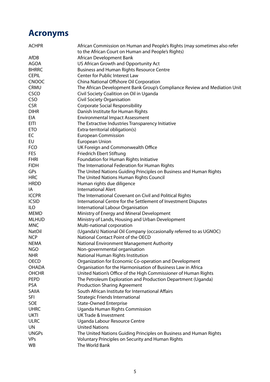## **Acronyms**

| <b>ACHPR</b>  | African Commission on Human and People's Rights (may sometimes also refer<br>to the African Court on Human and People's Rights) |
|---------------|---------------------------------------------------------------------------------------------------------------------------------|
| AfDB          | African Development Bank                                                                                                        |
| <b>AGOA</b>   | US African Growth and Opportunity Act                                                                                           |
| <b>BHRRC</b>  | <b>Business and Human Rights Resource Centre</b>                                                                                |
| <b>CEPIL</b>  | Center for Public Interest Law                                                                                                  |
| <b>CNOOC</b>  | China National Offshore Oil Corporation                                                                                         |
| <b>CRMU</b>   | The African Development Bank Group's Compliance Review and Mediation Unit                                                       |
| CSCO          | Civil Society Coalition on Oil in Uganda                                                                                        |
| <b>CSO</b>    | <b>Civil Society Organisation</b>                                                                                               |
| <b>CSR</b>    | <b>Corporate Social Responsibility</b>                                                                                          |
| <b>DIHR</b>   | Danish Institute for Human Rights                                                                                               |
| EIA           | <b>Environmental Impact Assessment</b>                                                                                          |
| <b>EITI</b>   | The Extractive Industries Transparency Initiative                                                                               |
| <b>ETO</b>    |                                                                                                                                 |
| EC            | Extra-territorial obligation(s)<br><b>European Commission</b>                                                                   |
|               |                                                                                                                                 |
| EU            | <b>European Union</b>                                                                                                           |
| <b>FCO</b>    | UK Foreign and Commonwealth Office                                                                                              |
| <b>FES</b>    | Friedrich Ebert Stiftung                                                                                                        |
| <b>FHRI</b>   | Foundation for Human Rights Initiative                                                                                          |
| <b>FIDH</b>   | The International Federation for Human Rights                                                                                   |
| GPs           | The United Nations Guiding Principles on Business and Human Rights                                                              |
| <b>HRC</b>    | The United Nations Human Rights Council                                                                                         |
| <b>HRDD</b>   | Human rights due diligence                                                                                                      |
| IA            | <b>International Alert</b>                                                                                                      |
| <b>ICCPR</b>  | The International Covenant on Civil and Political Rights                                                                        |
| <b>ICSID</b>  | International Centre for the Settlement of Investment Disputes                                                                  |
| <b>ILO</b>    | International Labour Organisation                                                                                               |
| <b>MEMD</b>   | Ministry of Energy and Mineral Development                                                                                      |
| <b>MLHUD</b>  | Ministry of Lands, Housing and Urban Development                                                                                |
| <b>MNC</b>    | Multi-national corporation                                                                                                      |
| <b>NatOil</b> | (Uganda's) National Oil Company (occasionally referred to as UGNOC)                                                             |
| <b>NCP</b>    | National Contact Point of the OECD                                                                                              |
| <b>NEMA</b>   | National Environment Management Authority                                                                                       |
| <b>NGO</b>    | Non-governmental organisation                                                                                                   |
| <b>NHR</b>    | National Human Rights Institution                                                                                               |
| <b>OECD</b>   | Organization for Economic Co-operation and Development                                                                          |
| <b>OHADA</b>  | Organisation for the Harmonisation of Business Law in Africa                                                                    |
| <b>OHCHR</b>  | United Nation's Office of the High Commissioner of Human Rights                                                                 |
| <b>PEPD</b>   | The Petroleum Exploration and Production Department (Uganda)                                                                    |
| <b>PSA</b>    | <b>Production Sharing Agreement</b>                                                                                             |
| <b>SAIIA</b>  | South African Institute for International Affairs                                                                               |
| <b>SFI</b>    | <b>Strategic Friends International</b>                                                                                          |
| SOE           | <b>State-Owned Enterprise</b>                                                                                                   |
| <b>UHRC</b>   | Uganda Human Rights Commission                                                                                                  |
| <b>UKTI</b>   | <b>UK Trade &amp; Investment</b>                                                                                                |
| <b>ULRC</b>   | Uganda Labour Resource Centre                                                                                                   |
| <b>UN</b>     | <b>United Nations</b>                                                                                                           |
| <b>UNGPs</b>  | The United Nations Guiding Principles on Business and Human Rights                                                              |
| <b>VPs</b>    | Voluntary Principles on Security and Human Rights                                                                               |
| WB            | The World Bank                                                                                                                  |
|               |                                                                                                                                 |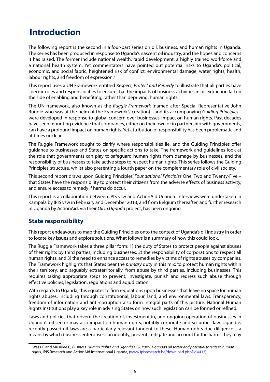## **Introduction**

The following report is the second in a four-part series on oil, business, and human rights in Uganda. The series has been produced in response to Uganda's nascent oil industry, and the hopes and concerns it has raised. The former include national wealth, rapid development, a highly trained workforce and a national health system. Yet commentators have pointed out potential risks to Uganda's political, economic, and social fabric, heightened risk of conflict, environmental damage, water rights, health, labour rights, and freedom of expression.<sup>1</sup>

This report uses a UN Framework entitled *Respect, Protect and Remedy* to illustrate that all parties have specific roles and responsibilities to ensure that the impacts of business activities in oil extraction fall on the side of enabling and benefiting, rather than depriving, human rights.

The UN framework, also known as the *Ruggie Framework* (named after Special Representative John Ruggie who was at the helm of the Framework's creation) - and its accompanying *Guiding Principles* were developed in response to global concern over businesses' impact on human rights. Past decades have seen mounting evidence that companies, either on their own or in partnership with governments, can have a profound impact on human rights. Yet attribution of responsibility has been problematic and at times unclear.

The Ruggie Framework sought to clarify where responsibilities lie, and the Guiding Principles offer guidance to businesses and States on specific actions to take. The framework and guidelines look at the role that governments can play to safeguard human rights from damage by businesses, and the responsibility of businesses to take active steps to respect human rights. This series follows the Guiding Principles' structure, whilst also presenting a fourth paper on the complementary role of civil society.

This second report draws upon Guiding Principles' *Foundational Principles* One, Two and Twenty-Five – that States have the responsibility to protect their citizens from the adverse effects of business activity, and ensure access to remedy if harms do occur.

This report is a collaboration between IPIS vsw and ActionAid Uganda. Interviews were undertaken in Kampala by IPIS vsw in February and December 2013, and from Belgium thereafter, and further research in Uganda by ActionAid, via their *Oil in Uganda* project, has been ongoing.

## **State responsibility**

This report endeavours to map the Guiding Principles onto the context of Uganda's oil industry in order to locate key issues and explore solutions. What follows is a summary of how this could look.

The Ruggie Framework takes a three pillar form: 1) the duty of States to protect people against abuses of their rights by third parties, including businesses; 2) the responsibility of corporations to respect all human rights; and 3) the need to enhance access to remedies by victims of rights abuses by companies. The Framework highlights that States bear the *primary* duty in this mix: to protect human rights within their territory, and arguably extraterritorially, from abuse by third parties, including businesses. This requires taking appropriate steps to prevent, investigate, punish and redress such abuse through effective policies, legislation, regulations and adjudication.

With regards to Uganda, this equates to firm regulations upon businesses that leave no space for human rights abuses, including through constitutional, labour, land, and environmental laws. Transparency, freedom of information and anti-corruption also form integral parts of this picture. National Human Rights Institutions play a key role in advising States on how such legislation can be formed or refined.

Laws and policies that govern the creation of, investment in, and ongoing operation of businesses in Uganda's oil sector may also impact on human rights, notably corporate and securities law. Uganda's recently passed oil laws are a particularly relevant tangent to these. Human rights due diligence – a means by which business enterprises can identify, prevent, mitigate and account for the harms they may

<sup>1</sup> Wass G and Musiime C, *Business, Human Rights, and Uganda's Oil. Part I: Uganda's oil sector and potential threats to human rights*, IPIS Research and ActionAid International Uganda, (www.ipisresearch.be/download.php?id=413).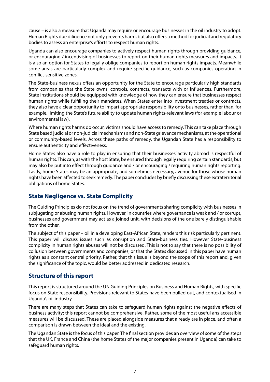cause – is also a measure that Uganda may require or encourage businesses in the oil industry to adopt. Human Rights due diligence not only prevents harm, but also offers a method for judicial and regulatory bodies to assess an enterprise's efforts to respect human rights.

Uganda can also encourage companies to actively respect human rights through providing guidance, or encouraging / incentivising of businesses to report on their human rights measures and impacts. It is also an option for States to legally oblige companies to report on human rights impacts. Meanwhile some areas are particularly complex and require specific guidance, such as companies operating in conflict-sensitive zones.

The State-business nexus offers an opportunity for the State to encourage particularly high standards from companies that the State owns, controls, contracts, transacts with or influences. Furthermore, State institutions should be equipped with knowledge of how they can ensure that businesses respect human rights while fulfilling their mandates. When States enter into investment treaties or contracts, they also have a clear opportunity to impart appropriate responsibility onto businesses, rather than, for example, limiting the State's future ability to update human rights-relevant laws (for example labour or environmental law).

Where human rights harms do occur, victims should have access to remedy. This can take place through State based judicial or non-judicial mechanisms and non-State grievance mechanisms, at the operational or community-based levels. Across these paths of remedy, the Ugandan State has a responsibility to ensure authenticity and effectiveness.

Home States also have a role to play in ensuring that their businesses' activity abroad is respectful of human rights. This can, as with the host State, be ensured through legally requiring certain standards, but may also be put into effect through guidance and / or encouraging / requiring human rights reporting. Lastly, home States may be an appropriate, and sometimes necessary, avenue for those whose human rights have been affected to seek remedy. The paper concludes by briefly discussing these extraterritorial obligations of home States.

## **State Negligence vs. State Complicity**

The Guiding Principles do not focus on the trend of governments sharing complicity with businesses in subjugating or abusing human rights. However, in countries where governance is weak and / or corrupt, businesses and government may act as a joined unit, with decisions of the one barely distinguishable from the other.

The subject of this paper – oil in a developing East-African State, renders this risk particularly pertinent. This paper will discuss issues such as corruption and State-business ties. However State-business complicity in human rights abuses will not be discussed. This is not to say that there is no possibility of collusion between governments and companies, or that the States discussed in this paper have human rights as a constant central priority. Rather, that this issue is beyond the scope of this report and, given the significance of the topic, would be better addressed in dedicated research.

## **Structure of this report**

This report is structured around the UN Guiding Principles on Business and Human Rights, with specific focus on State responsibility. Provisions relevant to States have been pulled out, and contextualised in Uganda's oil industry.

There are many steps that States can take to safeguard human rights against the negative effects of business activity; this report cannot be comprehensive. Rather, some of the most useful ans accessible measures will be discussed. These are placed alongside measures that already are in place, and often a comparison is drawn between the ideal and the existing.

The Ugandan State is the focus of this paper. The final section provides an overview of some of the steps that the UK, France and China (the home States of the major companies present in Uganda) can take to safeguard human rights.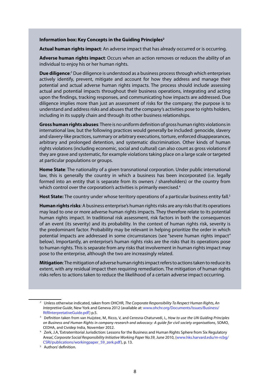#### **Information box: Key Concepts in the Guiding Principles2**

**Actual human rights impact**: An adverse impact that has already occurred or is occurring.

**Adverse human rights impact**: Occurs when an action removes or reduces the ability of an individual to enjoy his or her human rights.

**Due diligence**<sup>3</sup> Due diligence is understood as a business process through which enterprises actively identify, prevent, mitigate and account for how they address and manage their potential and actual adverse human rights impacts. The process should include assessing actual and potential impacts throughout their business operations, integrating and acting upon the findings, tracking responses, and communicating how impacts are addressed. Due diligence implies more than just an assessment of risks for the company; the purpose is to understand and address risks and abuses that the company's activities pose to rights holders, including in its supply chain and through its other business relationships.

**Gross human rights abuses**: There is no uniform definition of gross human rights violations in international law, but the following practices would generally be included: genocide, slavery and slavery-like practices, summary or arbitrary executions, torture, enforced disappearances, arbitrary and prolonged detention, and systematic discrimination. Other kinds of human rights violations (including economic, social and cultural) can also count as gross violations if they are grave and systematic, for example violations taking place on a large scale or targeted at particular populations or groups.

**Home State**: The nationality of a given transnational corporation. Under public international law, this is generally the country in which a business has been incorporated (i.e. legally formed into an entity that is separate from its owners / shareholders) or the country from which control over the corporation's activities is primarily exercised.<sup>4</sup>

Host State: The country under whose territory operations of a particular business entity fall.<sup>5</sup>

**Human rights risks**: A business enterprise's human rights risks are any risks that its operations may lead to one or more adverse human rights impacts. They therefore relate to its potential human rights impact. In traditional risk assessment, risk factors in both the consequences of an event (its severity) and its probability. In the context of human rights risk, severity is the predominant factor. Probability may be relevant in helping prioritize the order in which potential impacts are addressed in some circumstances (see "severe human rights impact" below). Importantly, an enterprise's human rights risks are the risks that its operations pose to human rights. This is separate from any risks that involvement in human rights impact may pose to the enterprise, although the two are increasingly related.

**Mitigation**: The mitigation of adverse human rights impact refers to actions taken to reduce its extent, with any residual impact then requiring remediation. The mitigation of human rights risks refers to actions taken to reduce the likelihood of a certain adverse impact occurring.

<sup>2</sup> Unless otherwise indicated, taken from OHCHR, *The Corporate Responsibility To Respect Human Rights, An Interpretive Guide*, New York and Geneva 2012 (available at: www.ohchr.org/Documents/Issues/Business/

RtRInterpretativeGuide.pdf) p.5. 3 Definition taken from van Huijstee, M, Ricco, V, and Ceresna-Chaturvedi, L, *How to use the UN Guiding Principles on Business and Human Rights in company research and advocacy: A guide for civil society organisations*, SOMO, CEDHA, and Cividep India, November 2012.

<sup>4</sup> Zerk, J.A, 'Extraterritorial Jurisdiction: Lessons for the Business and Human Rights Sphere from Six Regulatory Areas', *Corporate Social Responsibility Initiative Working Paper No.59*, June 2010, (www.hks.harvard.edu/m-rcbg/ CSRI/publications/workingpaper\_59\_zerk.pdf), p. 13.

<sup>&</sup>lt;sup>5</sup> Authors' definition.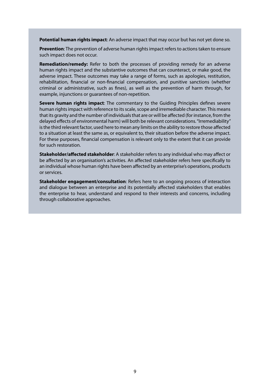**Potential human rights impact**: An adverse impact that may occur but has not yet done so.

**Prevention**: The prevention of adverse human rights impact refers to actions taken to ensure such impact does not occur.

**Remediation/remedy:** Refer to both the processes of providing remedy for an adverse human rights impact and the substantive outcomes that can counteract, or make good, the adverse impact. These outcomes may take a range of forms, such as apologies, restitution, rehabilitation, financial or non-financial compensation, and punitive sanctions (whether criminal or administrative, such as fines), as well as the prevention of harm through, for example, injunctions or guarantees of non-repetition.

**Severe human rights impact**: The commentary to the Guiding Principles defines severe human rights impact with reference to its scale, scope and irremediable character. This means that its gravity and the number of individuals that are or will be affected (for instance, from the delayed effects of environmental harm) will both be relevant considerations. "Irremediability" is the third relevant factor, used here to mean any limits on the ability to restore those affected to a situation at least the same as, or equivalent to, their situation before the adverse impact. For these purposes, financial compensation is relevant only to the extent that it can provide for such restoration.

**Stakeholder/affected stakeholder**: A stakeholder refers to any individual who may affect or be affected by an organisation's activities. An affected stakeholder refers here specifically to an individual whose human rights have been affected by an enterprise's operations, products or services.

**Stakeholder engagement/consultation**: Refers here to an ongoing process of interaction and dialogue between an enterprise and its potentially affected stakeholders that enables the enterprise to hear, understand and respond to their interests and concerns, including through collaborative approaches.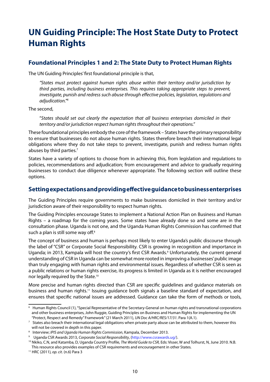## **UN Guiding Principle: The Host State Duty to Protect Human Rights**

## **Foundational Principles 1 and 2: The State Duty to Protect Human Rights**

The UN Guiding Principles' first foundational principle is that,

*"States must protect against human rights abuse within their territory and/or jurisdiction by third parties, including business enterprises. This requires taking appropriate steps to prevent, investigate, punish and redress such abuse through effective policies, legislation, regulations and adjudication."6*

The second,

"*States should set out clearly the expectation that all business enterprises domiciled in their territory and/or jurisdiction respect human rights throughout their operations."*

These foundational principles embody the core of the framework – States have the primary responsibility to ensure that businesses do not abuse human rights. States therefore breach their international legal obligations where they do not take steps to prevent, investigate, punish and redress human rights abuses by third parties.7

States have a variety of options to choose from in achieving this, from legislation and regulations to policies, recommendations and adjudication; from encouragement and advice to gradually requiring businesses to conduct due diligence whenever appropriate. The following section will outline these options.

## **Setting expectations and providing effective guidance to business enterprises**

The Guiding Principles require governments to make businesses domiciled in their territory and/or jurisdiction aware of their responsibility to respect human rights.

The Guiding Principles encourage States to implement a National Action Plan on Business and Human Rights – a roadmap for the coming years. Some states have already done so and some are in the consultation phase. Uganda is not one, and the Uganda Human Rights Commission has confirmed that such a plan is still some way off.<sup>8</sup>

The concept of business and human is perhaps most likely to enter Uganda's public discourse through the label of "CSR" or Corporate Social Responsibility. CSR is growing in recognition and importance in Uganda; in 2013, Kampala will host the country's first CSR Awards.<sup>9</sup> Unfortunately, the current general understanding of CSR in Uganda can be somewhat more rooted in improving a businesses' public image than truly engaging with human rights and environmental issues. Regardless of whether CSR is seen as a public relations or human rights exercise, its progress is limited in Uganda as it is neither encouraged nor legally required by the State.<sup>10</sup>

More precise and human rights directed than CSR are specific guidelines and guidance materials on business and human rights.11 Issuing guidance both signals a baseline standard of expectation, and ensures that specific national issues are addressed. Guidance can take the form of methods or tools,

<sup>6</sup> Human Rights Council (1), "Special Representative of the Secretary-General on human rights and transnational corporations and other business enterprises, John Ruggie, Guiding Principles on Business and Human Rights for implementing the UN "Protect, Respect and Remedy" Framework" (21 March 2011), *UN Doc A/HRC/RES/17/31*. Para 1(A.1).

 $7$  States also breach their international legal obligations when private party abuse can be attributed to them, however this will not be covered in depth in this paper.<br><sup>8</sup> Interview; *IPIS and Uganda Human Rights Commission*, Kampala, December 2013.

<sup>&</sup>lt;sup>9</sup> Uganda CSR Awards 2013, Corporate Social Responsibility, (http://www.csrawards.ug/).

<sup>10</sup> Nkiko, C.N, and Katamba, D, Uganda Country Profile, *The World Guide to CSR,* Eds: Visser, W and Tolhurst, N, June 2010. N.B. This resource also provides examples of CSR requirements and encouragement in other States.

<sup>11</sup> HRC (2011)*, op. cit*. (n.6) Para 3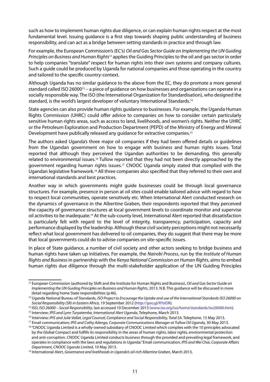such as how to implement human rights due diligence, or can explain human rights respect at the most fundamental level. Issuing guidance is a first step towards shaping public understanding of business responsibility, and can act as a bridge between setting standards in practice and through law.

For example, the European Commission's (EC's) *Oil and Gas Sector Guide on Implementing the UN Guiding Principles on Business and Human Rights*12 applies the Guiding Principles to the oil and gas sector in order to help companies "translate" respect for human rights into their own systems and company cultures. Such a guide could be produced by Uganda for national companies and those operating in the country and tailored to the specific country-context.

Although Uganda has no similar guidance to the above from the EC, they do promote a more general standard called ISO 26000<sup>13</sup> – a piece of quidance on how businesses and organizations can operate in a socially responsible way. The ISO (the International Organization for Standardisation), who designed the standard, is the world's largest developer of voluntary International Standards.14

State agencies can also provide human rights guidance to businesses. For example, the Uganda Human Rights Commission (UHRC) could offer advice to companies on how to consider certain particularly sensitive human rights areas, such as access to land, livelihoods, and women's rights. Neither the UHRC or the Petroleum Exploration and Production Department (PEPD) of the Ministry of Energy and Mineral Development have publically released any quidance for extractive companies.<sup>15</sup>

The authors asked Uganda's three major oil companies if they had been offered details or guidelines from the Ugandan government on how to engage with business and human rights issues. Total reported that although they perceived the Ugandan authorities to be demanding, this generally related to environmental issues.<sup>16</sup> Tullow reported that they had not been directly approached by the government regarding human rights issues.<sup>17</sup> CNOOC Uganda simply stated that complied with the Ugandan legislative framework.18 All three companies also specified that they referred to their own and international standards and best practices.

Another way in which governments might guide businesses could be through local governance structures. For example, presence in person at oil sites could enable tailored advice with regard to how to respect local communities, operate sensitively etc. When International Alert conducted research on the dynamics of governance in the Albertine Graben, their respondents reported that they perceived the capacity of governance structures at local government levels to coordinate monitor and supervise oil activities to be inadequate.19 At the sub-county level, International Alert reported that dissatisfaction is particularly felt with regard to the level of integrity, transparency, participation, capacity and performance displayed by the leadership. Although these civil society perceptions might not necessarily reflect what local government has delivered to oil companies, they do suggest that there may be more that local governments could do to advise companies on site-specific issues.

In place of State guidance, a number of civil society and other actors seeking to bridge business and human rights have taken up initiatives. For example, the *Nairobi Process*, run by the *Institute of Human Rights and Business* in partnership with the *Kenya National Commission on Human Rights*, aims to embed human rights due diligence through the multi-stakeholder application of the UN Guiding Principles

<sup>12</sup> European Commission (authored by Shift and the Institute for Human Rights and Business), *Oil and Gas Sector Guide on Implementing the UN Guiding Principles on Business and Human Rights*, 2013. N.B. This guidance will be discussed in more detail regarding home State responsibilities (p.46).

<sup>&</sup>lt;sup>13</sup> Uganda National Bureau of Standards, *ISO Project to Encourage the Uptake and use of the International Standards ISO 26000 on Social Responsibility (SR) in Eastern Africa*, 19 September 2012 (http://goo.gl/RYsIDR).

<sup>14</sup> ISO, *ISO 26000 – Social Responsibility*, last accessed 10 December 2013 (www.iso.org/iso/home/standards/iso26000.htm).

<sup>15</sup> Interview; *IPIS and Lynn Turyatemba, International Alert Uganda*, Telephone, March 2013.

<sup>&</sup>lt;sup>16</sup> Interview; IPIS and Julie Vallat, Legal Councel, Compliance and Social Responsibility, Total SA. Telephone. 15 May 2013.

<sup>&</sup>lt;sup>17</sup> Email communication; *IPIS and Cathy Adengo, Corporate Communications Manager at Tullow Oil Uganda*, 30 May 2013.

<sup>&</sup>lt;sup>18</sup> "CNOOC Uganda Limited is a wholly-owned subsidiary of CNOOC Limited which complies with the 10 principles advocated by the Global Compact and fulfills its responsibility in the areas of human rights, labor rights, environmental protection and anti-corruption. CNOOC Uganda Limited conducts business through the provided and prevailing legal framework, and operates in compliance with the laws and regulations in Uganda." Email communication; *IPIS and Wei Chai, Corporate Affairs* 

*Department, CNOOC Uganda Limited*, 10 May 2013. 19 International Alert, *Governance and livelihoods in Uganda's oil-rich Albertine Graben*, March 2013.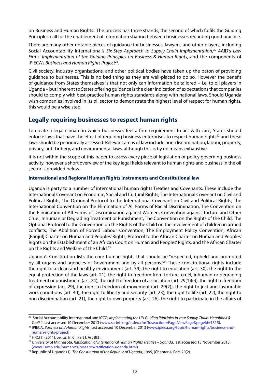on Business and Human Rights. The process has three strands, the second of which fulfils the Guiding Principles' call for the enablement of information sharing between businesses regarding good practice.

There are many other notable pieces of guidance for businesses, lawyers, and other players, including Social Accountability International's *Six-Step Approach to Supply Chain Implementation*, 20 4AID's *Law Firms' Implementation of the Guiding Principles on Business & Human Rights*, and the components of IPIECA's *Business and Human Rights Project*21.

Civil society, industry organisations, and other political bodies have taken up the baton of providing guidance to businesses. This is no bad thing as they are well-placed to do so. However the benefit of guidance from States themselves is that not only can information be tailored – i.e. to oil players in Uganda – but inherent to States offering guidance is the clear indication of expectations that companies should to comply with best-practice human rights standards along with national laws. Should Uganda wish companies involved in its oil sector to demonstrate the highest level of respect for human rights, this would be a wise step.

## **Legally requiring businesses to respect human rights**

To create a legal climate in which businesses feel a firm requirement to act with care, States should enforce laws that have the effect of requiring business enterprises to respect human rights<sup>22</sup> and these laws should be periodically assessed. Relevant areas of law include non-discrimination, labour, property, privacy, anti-bribery, and environmental laws, although this is by no means exhaustive.

It is not within the scope of this paper to assess every piece of legislation or policy governing business activity, however a short overview of the key legal fields relevant to human rights and business in the oil sector is provided below.

#### **International and Regional Human Rights Instruments and Constitutional law**

Uganda is party to a number of international human rights Treaties and Covenants. These include the International Covenant on Economic, Social and Cultural Rights, The International Covenant on Civil and Political Rights, The Optional Protocol to the International Covenant on Civil and Political Rights, The International Convention on the Elimination of All Forms of Racial Discrimination, The Convention on the Elimination of All Forms of Discrimination against Women, Convention against Torture and Other Cruel, Inhuman or Degrading Treatment or Punishment, The Convention on the Rights of the Child, The Optional Protocol to the Convention on the Rights of the Child on the involvement of children in armed conflicts, The Abolition of Forced Labour Convention, The Employment Policy Convention, African [Banjul] Charter on Human and Peoples' Rights, Protocol to the African Charter on Human and Peoples' Rights on the Establishment of an African Court on Human and Peoples' Rights, and the African Charter on the Rights and Welfare of the Child.<sup>23</sup>

Uganda's Constitution lists the core human rights that should be "respected, upheld and promoted by all organs and agencies of Government and by all persons."<sup>24</sup> These constitutional rights include the right to a clean and healthy environment (art. 39), the right to education (art. 30), the right to the equal protection of the laws (art. 21), the right to freedom from torture, cruel, inhuman or degrading treatment or punishment (art. 24), the right to freedom of association (art. 29(1)(e)), the right to freedom of expression (art. 29), the right to freedom of movement (art. 29(2)), the right to just and favourable work conditions (art. 40), the right to liberty and security (art. 23), the right to life (art. 22), the right to non discrimination (art. 21), the right to own property (art. 26), the right to participate in the affairs of

<sup>20</sup> Social Accountability International and ICCO, *Implementing the UN Guiding Principles in your Supply Chain: Handbook & Toolkit*, last accessed 10 December 2013 (www.sa-intl.org/index.cfm?fuseaction=Page.ViewPage&pageId=1315).

<sup>21</sup> IPIECA, *Business and Human Rights*, last accessed 10 December 2013 (www.ipieca.org/topic/human-rights/business-andhuman-rights-project).

<sup>22</sup> HRC(1) (2011)*, op. cit*. (n.6). Part I. Art B(3).

<sup>23</sup> University of Minnesota, *Ratification of International Human Rights Treaties – Uganda*, last accessed 13 November 2013, (www1.umn.edu/humanrts/research/ratification-uganda.html).

<sup>24</sup> Republic of Uganda (1), *The Constitution of the Republic of Uganda*, 1995, (Chapter 4, Para 20(2).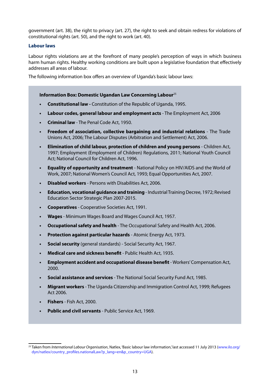government (art. 38), the right to privacy (art. 27), the right to seek and obtain redress for violations of constitutional rights (art. 50), and the right to work (art. 40).

### **Labour laws**

Labour rights violations are at the forefront of many people's perception of ways in which business harm human rights. Healthy working conditions are built upon a legislative foundation that effectively addresses all areas of labour.

The following information box offers an overview of Uganda's basic labour laws:

### **Information Box: Domestic Ugandan Law Concerning Labour**<sup>25</sup>

- **Constitutional law Constitution of the Republic of Uganda, 1995.**
- **Labour codes, general labour and employment acts** The Employment Act, 2006
- **Criminal law** The Penal Code Act, 1950.
- **Freedom of association, collective bargaining and industrial relations The Trade** Unions Act, 2006; The Labour Disputes (Arbitration and Settlement) Act, 2006.
- **• Elimination of child labour, protection of children and young persons** Children Act, 1997; Employment (Employment of Children) Regulations, 2011; National Youth Council Act; National Council for Children Act, 1996.
- **Equality of opportunity and treatment** National Policy on HIV/AIDS and the World of Work, 2007; National Women's Council Act, 1993; Equal Opportunities Act, 2007.
- **Disabled workers** Persons with Disabilities Act, 2006.
- **Education, vocational guidance and training** Industrial Training Decree, 1972; Revised Education Sector Strategic Plan 2007-2015.
- **Cooperatives** Cooperative Societies Act, 1991.
- **Wages** Minimum Wages Board and Wages Council Act, 1957.
- **Occupational safety and health** The Occupational Safety and Health Act, 2006.
- **Protection against particular hazards** Atomic Energy Act, 1973.
- **• Social security** (general standards) Social Security Act, 1967.
- **Medical care and sickness benefit** Public Health Act, 1935.
- **• Employment accident and occupational disease benefit** Workers' Compensation Act, 2000.
- **Social assistance and services** The National Social Security Fund Act, 1985.
- **• Migrant workers** The Uganda Citizenship and Immigration Control Act, 1999; Refugees Act 2006.
- **Fishers** Fish Act, 2000.
- **Public and civil servants** Public Service Act, 1969.

<sup>25</sup> Taken from *International Labour Organisation*, Natlex, 'Basic labour law information,' last accessed 11 July 2013 (www.ilo.org/ dyn/natlex/country\_profiles.nationalLaw?p\_lang=en&p\_country=UGA).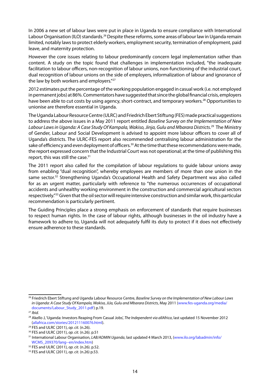In 2006 a new set of labour laws were put in place in Uganda to ensure compliance with International Labour Organisation (ILO) standards.<sup>26</sup> Despite these reforms, some areas of labour law in Uganda remain limited, notably laws to protect elderly workers, employment security, termination of employment, paid leave, and maternity protection.

However the core issues relating to labour predominantly concern legal implementation rather than content. A study on the topic found that challenges in implementation included, "the inadequate facilitation to labour officers, non-recognition of labour unions, non-functioning of the industrial court, dual recognition of labour unions on the side of employers, informalization of labour and ignorance of the law by both workers and employers."<sup>27</sup>

2012 estimates put the percentage of the working population engaged in casual work (i.e. not employed in permanent jobs) at 86%. Commentators have suggested that since the global financial crisis, employers have been able to cut costs by using agency, short-contract, and temporary workers.<sup>28</sup> Opportunities to unionise are therefore essential in Uganda.

The Uganda Labour Resource Centre (ULRC) and Friedrich Ebert Stiftung (FES) made practical suggestions to address the above issues in a May 2011 report entitled *Baseline Survey on the Implementation of New Labour Laws in Uganda: A Case Study Of Kampala, Wakiso, Jinja, Gulu and Mbarara Districts*. 29 The Ministry of Gender, Labour and Social Development is advised to appoint more labour officers to cover all of Uganda's districts. The ULRC-FES report also recommended centralising labour administration for the sake of efficiency and even deployment of officers.<sup>30</sup> At the time that these recommendations were made, the report expressed concern that the Industrial Court was not operational; at the time of publishing this report, this was still the case.<sup>31</sup>

The 2011 report also called for the compilation of labour regulations to guide labour unions away from enabling "dual recognition", whereby employees are members of more than one union in the same sector.<sup>32</sup> Strengthening Uganda's Occupational Health and Safety Department was also called for as an urgent matter, particularly with reference to "the numerous occurrences of occupational accidents and unhealthy working environment in the construction and commercial agricultural sectors respectively."<sup>33</sup> Given that the oil sector will require intensive construction and similar work, this particular recommendation is particularly pertinent.

The Guiding Principles place a strong emphasis on enforcement of standards that require businesses to respect human rights. In the case of labour rights, although businesses in the oil industry have a framework to adhere to, Uganda will not adequately fulfil its duty to protect if it does not effectively ensure adherence to these standards.

<sup>26</sup> Friedrich Ebert Stiftung and Uganda Labour Resource Centre, *Baseline Survey on the Implementation of New Labour Laws in Uganda: A Case Study Of Kampala, Wakiso, JiJa, Gulu and Mbarara Districts*, May 2011 (www.fes-uganda.org/media/ documents/Labour\_Study\_2011.pdf) p.19.

<sup>27</sup> *Ibid.*

<sup>28</sup> Akello J, 'Uganda: Investors Reaping From Casual Jobs', *The Independent via allAfrica*, last updated 15 November 2012 (allafrica.com/stories/201211160076.html).

<sup>29</sup> FES and ULRC (2011), *op. cit.* (n.26).

<sup>30</sup> FES and ULRC (2011), *op. cit.* (n.26). p.51

<sup>31</sup> International Labour Organisation, *LAB/ADMIN Uganda*, last updated 4 March 2013, (www.ilo.org/labadmin/info/ WCMS\_209370/lang--en/index.htm)

<sup>32</sup> FES and ULRC (2011), *op. cit.* (n.26). p.52.

<sup>33</sup> FES and ULRC (2011), *op. cit.* (n.26) p.53.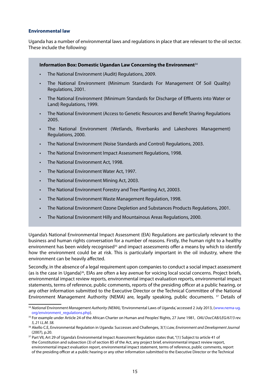#### **Environmental law**

Uganda has a number of environmental laws and regulations in place that are relevant to the oil sector. These include the following:

#### **Information Box: Domestic Ugandan Law Concerning the Environment**<sup>34</sup>

- The National Environment (Audit) Regulations, 2009.
- The National Environment (Minimum Standards For Management Of Soil Quality) Regulations, 2001.
- The National Environment (Minimum Standards for Discharge of Effluents into Water or Land) Regulations, 1999.
- The National Environment (Access to Genetic Resources and Benefit Sharing Regulations 2005.
- The National Environment (Wetlands, Riverbanks and Lakeshores Management) Regulations, 2000.
- The National Environment (Noise Standards and Control) Regulations, 2003.
- The National Environment Impact Assessment Regulations, 1998.
- The National Environment Act, 1998.
- The National Environment Water Act, 1997.
- The National Environment Mining Act, 2003.
- The National Environment Forestry and Tree Planting Act, 20003.
- The National Environment Waste Management Regulation, 1998.
- The National Environment Ozone Depletion and Substances Products Regulations, 2001.
- The National Environment Hilly and Mountainous Areas Regulations, 2000.

Uganda's National Environmental Impact Assessment (EIA) Regulations are particularly relevant to the business and human rights conversation for a number of reasons. Firstly, the human right to a healthy environment has been widely recognised<sup>35</sup> and impact assessments offer a means by which to identify how the environment could be at risk. This is particularly important in the oil industry, where the environment can be heavily affected.

Secondly, in the absence of a legal requirement upon companies to conduct a social impact assessment (as is the case in Uganda)<sup>36</sup>, EIAs are often a key avenue for voicing local social concerns. Project briefs, environmental impact review reports, environmental impact evaluation reports, environmental impact statements, terms of reference, public comments, reports of the presiding officer at a public hearing, or any other information submitted to the Executive Director or the Technical Committee of the National Environment Management Authority (NEMA) are, legally speaking, public documents. <sup>37</sup> Details of

<sup>&</sup>lt;sup>34</sup> National Environment Management Authority (NEMA), 'Environmental Laws of Uganda,' accessed 2 July 2013, (www.nema-ug. org/environment\_regulations.php).

<sup>35</sup> For example under Article 24 of the African Charter on Human and Peoples' Rights, 27 June 1981, *OAU DocCAB/LEG/67/3 rev. 5, 21 I.L.M. 58.*

<sup>36</sup> Akello C.E, Environmental Regulation in Uganda: Successes and Challenges, 3(1) *Law, Environment and Development Journal*  (2007), p.20.

<sup>&</sup>lt;sup>37</sup> Part VII, Art 29 of Uganda's Environmental Impact Assessment Regulation states that, "(1) Subject to article 41 of the Constitution and subsection (3) of section 85 of the Act, any project brief, environmental impact review report, environmental impact evaluation report, environmental impact statement, terms of reference, public comments, report of the presiding officer at a public hearing or any other information submitted to the Executive Director or the Technical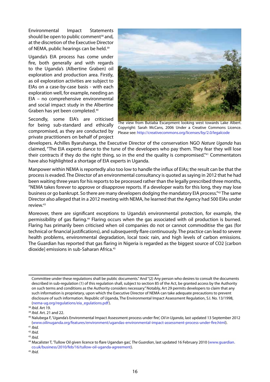Environmental Impact Statements should be open to public comment<sup>38</sup> and, at the discretion of the Executive Director of NEMA, public hearings can be held.<sup>39</sup>

Uganda's EIA process has come under fire, both generally and with regards to the Uganda's (Albertine Graben) oil exploration and production area. Firstly, as oil exploration activities are subject to EIAs on a case-by-case basis - with each exploration well, for example, needing an EIA – no comprehensive environmental and social impact study in the Albertine Graben has yet been completed.40

Secondly, some EIA's are criticised for being sub-standard and ethically compromised, as they are conducted by private practitioners on behalf of project



The view from Butiaba Escarpment looking west towards Lake Albert. Copyright: Sarah McCans, 2006 Under a Creative Commons Licence. Please see: http://creativecommons.org/licenses/by/2.0/legalcode

developers. Achilles Byaruhanga, the Executive Director of the conservation NGO *Nature Uganda* has claimed, "The EIA experts dance to the tune of the developers who pay them. They fear they will lose their contracts if they do the right thing, so in the end the quality is compromised."41 Commentators have also highlighted a shortage of EIA experts in Uganda.

Manpower within NEMA is reportedly also too low to handle the influx of EIAs; the result can be that the process is evaded. The Director of an environmental consultancy is quoted as saying in 2012 that he had been waiting three years for his reports to be processed rather than the legally prescribed three months, "NEMA takes forever to approve or disapprove reports. If a developer waits for this long, they may lose business or go bankrupt. So there are many developers dodging the mandatory EIA process."42 The same Director also alleged that in a 2012 meeting with NEMA, he learned that the Agency had 500 EIAs under review.43

Moreover, there are significant exceptions to Uganda's environmental protection, for example, the permissibility of gas flaring.44 Flaring occurs when the gas associated with oil production is burned. Flaring has primarily been criticised when oil companies do not or cannot commoditise the gas (for technical or financial justifications), and subsequently flare continuously. The practice can lead to severe health problems, environmental degradation, local toxic rain, and high levels of carbon emissions. The Guardian has reported that gas flaring in Nigeria is regarded as the biggest source of CO2 [carbon dioxide] emissions in sub-Saharan Africa.45

Committee under these regulations shall be public documents." And "(2) Any person who desires to consult the documents described in sub-regulation (1) of this regulation shall, subject to section 85 of the Act, be granted access by the Authority on such terms and conditions as the Authority considers necessary." Notably, Art 29 permits developers to claim that any such information is proprietary, upon which the Executive Director of NEMA can take adequate precautions to prevent disclosure of such information. Republic of Uganda, The Environmental Impact Assessment Regulation, S.I. No. 13/1998, (nema-ug.org/regulations/eia\_egulations.pdf).

<sup>38</sup> *Ibid.* Art 19.

<sup>&</sup>lt;sup>39</sup> *Ibid.* Art. 21 and 22.<br><sup>40</sup> Nalubega F, 'Uganda's Environmental Impact Assessment process under fire', *Oil in Uganda*, last updated 13 September 2012 (www.oilinuganda.org/features/environment/ugandas-environmental-impact-assessment-process-under-fire.html). 41 *Ibid.*

<sup>42</sup> *Ibid.*

<sup>43</sup> *Ibid.*

<sup>44</sup> Macalister T, 'Tullow Oil given licence to flare Ugandan gas', *The Guardian*, last updated 16 February 2010 (www.guardian. co.uk/business/2010/feb/16/tullow-oil-uganda-agreement). 45 *Ibid.*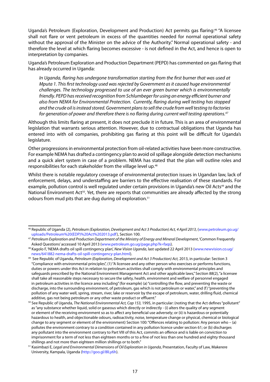Uganda's Petroleum (Exploration, Development and Production) Act permits gas flaring:<sup>46</sup> "A licensee shall not flare or vent petroleum in excess of the quantities needed for normal operational safety without the approval of the Minister on the advice of the Authority." Normal operational safety - and therefore the level at which flaring becomes excessive - is not defined in the Act, and hence is open to interpretation by companies.

Uganda's Petroleum Exploration and Production Department (PEPD) has commented on gas flaring that has already occurred in Uganda:

*In Uganda, flaring has undergone transformation starting from the first burner that was used at Mputa 1. This first technology used was rejected by Government as it caused huge environmental challenges. The technology progressed to use of an ever green burner which is environmentally friendly. PEPD has received recognition from Schlumbeger for using an energy efficient burner and also from NEMA for Environmental Protection. Currently, flaring during well testing has stopped and the crude oil is instead stored. Government plans to sell the crude from well testing to factories for generation of power and therefore there is no flaring during current well testing operations.47*

Although this limits flaring at present, it does not preclude it in future. This is an area of environmental legislation that warrants serious attention. However, due to contractual obligations that Uganda has entered into with oil companies, prohibiting gas flaring at this point will be difficult for Uganda's legislature.

Other progressions in environmental protection from oil-related activities have been more constructive. For example NEMA has drafted a contingency plan to avoid oil spillage alongside detection mechanisms and a quick alert system in case of a problem. NEMA has stated that the plan will outline roles and responsibilities for each stakeholder from the village level up.<sup>48</sup>

Whilst there is notable regulatory coverage of environmental protection issues in Ugandan law, lack of enforcement, delays, and understaffing are barriers to the effective realisation of these standards. For example, pollution control is well regulated under certain provisions in Uganda's new Oil Acts<sup>49</sup> and the National Environment Act<sup>50</sup>. Yet, there are reports that communities are already affected by the strong odours from mud pits that are dug during oil exploration.51

<sup>46</sup> Republic of Uganda (2), *Petroleum (Exploration, Development and Act 3 Production) Act, 4 April 2013*, (www.petroleum.go.ug/ uploads/Petroleum%20(EDP)%20Act%202013.pdf), Section 100.

<sup>47</sup> *Petroleum Exploration and Production Department of the Ministry of Energy and Mineral Development*, 'Common Frequently Asked Questions' accessed 10 April 2013 (www.petroleum.go.ug/page.php?k=faqs).

<sup>48</sup> Kagolo F, 'NEMA drafts oil spill contingency plan', *New Vision Uganda*, last updated 22 April 2013 (www.newvision.co.ug/ news/641882-nema-drafts-oil-spill-contingency-plan.html).

<sup>49</sup> See Republic of Uganda, *Petroleum (Exploration, Development and Act 3 Production) Act,* 2013, in particular: Section 3 "Compliance with environmental principles", (1) "A licensee and any other person who exercises or performs functions, duties or powers under this Act in relation to petroleum activities shall comply with environmental principles and safeguards prescribed by the National Environment Management Act and other applicable laws," Section 88(2), "a licensee shall take all reasonable steps necessary to secure the safety, health, environment and welfare of personnel engaged in petroleum activities in the licence area including" (for example) (a) "controlling the flow, and preventing the waste or discharge, into the surrounding environment, of petroleum, gas which is not petroleum or water," and (f) "preventing the pollution of any water well, spring, stream, river, lake or reservoir by the escape of petroleum, water, drilling fluid, chemical additive, gas not being petroleum or any other waste product or effluent."

<sup>50</sup> See Republic of Uganda, *The National Environmental Act, Cap 153,* 1995, in particular: (noting that the Act defines "pollutant" as "any substance whether liquid, solid or gaseous which directly or indirectly - (i) alters the quality of any segment or element of the receiving environment so as to affect any beneficial use adversely; or (ii) is hazardous or potentially hazardous to health, and objectionable odours, radioactivity, noise, temperature change or physical, chemical or biological change to any segment or element of the environment) Section 100: "Offences relating to pollution: Any person who – (a) pollutes the environment contrary to a condition contained in any pollution licence under section 61; or (b) discharges any pollutant into the environment contrary to Part VIII of this Act, commits an offence and is liable on conviction to imprisonment for a term of not less than eighteen months or to a fine of not less than one hundred and eighty thousand shillings and not more than eighteen million shillings or to both."

<sup>51</sup> Kasimbazi E, *Legal and Environmental Dimensions of Oil Exploration in Uganda*, Presentation, Faculty of Law, Makerere University, Kampala, Uganda (http://goo.gl/8lLy6h).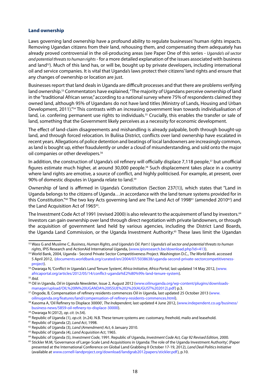#### **Land ownership**

Laws governing land ownership have a profound ability to regulate businesses' human rights impacts. Removing Ugandan citizens from their land, rehousing them, and compensating them adequately has already proved controversial in the oil-producing areas (see Paper One of this series - *Uganda's oil sector and potential threats to human rights* - for a more detailed explanation of the issues associated with business and land<sup>52</sup>). Much of this land has, or will be, bought up by private developers, including international oil and service companies. It is vital that Uganda's laws protect their citizens' land rights and ensure that any changes of ownership or location are just.

Businesses report that land deals in Uganda are difficult processes and that there are problems verifying land ownership.<sup>53</sup> Commentators have explained, "The majority of Ugandans perceive ownership of land in the "traditional African sense," according to a national survey where 75% of respondents claimed they owned land, although 95% of Ugandans do not have land titles (Ministry of Lands, Housing and Urban Development, 2011)."54 This contrasts with an increasing government lean towards individualisation of land, i.e. confering permanent use rights to individuals.<sup>55</sup> Crucially, this enables the transfer or sale of land, something that the Government likely perceives as a necessity for economic development.

The effect of land-claim disagreements and mishandling is already palpable, both through bought-up land, and through forced relocation. In Buliisa District, conflicts over land ownership have escalated in recent years. Allegations of police detention and beatings of local landowners are increasingly common, as land is bought up, either fraudulently or under a cloud of misunderstanding, and sold onto the major oil companies or other developers.<sup>56</sup>

In addition, the construction of Uganda's oil refinery will officially displace 7,118 people,<sup>57</sup> but unofficial figures estimate much higher, at around 30,000 people.58 Such displacement takes place in a country where land rights are emotive, a source of conflict, and highly politicised. For example, at present, over 90% of domestic disputes in Uganda relate to land.<sup>59</sup>

Ownership of land is affirmed in Uganda's Constitution (Section 237(1)), which states that "Land in Uganda belongs to the citizens of Uganda…in accordance with the land tenure systems provided for in this Constitution."<sup>60</sup> The two key Acts governing land are The Land Act of 1998<sup>61</sup> (amended 2010<sup>62</sup>) and the Land Acquisition Act of 1965<sup>63</sup>.

The Investment Code Act of 1991 (revised 2000) is also relevant to the acquirement of land by investors.<sup>64</sup> Investors can gain ownership over land through direct negotiation with private landowners, or through the acquisition of government land held by various agencies, including the District Land Boards, the Uganda Land Commission, or the Uganda Investment Authority.<sup>65</sup> These laws limit the Ugandan

<sup>52</sup> Wass G and Musiime C, *Business, Human Rights, and Uganda's Oil. Part I: Uganda's oil sector and potential threats to human rights*, IPIS Research and ActionAid International Uganda, (www.ipisresearch.be/download.php?id=413).

<sup>53</sup> World Bank, 2004, Uganda - Second Private Sector Competitiveness Project. Washington D.C., *The World Bank*. accessed 5 April 2012, (documents.worldbank.org/curated/en/2004/07/5038638/uganda-second-private-sectorcompetitivenessproject).

<sup>54</sup> Owaraga N, 'Conflict in Uganda's Land Tenure System', *Africa Initiative, Africa Portal*, last updated 14 May 2012, (www. africaportal.org/articles/2012/05/14/conflict-uganda%E2%80%99s-land-tenure-system). <sup>55</sup> *Ibid.*

<sup>56</sup> Oil in Uganda, *Oil in Uganda Newsletter*, Issue 2, August 2012 (www.oilinuganda.org/wp-content/plugins/downloadsmanager/upload/OIL%20IN%20UGANDA%20ISSUE%202%20(AUGUST%202012).pdf) p.3.

<sup>57</sup> Ongode, B, Compensation of refinery residents commences Oil in Uganda, last updated 25 October 2013 (www. oilinuganda.org/features/land/compensation-of-refinery-residents-commences.html).

<sup>&</sup>lt;sup>58</sup> Kasoma A, 'Oil Refinery to Displace 30000', The Independent, last updated 4 June 2012, (www.independent.co.ug/business/ business-news/5859-oil-refinery-to-displace-30000).

<sup>59</sup> Owaraga N (2012), *op. cit.* (n.54).

<sup>60</sup> Republic of Uganda (1), *op.cit.* (n.24). N.B. These tenure systems are: customary, freehold, mailo and leasehold.

<sup>61</sup> Republic of Uganda (2), *Land Act*, 1998.

<sup>62</sup> Republic of Uganda (3), *Land (Amendment) Act*, 6 January 2010.

<sup>63</sup> Republic of Uganda (4), *Land Acquisition Act*, 1965.

<sup>64</sup> Republic of Uganda (5), *Investment Code*, 1991. Republic of Uganda, *Investment Code Act, Cap 92 Revised Edition,* 2000.

<sup>&</sup>lt;sup>65</sup> Stickler M.M, 'Governance of Large-Scale Land Acquisitions in Uganda: The role of the Uganda Investment Authority', (Paper presented at the International Conference on Global Land Grabbing II October 17‐19, 2012), *Land Deal Politics Initiative* (available at www.cornell-landproject.org/download/landgrab2012papers/stickler.pdf), p.10.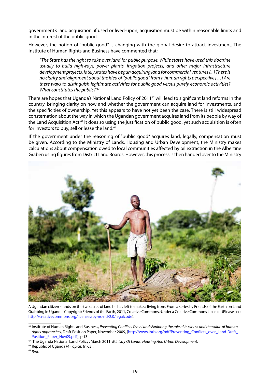government's land acquisition: if used or lived-upon, acquisition must be within reasonable limits and in the interest of the public good.

However, the notion of "public good" is changing with the global desire to attract investment. The Institute of Human Rights and Business have commented that:

*"The State has the right to take over land for public purpose. While states have used this doctrine usually to build highways, power plants, irrigation projects, and other major infrastructure development projects, lately states have begun acquiring land for commercial ventures [...] There is no clarity and alignment about the idea of "public good" from a human rights perspective […] Are there ways to distinguish legitimate activities for public good versus purely economic activities? What constitutes the public?"*<sup>66</sup>

There are hopes that Uganda's National Land Policy of 2011<sup>67</sup> will lead to significant land reforms in the country, bringing clarity on how and whether the government can acquire land for investments, and the specificities of ownership. Yet this appears to have not yet been the case. There is still widespread consternation about the way in which the Ugandan government acquires land from its people by way of the Land Acquisition Act.<sup>68</sup> It does so using the justification of public good, yet such acquisition is often for investors to buy, sell or lease the land.<sup>69</sup>

If the government under the reasoning of "public good" acquires land, legally, compensation must be given. According to the Ministry of Lands, Housing and Urban Development, the Ministry makes calculations about compensation owed to local communities affected by oil extraction in the Albertine Graben using figures from District Land Boards. However, this process is then handed over to the Ministry



A Ugandan citizen stands on the two acres of land he has left to make a living from. From a series by Friends of the Earth on Land Grabbing in Uganda. Copyright: Friends of the Earth, 2011, Creative Commons. Under a Creative Commons Licence. (Please see: http://creativecommons.org/licenses/by-nc-nd/2.0/legalcode).

<sup>66</sup> Institute of Human Rights and Business, *Preventing Conflicts Over Land: Exploring the role of business and the value of human rights approaches*, Draft Position Paper, November 2009, (http://www.ihrb.org/pdf/Preventing\_Conflicts\_over\_Land-Draft\_ Position\_Paper\_Nov09.pdf), p.13. 67 'The Uganda National Land Policy', March 2011, *Ministry Of Lands, Housing And Urban Development.*

<sup>68</sup> Republic of Uganda (4), *op.cit.* (n.63).

<sup>69</sup> *Ibid.*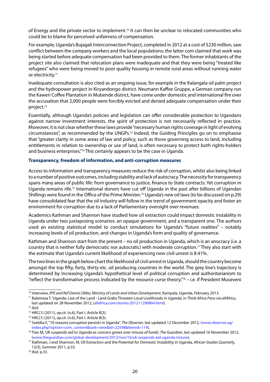of Energy and the private sector to implement.<sup>70</sup> It can then be unclear to relocated communities who could be to blame for perceived unfairness of compensation.

For example, Uganda's Bujagali Interconnection Project, completed in 2012 at a cost of \$230 million, saw conflict between the company workers and the local populations; the latter com claimed that work was being started before adequate compensation had been provided to them. The former inhabitants of the project site also claimed that relocation plans were inadequate and that they were being "treated like refugees" who were being moved to poor quality housing in remote rural areas without running water or electricity.<sup>71</sup>

Inadequate consultation is also cited as an ongoing issue, for example in the Kalangala oil palm project and the hydropower project in Kiryandongo district. Neumann Kaffee Gruppe, a German company run the Kaweri Coffee Plantation in Mubende district, have come under domestic and international fire over the accusation that 2,000 people were forcibly evicted and denied adequate compensation under their project.<sup>72</sup>

Essentially, although Uganda's policies and legislation can offer considerable protection to Ugandans against narrow investment interests, the spirit of protection is not necessarily reflected in practice. Moreover, it is not clear whether these laws provide "necessary human rights coverage in light of evolving circumstances", as recommended by the UNGPs.73 Indeed, the Guiding Principles go on to emphasise that "greater clarity in some areas of law and policy, such as those governing access to land, including entitlements in relation to ownership or use of land, is often necessary to protect both rights-holders and business enterprises."74 This certainly appears to be the case in Uganda.

## **Transparency, freedom of information, and anti-corruption measures**

Access to information and transparency measures reduce the risk of corruption, whilst also being linked to a number of positive outcomes, including stability and lack of autocracy. The necessity for transparency spans many areas of public life: from governance to justice, finance to State contracts. Yet corruption in Uganda remains rife.75 International donors have cut off Uganda in the past after billions of Ugandan Shillings were found in the Office of the Prime Minister.<sup>76</sup> Uganda's new oil laws (to be discussed on p.29) have consolidated fear that the oil industry will follow in the trend of government opacity and foster an environment for corruption due to a lack of Parliamentary oversight over revenues.

Academics Kathman and Shannon have studied how oil extraction could impact domestic instability in Uganda under two juxtaposing scenarios: an opaque government, and a transparent one. The authors used an existing statistical model to conduct simulations for Uganda's "future realities" – notably increasing levels of oil production, and changes in Uganda's form and quality of governance.

Kathman and Shannon start from the present – no oil production in Uganda, which is an anocracy (i.e. a country that is neither fully democratic nor autocratic) with moderate corruption.<sup>77</sup> They also start with the estimate that Uganda's current likelihood of experiencing new civil unrest is 8.41%.

The two lines in the graph below chart the likelihood of civil unrest in Uganda, should the country become amongst the top fifty, forty, thirty etc. oil producing countries in the world. The grey line's trajectory is determined by increasing Uganda's hypothetical level of political corruption and authoritarianism to "reflect the transformative process indicated by the resource curse theory, $\frac{n}{8}$  – i.e. if President Museveni

<sup>&</sup>lt;sup>70</sup> Interview, IPIS *and Ref Dennis Obbo, Ministry of Lands and Urban Development,* Kampala, Uganda, February 2013.<br><sup>71</sup> Balemesa T, 'Uganda: Law of the Land - Land Grabs Threaten Local Livelihoods in Uganda', in *Think A* last updated on 28 November 2012, (allafrica.com/stories/201211290864.html).

<sup>72</sup> *Ibid.*

<sup>73</sup> HRC(1) (2011), *op.cit*. (n.6), Part I. Article B(3).

<sup>74</sup> HRC(1) (2011), *op.cit*. (n.6), Part I. Article B(3).

<sup>75</sup> Ssekika E, "10 reasons corruption persists in Uganda", *The Observer*, last updated 12 December 2012, (www.observer.ug/ index.php?option=com\_content&task=view&id=22598&Itemid=114). 76 Tran M, 'UK suspends aid to Uganda as concern grows over misuse of funds', *The Guardian*, last updated 16 November 2012,

<sup>(</sup>www.theguardian.com/global-development/2012/nov/16/uk-suspends-aid-uganda-misuse).

<sup>77</sup> Kathman, J and Shannon, M, Oil Extraction and the Potential for Domestic Instability in Uganda*, African Studies Quarterly,* 12(3), Summer 2011, p.33.

<sup>78</sup> *Ibid.* p.33.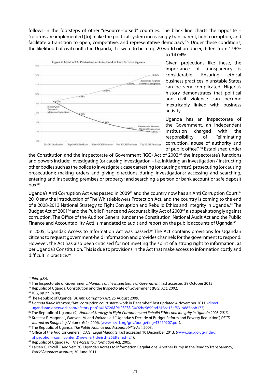follows in the footsteps of other "resource-cursed" countries. The black line charts the opposite -"reforms are implemented [to] make the political system increasingly transparent, fight corruption, and facilitate a transition to open, competitive, and representative democracy.<sup>"79</sup> Under these conditions, the likelihood of civil conflict in Uganda, if it were to be a top 20 world oil producer, differs from 1.96%



to 14.04%.

Given projections like these, the importance of transparency is considerable. Ensuring ethical business practices in unstable States can be very complicated. Nigeria's history demonstrates that political and civil violence can become inextricably linked with business activity.

Uganda has an Inspectorate of the Government, an independent institution charged with the responsibility of "eliminating corruption, abuse of authority and of public office." 80 Established under

the Constitution and the Inspectorate of Government (IGG) Act of 2002,<sup>81</sup> the Inspectorate's functions and powers include: investigating (or causing investigation – i.e. initiating an investigation / instructing other bodies such as the police to investigate a case); arresting (or causing arrest); prosecuting (or causing prosecution); making orders and giving directions during investigations; accessing and searching, entering and inspecting premises or property; and searching a person or bank account or safe deposit  $box<sub>.82</sub>$ 

Uganda's Anti Corruption Act was passed in 2009<sup>83</sup> and the country now has an Anti Corruption Court.<sup>84</sup> 2010 saw the introduction of The Whistleblowers Protection Act, and the country is coming to the end of a 2008-2013 National Strategy to Fight Corruption and Rebuild Ethics and Integrity in Uganda.<sup>85</sup> The Budget Act of 2001<sup>86</sup> and the Public Finance and Accountability Act of 2003<sup>87</sup> also speak strongly against corruption. The Office of the Auditor General (under the Constitution, National Audit Act and the Public Finance and Accountability Act) is mandated to audit and report on the public accounts of Uganda.<sup>88</sup>

In 2005, Uganda's Access to Information Act was passed.<sup>89</sup> The Act contains provisions for Ugandan citizens to request government-held information and provides channels for the government to respond. However, the Act has also been criticised for not meeting the spirit of a strong right to information, as per Uganda's Constitution. This is due to provisions in the Act that make access to information costly and difficult in practice.<sup>90</sup>

80 The Inspectorate of Government, *Mandate of the Inspectorate of Government*, last accessed 29 October 2013.

<sup>79</sup> *Ibid.* p.34.

<sup>81</sup> Republic of Uganda, Constitution and the Inspectorate of Government (IGG) Act, 2002.

<sup>82</sup> IGG, *op.cit.* (n.80).

<sup>83</sup>The Republic of Uganda (8), *Anti Corruption Act*, 25 August 2009.

<sup>84</sup> *Uganda Radio Network*, "Anti corruption court starts work in December", last updated 4 November 2011, (direct. ugandaradionetwork.com/a/story.php?s=18726&PHPSESSID=92bc5699bd245ae13af5319885b6b177).

<sup>85</sup> The Republic of Uganda (9), *National Strategy to Fight Corruption and Rebuild Ethics and Integrity In Uganda 2008-2013*.

<sup>86</sup> Kuteesa F, Magona I, Wanyera M, and Wokadala J, "Uganda: A Decade of Budget Reform and Poverty Reduction", *OECD Journal on Budgeting*, Volume 6(2), 2006, (www.oecd.org/gov/budgeting/43470207.pdf).

<sup>87</sup> The Republic of Uganda, *The Public Finance and Accountability Act*, 2003.

<sup>88</sup> Office of the Auditor General (OAG), *Legal Mandate*, last accessed 10 December 2013, (www.oag.go.ug/index. php?option=com\_content&view=article&id=26&Itemid=24).

<sup>89</sup> Republic of Uganda (6), *The Access to Information Act*, 2005.

<sup>90</sup> Larsen G, Excell C and Veit P.G, Uganda's Access to Information Regulations: Another Bump in the Road to Transparency, *World Resources Institute*, 30 June 2011.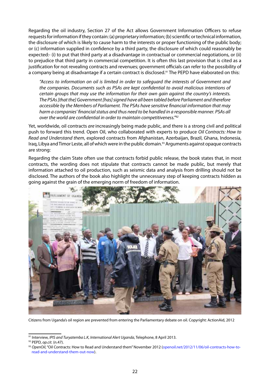Regarding the oil industry, Section 27 of the Act allows Government Information Officers to refuse requests for information if they contain: (a) proprietary information; (b) scientific or technical information, the disclosure of which is likely to cause harm to the interests or proper functioning of the public body; or (c) information supplied in confidence by a third party, the disclosure of which could reasonably be expected:- (i) to put that third party at a disadvantage in contractual or commercial negotiations, or (ii) to prejudice that third party in commercial competition. It is often this last provision that is cited as a justification for not revealing contracts and revenues; government officials can refer to the possibility of a company being at disadvantage if a certain contract is disclosed.<sup>91</sup> The PEPD have elaborated on this:

*"Access to information on oil is limited in order to safeguard the interests of Government and the companies. Documents such as PSAs are kept confidential to avoid malicious intentions of certain groups that may use the information for their own gain against the country's interests. The PSAs [that the] Government [has] signed have all been tabled before Parliament and therefore accessible by the Members of Parliament. The PSAs have sensitive financial information that may harm a companies' financial status and thus need to be handled in a responsible manner. PSAs all over the world are confidential in order to maintain competitiveness."92*

Yet, worldwide, oil contracts *are* increasingly being made public, and there is a strong civil and political push to forward this trend. Open Oil, who collaborated with experts to produce *Oil Contracts: How to Read and Understand them*, explored contracts from Afghanistan, Azerbaijan, Brazil, Ghana, Indonesia, Iraq, Libya and Timor Leste, all of which were in the public domain.<sup>93</sup> Arguments against opaque contracts are strong:

Regarding the claim State often use that contracts forbid public release, the book states that, in most contracts, the wording does not stipulate that contracts cannot be made public, but merely that information attached to oil production, such as seismic data and analysis from drilling should not be disclosed. The authors of the book also highlight the unnecessary step of keeping contracts hidden as going against the grain of the emerging norm of freedom of information.



Citizens from Uganda's oil region are prevented from entering the Parliamentary debate on oil. Copyright: ActionAid, 2012

<sup>91</sup> Interview, *IPIS and Turyatemba L.K, International Alert Uganda*, Telephone, 8 April 2013.

<sup>92</sup> PEPD, *op.cit.* (n.47).

<sup>93</sup> *OpenOil*, "Oil Contracts: How to Read and Understand them" November 2012 (openoil.net/2012/11/06/oil-contracts-how-toread-and-understand-them-out-now).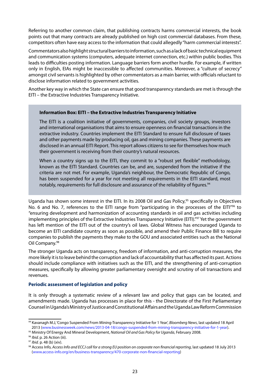Referring to another common claim, that publishing contracts harms commercial interests, the book points out that many contracts are already published on high cost commercial databases. From these, competitors often have easy access to the information that could allegedly "harm commercial interests".

Commentators also highlight structural barriers to information, such as a lack of basic technical equipment and communication systems (computers, adequate internet connection, etc.) within public bodies. This leads to difficulties posting information. Language barriers form another hurdle. For example, if written only in English, EIAs might be inaccessible to affected communities. Moreover, a "culture of secrecy" amongst civil servants is highlighted by other commentators as a main barrier, with officials reluctant to disclose information related to government activities.

Another key way in which the State can ensure that good transparency standards are met is through the EITI – the Extractive Industries Transparency Initiative.

#### **Information Box: EITI – the Extractive Industries Transparency Initiative**

The EITI is a coalition initiative of governments, companies, civil society groups, investors and international organisations that aims to ensure openness on financial transactions in the extractive industry. Countries implement the EITI Standard to ensure full disclosure of taxes and other payments made by producing oil, gas and mining companies. These payments are disclosed in an annual EITI Report. This report allows citizens to see for themselves how much their government is receiving from their country's natural resources.

When a country signs up to the EITI, they commit to a "robust yet flexible" methodology, known as the EITI Standard. Countries can be, and are, suspended from the initiative if the criteria are not met. For example, Uganda's neighbour, the Democratic Republic of Congo, has been suspended for a year for not meeting all requirements in the EITI standard, most notably, requirements for full disclosure and assurance of the reliability of figures.<sup>94</sup>

Uganda has shown some interest in the EITI. In its 2008 Oil and Gas Policy,<sup>95</sup> specifically in Objectives No. 6 and No. 7, references to the EITI range from "participating in the processes of the EITI"<sup>96</sup> to "ensuring development and harmonization of accounting standards in oil and gas activities including implementing principles of the Extractive Industries Transparency Initiative (EITI)."<sup>97</sup> Yet the government has left mention of the EITI out of the country's oil laws. Global Witness has encouraged Uganda to become an EITI candidate country as soon as possible, and amend their Public Finance Bill to require companies to publish the payments they make to the GOU and associated entities such as the National Oil Company.98

The stronger Uganda acts on transparency, freedom of information, and anti-corruption measures, the more likely it is to leave behind the corruption and lack of accountability that has affected its past. Actions should include compliance with initiatives such as the EITI, and the strengthening of anti-corruption measures, specifically by allowing greater parliamentary oversight and scrutiny of oil transactions and revenues.

## **Periodic assessment of legislation and policy**

It is only through a systematic review of a relevant law and policy that gaps can be located, and amendments made. Uganda has processes in place for this - the Directorate of the First Parliamentary Counsel in Uganda's Ministry of Justice and Constitutional Affairs and the Uganda Law Reform Commission

95 Ministry Of Energy And Mineral Development, *National Oil and Gas Policy for Uganda*, February 2008.

<sup>94</sup> Kavanagh M.J, 'Congo Suspended From Mining-Transparency Initiative for 1 Year', *Bloomberg News*, last updated 18 April 2013 (www.businessweek.com/news/2013-04-18/congo-suspended-from-mining-transparency-initiative-for-1-year).

<sup>96</sup> *Ibid.* p. 26 Action (iii).

<sup>&</sup>lt;sup>97</sup> Ibid. p. 48 (b) (xiv).<br><sup>98</sup> Access Info, *Access Info and ECCJ call for a strong EU position on corporate non financial reporting, last updated 18 July 2013* (www.access-info.org/en/business-transparency/470-corporate-non-financial-reporting)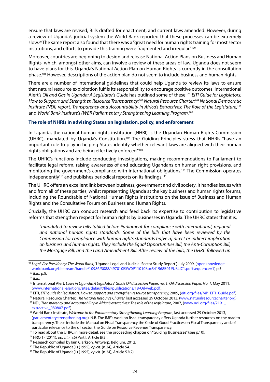ensure that laws are revised, Bills drafted for enactment, and current laws amended. However, during a review of Uganda's judicial system the World Bank reported that these processes can be extremely slow.99 The same report also found that there was a "great need for human rights training for most sector institutions, and efforts to provide this training were fragmented and irregular."<sup>100</sup>

Moreover, countries are beginning to design and release National Action Plans on Business and Human Rights, which, amongst other aims, can involve a review of these areas of law. Uganda does not seem to have plans for this. Uganda's National Action Plan on Human Rights is currently in the consultation phase.101 However, descriptions of the action plan do not seem to include business and human rights.

There are a number of international guidelines that could help Uganda to review its laws to ensure that natural resource exploitation fulfils its responsibility to encourage positive outcomes. International Alert's *Oil and Gas in Uganda: A Legislator's Guide* has outlined some of these:102 *EITI Guide for Legislators: How to Support and Strengthen Resource Transparency;*103 *Natural Resource Charter;104 National Democratic Institute (NDI) report, Transparency and Accountability in Africa's Extractives: The Role of the Legislature;*<sup>105</sup> and *World Bank Institute's (WBI) Parliamentary Strengthening Learning Program.*<sup>106</sup>

#### **The role of NHRIs in advising States on legislation, policy, and enforcement**

In Uganda, the national human rights institution (NHRI) is the Ugandan Human Rights Commission (UHRC), mandated by Uganda's Constitution.<sup>107</sup> The Guiding Principles stress that NHRIs "have an important role to play in helping States identify whether relevant laws are aligned with their human rights obligations and are being effectively enforced."108

The UHRC's functions include conducting investigations, making recommendations to Parliament to facilitate legal reform, raising awareness of and educating Ugandans on human right provisions, and monitoring the government's compliance with international obligations.<sup>109</sup> The Commission operates independently<sup>110</sup> and publishes periodical reports on its findings.<sup>111</sup>

The UHRC offers an excellent link between business, government and civil society. It handles issues with and from all of these parties, whilst representing Uganda at the key business and human rights forums, including the Roundtable of National Human Rights Institutions on the Issue of Business and Human Rights and the Consultative Forum on Business and Human Rights.

Crucially, the UHRC can conduct research and feed back its expertise to contribution to legislative reforms that strengthen respect for human rights by businesses in Uganda. The UHRC states that it is,

*"mandated to review bills tabled before Parliament for compliance with international, regional and national human rights standards. Some of the bills that have been reviewed by the Commission for compliance with human rights standards ha[ve a] direct or indirect implication on business and human rights. They include the Equal Opportunities Bill; the Anti-Corruption Bill; the Mortgage Bill; and the Land Amendment Bill. After review of the bills, the UHRC followed up* 

<sup>99</sup> *Legal Vice Presidency: The World Bank*, "Uganda Legal and Judicial Sector Study Report", July 2009, (openknowledge. worldbank.org/bitstream/handle/10986/3088/497010ESW0P11010Box341968B01PUBLIC1.pdf?sequence=1) p.5.

<sup>100</sup> *Ibid.* p.5.

<sup>101</sup> *Ibid.*

<sup>102</sup> International Alert, *Laws in Uganda: A Legislators' Guide Oil discussion Paper, no. 1, Oil discussion Paper, No. 1,* May 2011, (www.international-alert.org/sites/default/files/publications/18-Oil-web.pdf).

<sup>&</sup>lt;sup>103</sup> EITI, *EITI quide for legislators: How to support and strengthen resource transparency, 2009, (eiti.org/files/MP\_EITI\_Guide.pdf).* 

<sup>104</sup> Natural Resource Charter, *The Natural Resource Charter*, last accessed 29 October 2013, (www.naturalresourcecharter.org). <sup>105</sup> NDI, *Transparency and accountability in Africa's extractives: The role of the legislature, 2007, (www.ndi.org/files/2191* extractive\_080807.pdf).

<sup>106</sup> World Bank Institute, *Welcome to the Parliamentary Strengthening Learning Program*, last accessed 29 October 2013, (parliamentarystrengthening.org). N.B. The IMF's work on fiscal transparency offers Uganda further resources on the road to transparency. These include the Manual on Fiscal Transparency the Code of Good Practices on Fiscal Transparency and, of particular relevance to the oil sector, the Guide on Resource Revenue Transparency.

<sup>&</sup>lt;sup>107</sup> To read about the UHRC in more detail, see the proceeding chapter on "Guiding Businesses" (see p.10).

<sup>108</sup> HRC(1) (2011)*, op. cit*. (n.6) Part I. Article B(3).

<sup>109</sup> Research compiled by Iain Clarkson, Antwerp, Belgium, 2012.

<sup>110</sup> The Republic of Uganda(1) (1995), *op.cit.* (n.24), Article 54.

<sup>111</sup> The Republic of Uganda(1) (1995), *op.cit.* (n.24), Article 52(2).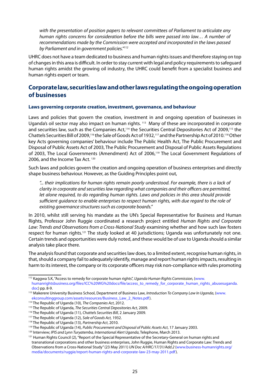*with the presentation of position papers to relevant committees of Parliament to articulate any human rights concerns for consideration before the bills were passed into law… A number of recommendations made by the Commission were accepted and incorporated in the laws passed by Parliament and in government policies."112*

UHRC does not have a team dedicated to business and human rights issues and therefore staying on top of changes in this area is difficult. In order to stay current with legal and policy requirements to safeguard human rights amidst the growing oil industry, the UHRC could benefit from a specialist business and human rights expert or team.

## **Corporate law, securities law and other laws regulating the ongoing operation of businesses**

#### **Laws governing corporate creation, investment, governance, and behaviour**

Laws and policies that govern the creation, investment in and ongoing operation of businesses in Uganda's oil sector may also impact on human rights. <sup>113</sup> Many of these are incorporated in corporate and securities law, such as the Companies Act,<sup>114</sup> the Securities Central Depositories Act of 2009,<sup>115</sup> the Chattels Securities Bill of 2009,116 the Sale of Goods Act of 1932,117 and the Partnership Act of 2010.118 Other key Acts governing companies' behaviour include The Public Health Act, The Public Procurement and Disposal of Public Assets Act of 2003, The Public Procurement and Disposal of Public Assets Regulations of 2003, The Local Governments (Amendment) Act of 2006,<sup>119</sup> The Local Government Regulations of 2006, and the Income Tax Act. <sup>120</sup>

Such laws and policies govern the creation and ongoing operation of business enterprises and directly shape business behaviour. However, as the Guiding Principles point out,

*"... their implications for human rights remain poorly understood. For example, there is a lack of clarity in corporate and securities law regarding what companies and their officers are permitted, let alone required, to do regarding human rights. Laws and policies in this area should provide sufficient guidance to enable enterprises to respect human rights, with due regard to the role of existing governance structures such as corporate boards."*

In 2010, whilst still serving his mandate as the UN's Special Representative for Business and Human Rights, Professor John Ruggie coordinated a research project entitled *Human Rights and Corporate Law: Trends and Observations from a Cross-National Study* examining whether and how such law fosters respect for human rights.<sup>121</sup> The study looked at 40 jurisdictions; Uganda was unfortunately not one. Certain trends and opportunities were duly noted, and these would be of use to Uganda should a similar analysis take place there.

The analysis found that corporate and securities law does, to a limited extent, recognise human rights, in that, should a company fail to adequately identify, manage and report human rights impacts, resulting in harm to its interest, the company or its corporate officers may risk non-compliance with rules promoting

<sup>112</sup> Kaggwa S.K, "Access to remedy for corporate human rights", *Uganda Human Rights Commission,* (www. humanrightsbusiness.org/files/ICC%20WG%20docs/file/access\_to\_remedy\_for\_corporate\_human\_rights\_abusesuganda. doc) pp. 8-9.

<sup>113</sup> Makerere University Business School, Department of Business Law, *Introduction To Company Law In Uganda*, (www. ekconsultinggroup.com/assets/resources/Business\_Law\_2\_Notes.pdf).

<sup>114</sup> The Republic of Uganda (10), *The Companies Act*, 2012.

<sup>115</sup> The Republic of Uganda, *The Securities Central Depositories Act*, 2009.

<sup>116</sup> The Republic of Uganda (11), *Chattels Securities Bill*, 2 January 2009.

<sup>117</sup> The Republic of Uganda (12), *Sale of Goods Act,* 1932.

<sup>118</sup> The Republic of Uganda (13), *Partnership Act*, 2010.

<sup>119</sup> The Republic of Uganda (14), *Public Procurement and Disposal of Public Assets Act*, 17 January 2003.

<sup>120</sup> Interview; *IPIS and Lynn Turyatemba, International Alert Uganda*, Telephone, March 2013.

<sup>&</sup>lt;sup>121</sup> Human Rights Council (2), "Report of the Special Representative of the Secretary-General on human rights and transnational corporations and other business enterprises, John Ruggie, Human Rights and Corporate Law: Trends and Observations from a Cross-National Study" (23 May 2011) *UN Doc A/HRC/17/31/Add.2* (www.business-humanrights.org/ media/documents/ruggie/report-human-rights-and-corporate-law-23-may-2011.pdf).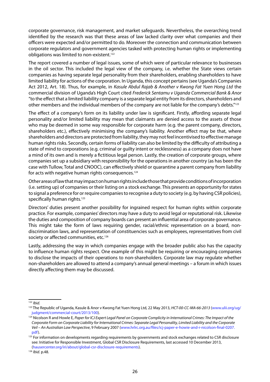corporate governance, risk management, and market safeguards. Nevertheless, the overarching trend identified by the research was that these areas of law lacked clarity over what companies and their officers were expected and/or permitted to do. Moreover the connection and communication between corporate regulators and government agencies tasked with protecting human rights or implementing obligations was limited to non-existent.<sup>122</sup>

The report covered a number of legal issues, some of which were of particular relevance to businesses in the oil sector. This included the legal view of the company, i.e. whether the State views certain companies as having separate legal personality from their shareholders, enabling shareholders to have limited liability for actions of the corporation. In Uganda, this concept pertains (see Uganda's Companies Act 2012, Art. 18). Thus, for example, in *Kasule Abdul Rajab & Another v Kwong Fat Yuen Hong Ltd* the commercial division of Uganda's High Court cited *Frederick Sentamu v Uganda Commercial Bank & Anor* "to the effect that a limited liability company is a separate legal entity from its directors, shareholders and other members and the individual members of the company are not liable for the company's debts."123

The effect of a company's form on its liability under law is significant. Firstly, affording separate legal personality and/or limited liability may mean that claimants are denied access to the assets of those who may be deemed in some way responsible for corporate harm (e.g. the parent company, directors, shareholders etc.), effectively minimising the company's liability. Another effect may be that, where shareholders and directors are protected from liability, they may not feel incentivised to effective manage human rights risks. Secondly, certain forms of liability can also be limited by the difficulty of attributing a state of mind to corporations (e.g. criminal or guilty intent or recklessness) as a company does not have a mind of its own and is merely a fictitious legal person. Lastly, the creation of corporate groups, where companies set up a subsidiary with responsibility for the operations in another country (as has been the case with Tullow, Total and CNOOC), can effectively shield or quarantine a parent company from liability for acts with negative human rights consequences.<sup>124</sup>

Other areas of law that may impact on human rights include those that provide conditions of incorporation (i.e. setting up) of companies or their listing on a stock exchange. This presents an opportunity for states to signal a preference for or require companies to recognise a duty to society (e.g. by having CSR policies), specifically human rights.<sup>125</sup>

Directors' duties present another possibility for ingrained respect for human rights within corporate practice. For example, companies' directors may have a duty to avoid legal or reputational risk. Likewise the duties and composition of company boards can present an influential area of corporate governance. This might take the form of laws requiring gender, racial/ethnic representation on a board, nondiscrimination laws, and representation of constituencies such as employees, representatives from civil society or affected communities, etc.<sup>126</sup>

Lastly, addressing the way in which companies engage with the broader public also has the capacity to influence human rights respect. One example of this might be requiring or encouraging companies to disclose the impacts of their operations to non-shareholders. Corporate law may regulate whether non-shareholders are allowed to attend a company's annual general meetings – a forum in which issues directly affecting them may be discussed.

<sup>122</sup> *Ibid.*

<sup>123</sup> The Republic of Uganda, Kasule & Anor v Kwong Fat Yuen Hong Ltd, 22 May 2013, *HCT-00-CC-MA-66-2013* (www.ulii.org/ug/ judgment/commercial-court/2013/100).

<sup>&</sup>lt;sup>124</sup> Nicolson R and Howle E, Paper for ICJ Expert Legal Panel on Corporate Complicity in International Crimes: The Impact of the *Corporate Form on Corporate Liability for International Crimes: Separate Legal Personality, Limited Liability and the Corporate Veil – An Australian Law Perspective*, 9 February 2007 (www.hrlrc.org.au/files/icj-paper-e-howie-and-r-nicolson-final-0207. pdf).

<sup>&</sup>lt;sup>125</sup> For information on developments regarding requirements by governments and stock exchanges related to CSR disclosure see: Initiative for Responsible Investment, Global CSR Disclosure Requirements, last accessed 10 December 2013, (hausercenter.org/iri/about/global-csr-disclosure-requirements).

<sup>126</sup> *Ibid.* p.48.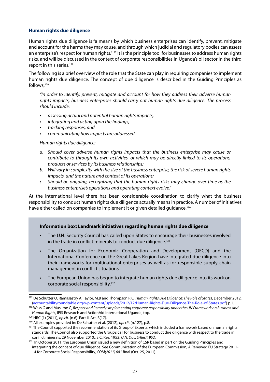### **Human rights due diligence**

Human rights due diligence is "a means by which business enterprises can identify, prevent, mitigate and account for the harms they may cause, and through which judicial and regulatory bodies can assess an enterprise's respect for human rights."127 It is the principle tool for businesses to address human rights risks, and will be discussed in the context of corporate responsibilities in Uganda's oil sector in the third report in this series.<sup>128</sup>

The following is a brief overview of the role that the State can play in requiring companies to implement human rights due diligence. The concept of due diligence is described in the Guiding Principles as follows,129

*"In order to identify, prevent, mitigate and account for how they address their adverse human rights impacts, business enterprises should carry out human rights due diligence. The process should include:*

- • *assessing actual and potential human rights impacts,*
- integrating and acting upon the findings,
- • *tracking responses, and*
- • *communicating how impacts are addressed.*

*Human rights due diligence:*

- *a. Should cover adverse human rights impacts that the business enterprise may cause or contribute to through its own activities, or which may be directly linked to its operations, products or services by its business relationships;*
- *b. Will vary in complexity with the size of the business enterprise, the risk of severe human rights impacts, and the nature and context of its operations;*
- *c. Should be ongoing, recognizing that the human rights risks may change over time as the business enterprise's operations and operating context evolve."*

At the international level there has been considerable coordination to clarify what the business responsibility to conduct human rights due diligence actually means in practice. A number of initiatives have either called on companies to implement it or given detailed guidance.<sup>130</sup>

#### **Information box: Landmark initiatives regarding human rights due diligence**

- The U.N. Security Council has called upon States to encourage their businesses involved in the trade in conflict minerals to conduct due diligence.<sup>131</sup>
- The Organization for Economic Cooperation and Development (OECD) and the International Conference on the Great Lakes Region have integrated due diligence into their frameworks for multinational enterprises as well as for responsible supply chain management in conflict situations.
- The European Union has begun to integrate human rights due diligence into its work on corporate social responsibility.132

<sup>127</sup> De Schutter O, Ramasastry A, Taylor, M.B and Thompson R.C, *Human Rights Due Diligence: The Role of States*, December 2012, (accountabilityroundtable.org/wp-content/uploads/2012/12/Human-Rights-Due-Diligence-The-Role-of-States.pdf) p.1.

<sup>128</sup> Wass G and Musiime C, *Respect and Remedy: Implementing corporate responsibility under the UN Framework on Business and Human Rights*, IPIS Research and ActionAid International Uganda, tbp. 129 HRC (1) (2011), *op.cit.* (n.6). Part II. Art. B(17).

<sup>&</sup>lt;sup>130</sup> All examples provided in: De Schutter et al. (2012), op. cit. (n.127), p.8.<br><sup>131</sup> The Council supported the recommendation of its Group of Experts, which included a framework based on human rights standards. The Council also supported the Group's call for business to conduct due diligence with respect to the trade in conflict minerals. 29 November 2010., S.C. Res. 1952, *U.N. Doc. S/Res/1952*.

<sup>132</sup> In October 2011, the European Union issued a new definition of CSR based in part on the Guiding Principles and integrating the concept of due diligence. See Communication of the European Commission, A Renewed EU Strategy 2011- 14 for Corporate Social Responsibility, *COM(2011) 681* final (Oct. 25, 2011).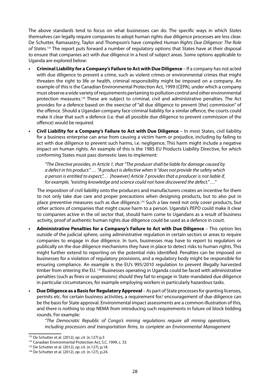The above standards tend to focus on what businesses can do. The specific ways in which *States* themselves can legally require companies to adopt human rights due diligence processes are less clear. De Schutter, Ramasastry, Taylor and Thompson's have compiled *Human Rights Due Diligence: The Role of States.*133 The report puts forward a number of regulatory options that States have at their disposal to ensure that companies act with due diligence in a host of subject areas. Some options applicable to Uganda are explored below:

- **Criminal Liability for a Company's Failure to Act with Due Diligence** If a company has not acted with due diligence to prevent a crime, such as violent crimes or environmental crimes that might threaten the right to life or health, criminal responsibility might be imposed on a company. An example of this is the Canadian Environmental Protection Act, 1999 (CEPA), under which a company must observe a wide variety of requirements pertaining to pollution control and other environmental protection measures.134 These are subject to criminal, civil and administrative penalties. The Act provides for a defence based on the exercise of "all due diligence to prevent [the] commission" of the offence. Should a Ugandan company face criminal liability for a similar offence, the courts could make it clear that such a defence (i.e. that all possible due diligence to prevent commission of the offence) would be required.
- **Civil Liability for a Company's Failure to Act with Due Diligence** In most States, civil liability for a business enterprise can arise from causing a victim harm or prejudice, including by failing to act with due diligence to prevent such harms, i.e. negligence. This harm might include a negative impact on human rights. An example of this is the 1985 EU Products Liability Directive, for which conforming States must pass domestic laws to implement:

*"The Directive provides, in Article 1, that "The producer shall be liable for damage caused by a defect in his product." … "A product is defective when it "does not provide the safety which a person is entitled to expect,"… [however] Article 7 provides that a producer is not liable if, for example, "existing knowledge and science could not have discovered the defect." …"* 

The imposition of civil liability onto the producers and manufacturers creates an incentive for them to not only take due care and proper precautions when designing products, but to also put in place preventive measures such as due diligence.<sup>135</sup> Such a law need not only cover products, but other actions of companies that might cause harm to a person. Uganda's PEPD could make it clear to companies active in the oil sector that, should harm come to Ugandans as a result of business activity, proof of authentic human rights due diligence could be used as a defence in court.

- **• Administrative Penalties for a Company's Failure to Act with Due Diligence** This option lies outside of the judicial sphere, using administrative regulation in certain sectors or areas to require companies to engage in due diligence. In turn, businesses may have to report to regulators or publically on the due diligence mechanisms they have in place to detect risks to human rights. This might further extend to reporting on the potential risks identified. Penalties can be imposed on businesses for a violation of regulatory provisions, and a regulatory body might be responsible for ensuring compliance. An example is the EU's 995/2010 regulation to prevent illegally harvested timber from entering the EU. *<sup>136</sup>* Businesses operating in Uganda could be faced with administrative penalties (such as fines or suspensions) should they fail to engage in State-mandated due diligence in particular circumstances, for example employing workers in particularly hazardous tasks.
- **Due Diligence as a Basis for Regulatory Approval As part of State processes for granting licenses,** permits etc. for certain business activities, a requirement for/ encouragement of due diligence can be the basis for State approval. Environmental impact assessments are a common illustration of this, and there is nothing to stop NEMA from introducing such requirements in future oil block bidding rounds. For example:

*"The Democratic Republic of Congo's mining regulations require all mining operations, including processors and transportation firms, to complete an Environmental Management* 

<sup>133</sup> De Schutter et al. (2012), *op. cit.* (n.127) p.3

<sup>134</sup> Canadian Environmental Protection Act, S.C. 1999, c. 33.

<sup>&</sup>lt;sup>135</sup> De Schutter et al. (2012), *op. cit.* (n.127), p.18.<br><sup>136</sup> De Schutter et al. (2012), *op. cit.* (n.127), p.24.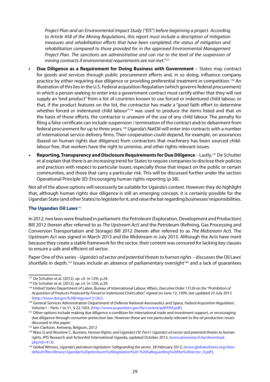*Project Plan and an Environmental Impact Study ("EIS") before beginning a project. According to Article 458 of the Mining Regulations, this report must include a description of mitigation measures and rehabilitation efforts that have been completed; the status of mitigation and rehabilitation compared to those provided for in the approved Environmental Management*  Project Plan. The sanctions are administrative and can rise to the level of the suspension of *mining contracts if environmental requirements are not met."137*

- **Due Diligence as a Requirement for Doing Business with Government** States may contract for goods and services through public procurement efforts and, in so doing, influence company practice by either requiring due diligence or providing preferential treatment in competition.<sup>138</sup> An illustration of this lies in the U.S. Federal acquisition Regulation (which governs federal procurement) in which a person seeking to enter into a government contract must certify either that they will not supply an "end product" from a list of countries known to use forced or indentured child labour, or that, if the product features on the list, the contractor has made a "good faith effort to determine whether forced or indentured child labour<sup>"139</sup> was used to produce the items listed and that on the basis of those efforts, the contractor is unaware of the use of any child labour. The penalty for filing a false certificate can include suspension / termination of the contract and/or debarment from federal procurement for up to three years.140 Uganda's NatOil will enter into contracts with a number of international service delivery firms. Their cooperation could depend, for example, on assurances (based on human rights due diligence) from contractors that machinery has been sourced childlabour free, that workers have the right to unionise, and other rights-relevant issues.
- **Reporting, Transparency and Disclosure Requirements for Due Diligence** Lastly,<sup>141</sup> De Schutter et al explain that there is an increasing trend for States to require companies to disclose their policies and practices with respect to particular issues, especially those that impact on the public or certain communities, and those that carry a particular risk. This will be discussed further under the section Operational Principle 3D: Encouraging human rights reporting (p.38).

Not all of the above options will necessarily be suitable for Uganda's context. However they do highlight that, although human rights due diligence is still an emerging concept, it is certainly possible for the Ugandan State (and other States) to legislate for it, and raise the bar regarding businesses' responsibilities.

#### **The Ugandan Oil Laws**<sup>142</sup>

In 2012, two laws were finalised in parliament: the Petroleum (Exploration, Development and Production) Bill 2012 (herein after referred to as *The Upstream Act*) and the Petroleum (Refining, Gas Processing and Conversion Transportation and Storage) Bill 2012 (herein after referred to as *The Midstream Act*). The Upstream Act was signed in March 2013 and the Midstream in July 2013. Although the Acts have merit because they create a stable framework for the sector, their content was censured for lacking key clauses to ensure a safe and efficient oil sector.

Paper One of this series - *Uganda's oil sector and potential threats to human rights* – discusses the Oil Laws' shortfalls in depth.<sup>143</sup> Issues include an absence of parliamentary oversight<sup>144</sup> and a lack of quarantees

<sup>137</sup> De Schutter et al. (2012), *op. cit.* (n.129), p.24. 138 De Schutter et al. (2012), *op. cit.* (n.129), p.29.

<sup>139</sup> United States Department of Labor, Bureau of International Labour Affairs, *Executive Order 13126 on the "Prohibition of Acquisition of Products Produced by Forced or Indentured Child Labor*," signed on June 12, 1999, last updated 23 July 2013 (http://www.dol.gov/ILAB/regs/eo13126/).

<sup>140</sup> General Services Administration Department of Defense National Aeronautics and Space, *Federal Acquisition Regulation,*  Volume I – Parts 1 to 51, § 22.1503, (http://www.acquisition.gov/far/current/pdf/FAR.pdf).

<sup>&</sup>lt;sup>141</sup> Other options include making due diligence a condition for international trade and investment support, or encouraging due diligence through consumer protection law. However these are not particularly relevant to the oil production issues discussed in this paper.

<sup>&</sup>lt;sup>142</sup> Iain Clarkson, Antwerp, Belgium, 2012

<sup>&</sup>lt;sup>143</sup> Wass G and Musiime C, *Business, Human Rights, and Uganda's Oil. Part I: Uganda's oil sector and potential threats to human rights*, IPIS Research and ActionAid International Uganda, updated October 2013, (www.ipisresearch.be/download. php?id=413).

<sup>144</sup> Global Witness, *Uganda's petroleum legislation: Safeguarding the sector*, 28 February 2012, (www.globalwitness.org/sites/ default/files/library/Ugandas%20petroleum%20legislation%20-%20Safeguarding%20the%20sector\_0.pdf).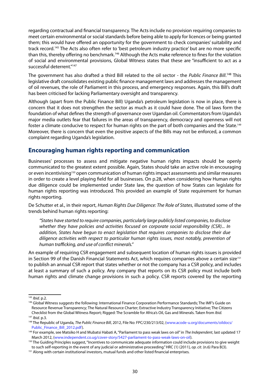regarding contractual and financial transparency. The Acts include no provision requiring companies to meet certain environmental or social standards before being able to apply for licences or being granted them; this would have offered an opportunity for the government to check companies' suitability and track record.145 The Acts also often refer to 'best petroleum industry practice' but are no more specific than this, thereby offering no benchmark.146 Although the Acts make reference to fines for the violation of social and environmental provisions, Global Witness states that these are "insufficient to act as a successful deterrent."147

The government has also drafted a third Bill related to the oil sector - the *Public Finance Bill*. 148 This legislative draft consolidates existing public finance management laws and addresses the management of oil revenues, the role of Parliament in this process, and emergency responses. Again, this Bill's draft has been criticised for lacking Parliamentary oversight and transparency.

Although (apart from the Public Finance Bill) Uganda's petroleum legislation is now in place, there is concern that it does not strengthen the sector as much as it could have done. The oil laws form the foundation of what defines the strength of governance over Ugandan oil. Commentators from Uganda's major media outlets fear that failures in the areas of transparency, democracy and openness will not foster a climate conducive to respect for human rights on the part of both companies and the State.149 Moreover, there is concern that even the positive aspects of the Bills may not be enforced, a common complaint regarding Uganda's legislation.

## **Encouraging human rights reporting and communication**

Businesses' processes to assess and mitigate negative human rights impacts should be openly communicated to the greatest extent possible. Again, States should take an active role in encouraging or even incentivising<sup>150</sup> open communication of human rights impact assessments and similar measures in order to create a level playing field for all businesses. On p.28, when considering how Human rights due diligence could be implemented under State law, the question of how States can legislate for human rights reporting was introduced. This provided an example of State requirement for human rights reporting.

De Schutter et al., in their report, *Human Rights Due Diligence: The Role of States*, illustrated some of the trends behind human rights reporting:

*"States have started to require companies, particularly large publicly listed companies, to disclose whether they have policies and activities focused on corporate social responsibility (CSR)... In addition, States have begun to enact legislation that requires companies to disclose their due diligence activities with respect to particular human rights issues, most notably, prevention of human trafficking, and use of conflict minerals."*

An example of requiring CSR engagement and subsequent location of human rights issues is provided in Section 99 of the Danish Financial Statements Act, which requires companies above a certain size<sup>151</sup> to publish an annual CSR report that states whether or not the company has a CSR policy, and includes at least a summary of such a policy. Any company that reports on its CSR policy must include both human rights and climate change provisions in such a policy. CSR reports covered by the reporting

 $\frac{145}{145}$  *Ibid.* p.2.

<sup>146</sup> Global Witness suggests the following: International Finance Corporation Performance Standards; The IMF's Guide on Resource Revenue Transparency; The Natural Resource Charter; Extractive Industry Transparency Initiative; The Citizens Checklist from the Global Witness Report; Rigged: The Scramble for Africa's Oil, Gas and Minerals. Taken from *Ibid.* <sup>147</sup> *Ibid.* p.3.

<sup>148</sup> The Republic of Uganda, *The Public Finance Bill*, 2012, File No: FPC/230/213/02, (www.acode-u.org/documents/oildocs/ Public Finance Bill 2012.pdf).

<sup>149</sup> For example, see Matsiko H and Mubatsi Habati A, "Parliament to pass weak laws on oil" in *The Independent*, last updated 17 March 2012, (www.independent.co.ug/cover-story/5427-parliament-to-pass-weak-laws-on-oil).

<sup>150</sup> The Guiding Principles suggest, "Incentives to communicate adequate information could include provisions to give weight to such self-reporting in the event of any judicial or administrative proceeding." HRC (1) (2011)*, op. cit*. (n.6) Para B(3).

<sup>151</sup> Along with certain institutional investors, mutual funds and other listed financial enterprises.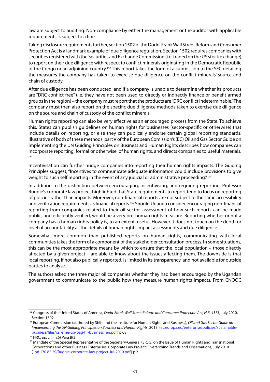law are subject to auditing. Non-compliance by either the management or the auditor with applicable requirements is subject to a fine.

Taking disclosure requirements further, section 1502 of the Dodd-Frank Wall Street Reform and Consumer Protection Act is a landmark example of due diligence regulation. Section 1502 requires companies with securities registered with the Securities and Exchange Commission (i.e. traded on the US stock exchange) to report on their due diligence with respect to conflict minerals originating in the Democratic Republic of the Congo or an adjoining country.152 This report takes the form of a submission to the SEC detailing the measures the company has taken to exercise due diligence on the conflict minerals' source and chain of custody.

After due diligence has been conducted, and if a company is unable to determine whether its products are "DRC conflict free" (i.e. they have not been used to directly or indirectly finance or benefit armed groups in the region) – the company must report that the products are "DRC conflict indeterminable." The company must then also report on the specific due diligence methods taken to exercise due diligence on the source and chain of custody of the conflict minerals.

Human rights reporting can also be very effective as an encouraged process from the State. To achieve this, States can publish guidelines on human rights for businesses (sector-specific or otherwise) that include details on reporting, or else they can publically endorse certain global reporting standards. Illustrative of both of these methods, part V of the European Comission's (EC) Oil and Gas Sector Guide on Implementing the UN Guiding Principles on Business and Human Rights describes how companies can incorporate reporting, formal or otherwise, of human rights, and directs companies to useful materials. 153

Incentivisation can further nudge companies into reporting their human rights impacts. The Guiding Principles suggest, "Incentives to communicate adequate information could include provisions to give weight to such self reporting in the event of any judicial or administrative proceeding."<sup>154</sup>

In addition to the distinction between encouraging, incentivising, and requiring reporting, Professor Ruggie's corporate law project highlighted that State requirements to report tend to focus on reporting of policies rather than impacts. Moreover, non-financial reports are not subject to the same accessibility and verification requirements as financial reports.<sup>155</sup> Should Uganda consider encouraging non-financial reporting from companies related to their oil sector, assessment of how such reports can be made public, and efficiently verified, would be a very pro-human rights measure. Reporting whether or not a company has a human rights policy is, to an extent, useful. However it does not touch on the depth or level of accountability as the details of human rights impact assessments and due diligence.

Somewhat more common than published reports on human rights, communicating with local communities takes the form of a component of the stakeholder consultation process. In some situations, this can be the most appropriate means by which to ensure that the local population – those directly affected by a given project – are able to know about the issues affecting them. The downside is that local reporting, if not also publically reported, is limited in its transparency, and not available for outside parties to analyse.

The authors asked the three major oil companies whether they had been encouraged by the Ugandan government to communicate to the public how they measure human rights impacts. From CNOOC

<sup>152</sup> Congress of the United States of America, *Dodd-Frank Wall Street Reform and Consumer Protection Act, H.R. 4173*, July 2010, Section 1502.

<sup>153</sup> European Commission (authored by Shift and the Institute for Human Rights and Business), *Oil and Gas Sector Guide on Implementing the UN Guiding Principles on Business and Human Rights*, 2013, (ec.europa.eu/enterprise/policies/sustainablebusiness/files/csr-sme/csr-oag-hr-business\_en.pdf) p.68. 154 HRC*, op. cit*. (n.6) Para B(3).

<sup>&</sup>lt;sup>155</sup> Mandate of the Special Representative of the Secretary-General (SRSG) on the Issue of Human Rights and Transnational Corporations and other Business Enterprises, Corporate Law Project: Overarching Trends and Observations, July 2010 (198.170.85.29/Ruggie-corporate-law-project-Jul-2010.pdf) p.2.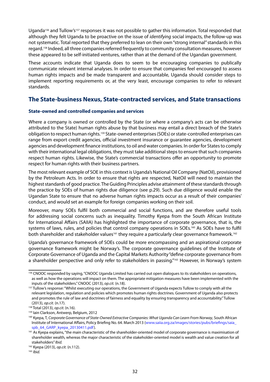Uganda<sup>156</sup> and Tullow's<sup>157</sup> responses it was not possible to gather this information. Total responded that although they felt Uganda to be proactive on the issue of *identifying* social impacts, the follow-up was not systematic. Total reported that they preferred to lean on their own "strong internal" standards in this regard.158 Indeed, all three companies referred frequently to community consultation measures, however these appeared to be self-initiated ventures, rather than at the demand of the Ugandan government.

These accounts indicate that Uganda does to seem to be encouraging companies to publically communicate relevant internal analyses. In order to ensure that companies feel encouraged to assess human rights impacts and be made transparent and accountable, Uganda should consider steps to implement reporting requirements or, at the very least, encourage companies to refer to relevant standards.

## **The State-business Nexus, State-contracted services, and State transactions**

## **State-owned and controlled companies and services**

Where a company is owned or controlled by the State (or where a company's acts can be otherwise attributed to the State) human rights abuse by that business may entail a direct breach of the State's obligation to respect human rights.159 State-owned enterprises (SOEs) or state-controlled enterprises can range from export credit agencies, official investment insurance or guarantee agencies, development agencies and development finance institutions, to oil and water companies. In order for States to comply with their international legal obligations, they must take additional steps to ensure that such companies respect human rights. Likewise, the State's commercial transactions offer an opportunity to promote respect for human rights with their business partners.

The most relevant example of SOE in this context is Uganda's National Oil Company (NatOil), provisioned by the Petroleum Acts. In order to ensure that rights are respected, NatOil will need to maintain the highest standards of good practice. The Guiding Principles advise attainment of these standards through the practice by SOEs of human rights due diligence (see p.29). Such due diligence would enable the Ugandan State to ensure that no adverse human rights impacts occur as a result of their companies' conduct, and would set an example for foreign companies working on their soil.

Moreover, many SOEs fulfil both commercial and social functions, and are therefore useful tools for addressing social concerns such as inequality. Timothy Kyepa from the South African Institute for International Affairs (SAIIA) has highlighted the importance of corporate governance, that is, the systems of laws, rules, and policies that control company operations in SOEs.<sup>160</sup> As SOEs have to fulfil both shareholder and stakeholder values<sup>161</sup> they require a particularly clear governance framework.<sup>162</sup>

Uganda's governance framework of SOEs could be more encompassing and an aspirational corporate governance framework might be Norway's. The corporate governance guidelines of the Institute of Corporate Governance of Uganda and the Capital Markets Authority "define corporate governance from a shareholder perspective and only refer to stakeholders in passing."<sup>163</sup> However, in Norway's system

<sup>163</sup> *Ibid.*

<sup>156</sup> CNOOC responded by saying, "CNOOC Uganda Limited has carried out open dialogues to its stakeholders on operations, as well as how the operations will impact on them. The appropriate mitigation measures have been implemented with the inputs of the stakeholders." CNOOC (2013), *op.cit.* (n.18).

<sup>&</sup>lt;sup>157</sup> Tullow's response: "Whilst executing our operations, the Government of Uganda expects Tullow to comply with all the relevant legislation, regulation and policies which promotes human rights doctrines. Government of Uganda also protects and promotes the rule of law and doctrines of fairness and equality by ensuring transparency and accountability." Tullow (2013), *op.cit.* (n.17).

<sup>&</sup>lt;sup>158</sup> Total (2013), *op.cit.* (n.16).<br><sup>159</sup> Iain Clarkson, Antwerp, Belgium, 2012

<sup>&</sup>lt;sup>160</sup> Kyepa, T, Corporate Governance of State-Owned Extractive Companies: What Uganda Can Learn From Norway, South African Institute of International Affairs, Policy Briefing No. 64. March 2013 (www.saiia.org.za/images/stories/pubs/briefings/saia\_ spb\_64\_GARP\_kyepa\_20130411.pdf).

<sup>&</sup>lt;sup>161</sup> As Kyepa explains, "the main characteristic of the shareholder-oriented model of corporate governance is maximisation of shareholder wealth, whereas the major characteristic of the stakeholder-oriented model is wealth and value creation for all stakeholders" *Ibid.*

<sup>162</sup> Kyepa (2013), *op.cit.* (n.112).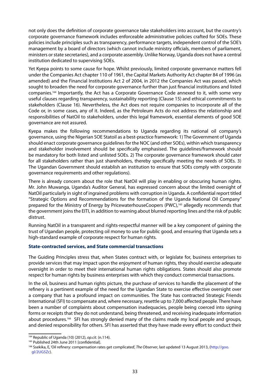not only does the definition of corporate governance take stakeholders into account, but the country's corporate governance framework includes enforceable administrative policies crafted for SOEs. These policies include principles such as transparency, performance targets, independent control of the SOE's management by a board of directors (which cannot include ministry officials, members of parliament, ministers or state secretaries), and a corporate assembly. Unlike Norway, Uganda does not have a central institution dedicated to supervising SOEs.

Yet Kyepa points to some cause for hope. Whilst previously, limited corporate governance matters fell under the Companies Act chapter 110 of 1961, the Capital Markets Authority Act chapter 84 of 1996 (as amended) and the Financial Institutions Act 2 of 2004, in 2012 the Companies Act was passed, which sought to broaden the need for corporate governance further than just financial institutions and listed companies.164 Importantly, the Act has a Corporate Governance Code annexed to it, with some very useful clauses regarding transparency, sustainability reporting (Clause 15) and ethical commitments to stakeholders (Clause 16). Nevertheless, the Act does not require companies to incorporate all of the Code or, in some cases, any of it. Indeed, as the Petroleum Acts do not address the relationship and responsibilities of NatOil to stakeholders, under this legal framework, essential elements of good SOE governance are not assured.

Kyepa makes the following recommendations to Uganda regarding its national oil company's governance, using the Nigerian SOE Statoil as a best-practice framework: 1) The Government of Uganda should enact corporate governance guidelines for the NOC (and other SOEs), within which transparency and stakeholder involvement should be specifically emphasised. The guidelines/framework should be mandatory for both listed and unlisted SOEs. 2) The corporate governance framework should cater for all stakeholders rather than just shareholders, thereby specifically meeting the needs of SOEs. 3) The Ugandan Government should establish an institution to ensure that SOEs comply with corporate governance requirements and other regulations).

There is already concern about the role that NatOil will play in enabling or obscuring human rights. Mr. John Muwanga, Uganda's Auditor General, has expressed concern about the limited oversight of NatOil particularly in sight of ingrained problems with corruption in Uganda. A confidential report titled "Strategic Options and Recommendations for the formation of the Uganda National Oil Company" prepared for the Ministry of Energy by PricewaterhouseCoopers (PWC),<sup>165</sup> allegedly recommends that the government joins the EITI, in addition to warning about blurred reporting lines and the risk of public distrust.

Running NatOil in a transparent and rights-respectful manner will be a key component of gaining the trust of Ugandan people, protecting oil money to use for public good, and ensuring that Uganda sets a high-standard example of corporate respect for human rights.

## **State-contracted services, and State commercial transactions**

The Guiding Principles stress that, when States contract with, or legislate for, business enterprises to provide services that may impact upon the enjoyment of human rights, they should exercise adequate oversight in order to meet their international human rights obligations. States should also promote respect for human rights by business enterprises with which they conduct commercial transactions.

In the oil, business and human rights picture, the purchase of services to handle the placement of the refinery is a pertinent example of the need for the Ugandan State to exercise effective oversight over a company that has a profound impact on communities. The State has contracted Strategic Friends International (SFI) to compensate and, where necessary, resettle up to 7,000 affected people. There have been a number of complaints about compensation inadequacies, people being coerced into signing forms or receipts that they do not understand, being threatened, and receiving inadequate information about procedures.166 SFI has strongly denied many of the claims made my local people and groups, and denied responsibility for others. SFI has asserted that they have made every effort to conduct their

<sup>164</sup> Republic of Uganda (10) (2012), *op.cit.* (n.114).

<sup>&</sup>lt;sup>165</sup> Published 24th June 2011 [confidential].

<sup>&</sup>lt;sup>166</sup> Ssekika, E, 'Oil refinery: compensation rates get complicated', *The Observer*, last updated 13 August 2013, (http://goo. gl/2UG5Zc).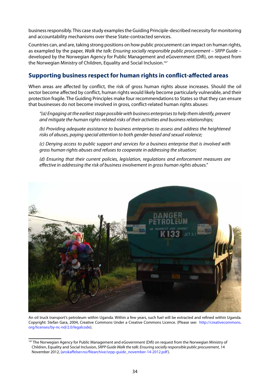business responsibly. This case study examples the Guiding Principle-described necessity for monitoring and accountability mechanisms over these State-contracted services.

Countries can, and are, taking strong positions on how public procurement can impact on human rights, as exampled by the paper, *Walk the talk: Ensuring socially responsible public procurement – SRPP Guide* – developed by the Norwegian Agency for Public Management and eGovernment (Difi), on request from the Norwegian Ministry of Children, Equality and Social Inclusion.<sup>167</sup>

## **Supporting business respect for human rights in conflict-affected areas**

When areas are affected by conflict, the risk of gross human rights abuse increases. Should the oil sector become affected by conflict, human rights would likely become particularly vulnerable, and their protection fragile. The Guiding Principles make four recommendations to States so that they can ensure that businesses do not become involved in gross, conflict-related human rights abuses:

*"(a) Engaging at the earliest stage possible with business enterprises to help them identify, prevent and mitigate the human rights-related risks of their activities and business relationships;*

*(b) Providing adequate assistance to business enterprises to assess and address the heightened risks of abuses, paying special attention to both gender-based and sexual violence;*

*(c) Denying access to public support and services for a business enterprise that is involved with gross human rights abuses and refuses to cooperate in addressing the situation;*

*(d) Ensuring that their current policies, legislation, regulations and enforcement measures are effective in addressing the risk of business involvement in gross human rights abuses."*



An oil truck transport's petroleum within Uganda. Within a few years, such fuel will be extracted and refined within Uganda. Copyright: Stefan Gara, 2004, Creative Commons. Under a Creative Commons Licence. (Please see: http://creativecommons. org/licenses/by-nc-nd/2.0/legalcode).

<sup>&</sup>lt;sup>167</sup> The Norwegian Agency for Public Management and eGovernment (Difi) on request from the Norwegian Ministry of Children, Equality and Social Inclusion, *SRPP Guide Walk the talk: Ensuring socially responsible public procurement*, 14 November 2012, (anskaffelser.no/filearchive/srpp-guide\_november-14-2012.pdf).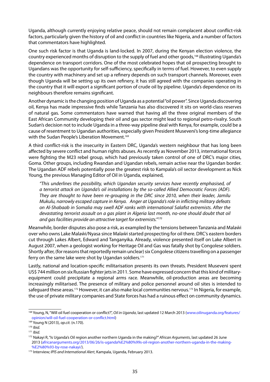Uganda, although currently enjoying relative peace, should not remain complacent about conflict-risk factors, particularly given the history of oil and conflict in countries like Nigeria, and a number of factors that commentators have highlighted.

One such risk factor is that Uganda is land-locked. In 2007, during the Kenyan election violence, the country experienced months of disruption to the supply of fuel and other goods,<sup>168</sup> illustrating Uganda's dependence on transport corridors. One of the most celebrated hopes that oil prospecting brought to Ugandans was the opportunity for self-sufficiency, specifically in terms of fuel. However, to even supply the country with machinery and set up a refinery depends on such transport channels. Moreover, even though Uganda will be setting up its own refinery, it has still agreed with the companies operating in the country that it will export a significant portion of crude oil by pipeline. Uganda's dependence on its neighbours therefore remains significant.

Another dynamic is the changing position of Uganda as a potential "oil power". Since Uganda discovering oil, Kenya has made impressive finds while Tanzania has also discovered it sits on world-class reserves of natural gas. Some commentators have warned that having all the three original members of the East African Community developing their oil and gas sector might lead to regional petro-rivalry. South Sudan's decision not to include Uganda in a three-way pipeline deal with Kenya, for example, could be a cause of resentment to Ugandan authorities, especially given President Museveni's long-time allegiance with the Sudan People's Liberation Movement.<sup>169</sup>

A third conflict-risk is the insecurity in Eastern DRC, Uganda's western neighbour that has long been affected by severe conflict and human rights abuses. As recently as November 2013, international forces were fighting the M23 rebel group, which had previously taken control of one of DRC's major cities, Goma. Other groups, including Rwandan and Ugandan rebels, remain active near the Ugandan border. The Ugandan ADF rebels potentially pose the greatest risk to Kampala's oil sector development as Nick Young, the previous Managing Editor of Oil in Uganda, explained,

*"This underlines the possibility, which Ugandan security services have recently emphasised, of a terrorist attack on Uganda's oil installations by the so-called Allied Democratic Forces (ADF). They are thought to have been re-grouping in the DRC since 2010, when their leader, Jamilu Mukulu, narrowly escaped capture in Kenya. Anger at Uganda's role in inflicting military defeats on Al-Shabaab in Somalia may swell ADF ranks with international Salafist extremists. After the devastating terrorist assault on a gas plant in Algeria last month, no-one should doubt that oil and gas facilities provide an attractive target for extremists."170*

Meanwhile, border disputes also pose a risk, as exampled by the tensions between Tanzania and Malaŵi over who owns Lake Malaŵi/Nyasa since Malaŵi started prospecting for oil there. DRC's eastern borders cut through Lakes Albert, Edward and Tanganyika. Already, violence presented itself on Lake Albert in August 2007, when a geologist working for Heritage Oil and Gas was fatally shot by Congolese soldiers. Shortly after, (for reasons that reportedly remain unclear) six Congolese citizens travelling on a passenger ferry on the same lake were shot by Ugandan soldiers.<sup>171</sup>

Lastly, national and location-specific militarisation presents its own threats. President Museveni spent US\$ 744 million on six Russian fighter jets in 2011. Some have expressed concern that this kind of militaryequipment could precipitate a regional arms race. Meanwhile, oil-production areas are becoming increasingly militarised. The presence of military and police personnel around oil sites is intended to safeguard these areas.<sup>172</sup> However, it can also make local communities nervous.<sup>173</sup> In Nigeria, for example, the use of private military companies and State forces has had a ruinous effect on community dynamics.

<sup>168</sup> Young, N, "Will oil fuel cooperation or conflict?", *Oil in Uganda*, last updated 12 March 2013 (www.oilinuganda.org/features/ opinion/will-oil-fuel-cooperation-or-conflict.html)

<sup>169</sup> Young N (2013), *op.cit.* (n.170). 170 *Ibid.*

<sup>171</sup> *Ibid.*

<sup>172</sup> Nakayi R, "Is Uganda's Oil region another northern Uganda in the making?" *African Arguments*, last updated 26 June 2013 (africanarguments.org/2013/06/26/is-uganda%E2%80%99s-oil-region-another-northern-uganda-in-the-making- %E2%80%93-by-rose-nakayi/).

<sup>173</sup> Interview*; IPIS and International Alert*, Kampala, Uganda, February 2013.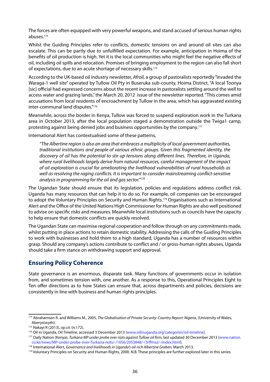The forces are often equipped with very powerful weapons, and stand accused of serious human rights abuses.174

Whilst the Guiding Principles refer to conflicts, domestic tensions on and around oil sites can also escalate. This can be partly due to unfulfilled expectation. For example, anticipation in Hoima of the benefits of oil production is high. Yet it is the local communities who might feel the negative effects of oil, including oil spills and relocation. Promises of bringing employment to the region can also fall short of expectations, due to an acute shortage of necessary skills.175

According to the UK-based oil industry newsletter, *Afroil*, a group of pastoralists reportedly "invaded the Waraga-1 well site" operated by Tullow Oil Pty in Buseruka sub-county, Hoima District, "A local Toonya [sic] official had expressed concerns about the recent increase in pastoralists settling around the well to access water and grazing lands," the March 20, 2012 issue of the newsletter reported. "This comes amid accusations from local residents of encroachment by Tullow in the area, which has aggravated existing inter-communal land disputes."176

Meanwhile, across the border in Kenya, Tullow was forced to suspend exploration work in the Turkana area in October 2013, after the local population staged a demonstration outside the Twiga1 camp, protesting against being denied jobs and business opportunities by the company.177

International Alert has contextualised some of these patterns,

*"The Albertine region is also an area that embraces a multiplicity of local government authorities, traditional institutions and people of various ethnic groups. Given this fragmented identity, the discovery of oil has the potential to stir up tensions along different lines. Therefore, in Uganda, where rural livelihoods largely derive from natural resources, careful management of the impact of oil exploration is crucial for ameliorating the livelihood vulnerabilities of rural households as well as resolving the raging conflicts. It is important to consider mainstreaming conflict-sensitive analysis in programming for the oil and gas sector."178*

The Ugandan State should ensure that its legislation, policies and regulations address conflict risk. Uganda has many resources that can help it to do so. For example, oil companies can be encouraged to adopt the Voluntary Principles on Security and Human Rights.<sup>179</sup> Organisations such as International Alert and the Office of the United Nations High Commissioner for Human Rights are also well positioned to advise on specific risks and measures. Meanwhile local institutions such as councils have the capacity to help ensure that domestic conflicts are quickly resolved.

The Ugandan State can maximise regional cooperation and follow through on any commitments made, whilst putting in place actions to retain domestic stability. Addressing the calls of the Guiding Principles to work with businesses and hold them to a high standard, Uganda has a number of resources within grasp. Should any company's actions contribute to conflict and / or gross-human rights abuses, Uganda should take a firm stance on withdrawing support and approval.

## **Ensuring Policy Coherence**

State governance is an enormous, disparate task. Many functions of governments occur in isolation from, and sometimes tension with, one another. As a response to this, Operational Principles Eight to Ten offer directions as to how States can ensure that, across departments and policies, decisions are consistently in line with business and human rights principles.

<sup>174</sup> Abrahamsen R. and Williams M., 2005, *The Globalisation of Private Security: Country Report: Nigeria,* (University of Wales, Aberystwyth).

<sup>175</sup> Nakayi R (2013), *op.cit.* (n.172).

<sup>176</sup> Oil in Uganda, *Oil Timeline*, accessed 3 December 2013 (www.oilinuganda.org/categories/oil-timeline).

<sup>177</sup> Daily Nation (Kenya), *Turkana MP under probe over riots against Tullow oil firm*, last updated 30 December 2013 (www.nation. co.ke/news/MP-under-probe-over-Turkana-riots/-/1056/2053848/-/3rffmsz/-/index.html).

<sup>178</sup> International Alert, *Governance and livelihoods in Uganda's oil-rich Albertine Graben*, March 2013.

<sup>&</sup>lt;sup>179</sup> Voluntary Principles on Security and Human Rights, 2000. N.B. These principles are further explored later in this series.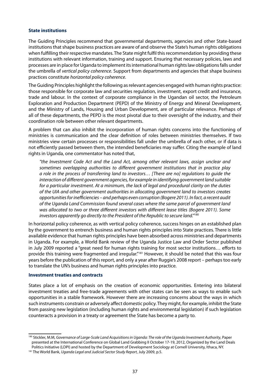#### **State institutions**

The Guiding Principles recommend that governmental departments, agencies and other State-based institutions that shape business practices are aware of and observe the State's human rights obligations when fulfilling their respective mandates. The State might fulfil this recommendation by providing these institutions with relevant information, training and support. Ensuring that necessary policies, laws and processes are in place for Uganda to implement its international human rights law obligations falls under the umbrella of *vertical policy coherence*. Support from departments and agencies that shape business practices constitute *horizontal policy coherence*.

The Guiding Principles highlight the following as relevant agencies engaged with human rights practice: those responsible for corporate law and securities regulation, investment, export credit and insurance, trade and labour. In the context of corporate compliance in the Ugandan oil sector, the Petroleum Exploration and Production Department (PEPD) of the Ministry of Energy and Mineral Development, and the Ministry of Lands, Housing and Urban Development, are of particular relevance. Perhaps of all of these departments, the PEPD is the most pivotal due to their oversight of the industry, and their coordination role between other relevant departments.

A problem that can also inhibit the incorporation of human rights concerns into the functioning of ministries is communication and the clear definition of roles between ministries themselves. If two ministries view certain processes or responsibilities fall under the umbrella of each other, or if data is not efficiently passed between them, the intended beneficiaries may suffer. Citing the example of land rights in Uganda, one commentator has noted that,

*"the Investment Code Act and the Land Act, among other relevant laws, assign unclear and sometimes overlapping authorities to different government institutions that in practice play a role in the process of transferring land to investors… [There are no] regulations to guide the interaction of different government agencies, for example in identifying government land suitable for a particular investment. At a minimum, the lack of legal and procedural clarity on the duties of the UIA and other government authorities in allocating government land to investors creates opportunities for inefficiencies – and perhaps even corruption (Bogere 2011). In fact, a recent audit of the Uganda Land Commission found several cases where the same parcel of government land was allocated to two or three different investors with different lease titles (Bogere 2011). Some investors apparently go directly to the President of the Republic to secure land."*<sup>180</sup>

In horizontal policy coherence, as with vertical policy coherence, success hinges on an established plan by the government to entrench business and human rights principles into State practices. There is little available evidence that human rights principles have been absorbed across ministries and departments in Uganda. For example, a World Bank review of the Uganda Justice Law and Order Sector published in July 2009 reported a "great need for human rights training for most sector institutions… efforts to provide this training were fragmented and irregular."<sup>181</sup> However, it should be noted that this was four years before the publication of this report, and only a year after Ruggie's 2008 report – perhaps too early to translate the UN's business and human rights principles into practice.

#### **Investment treaties and contracts**

States place a lot of emphasis on the creation of economic opportunities. Entering into bilateral investment treaties and free-trade agreements with other states can be seen as ways to enable such opportunities in a stable framework. However there are increasing concerns about the ways in which such instruments constrain or adversely affect domestic policy. They might, for example, inhibit the State from passing new legislation (including human rights and environmental legislation) if such legislation counteracts a provision in a treaty or agreement the State has become a party to.

<sup>&</sup>lt;sup>180</sup> Stickler, M.M, Governance of Large-Scale Land Acquisitions in Uganda: The role of the Uganda Investment Authority, Paper presented at the International Conference on Global Land Grabbing II October 17‐19, 2012, Organized by the Land Deals Politics Initiative (LDPI) and hosted by the Department of Development Sociology at Cornell University, Ithaca, NY.

<sup>181</sup> The World Bank, *Uganda Legal and Judicial Sector Study Report*, July 2009, p.5.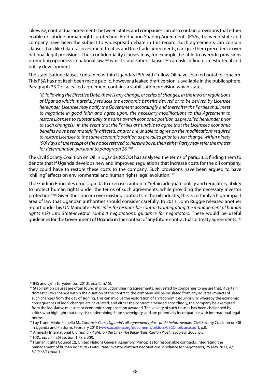Likewise, contractual agreements between States and companies can also contain provisions that either enable or subdue human rights protection. Production Sharing Agreements (PSAs) between State and company have been the subject to widespread debate in this regard. Such agreements can contain clauses that, like bilateral investment treaties and free trade agreements, can give them precedence over national legal provisions. Thus confidentiality clauses may, for example, be able to override provisions promoting openness in national law,<sup>182</sup> whilst stabilisation clauses<sup>183</sup> can risk stifling domestic legal and policy development.

The stabilisation clauses contained within Uganda's PSA with Tullow Oil have sparked notable concern. This PSA has not itself been made public, however a leaked draft version is available in the public sphere. Paragraph 33.2 of a leaked agreement contains a stabilisation provision which states,

*"If, following the Effective Date, there is any change, or series of changes, in the laws or regulations of Uganda which materially reduces the economic benefits derived or to be derived by Licensee hereunder, Licensee may notify the Government accordingly and thereafter the Parties shall meet to negotiate in good faith and agree upon, the necessary modifications to this Agreement to restore Licensee to substantially the same overall economic position as prevailed hereunder prior to such change(s). In the event that the Parties are unable to agree that the Licensee's economic benefits have been materially affected, and/or are unable to agree on the modifications required to restore Licensee to the same economic position as prevailed prior to such change, within ninety (90) days of the receipt of the notice referred to hereinabove, then either Party may refer the matter for determination pursuant to paragraph 26."*<sup>184</sup>

The Civil Society Coalition on Oil in Uganda (CSCO) has analysed the terms of para.33.2, finding them to denote that if Uganda develops new and improved regulations that increase costs for the oil company, they could have to restore these costs to the company. Such provisions have been argued to have "chilling" effects on environmental and human rights legal evolution.185

The Guiding Principles urge Uganda to exercise caution to "retain adequate policy and regulatory ability to protect human rights under the terms of such agreements, while providing the necessary investor protection."186 Given the concern over existing contracts in the oil industry, this is certainly a high-impact area of law that Ugandan authorities should consider carefully. In 2011, John Ruggie released another report under his UN Mandate - *Principles for responsible contracts: integrating the management of human rights risks into State-investor contract negotiations: guidance for negotiators.* These would be useful guidelines for the Government of Uganda in the context of any future contractual or treaty agreements.<sup>187</sup>

<sup>182</sup> IPIS and Lynn Turyatemba, (2013), *op.cit*. (n.15).

<sup>183</sup> Stabilisation clauses are often found in production sharing agreements, requested by companies to ensure that, if certain domestic laws change within the duration of the contract, the company will be insulated from any adverse impacts of such changes from the day of signing. This can involve the restoration of an "economic equilibrium" whereby the economic consequences of legal changes are calculated, and either the contract amended accordingly, the company be exempted from the legislative measure or economic compensation awarded. The validity of such clauses has been challenged by critics who highlight that they risk undermining State sovereignty, and are potentially incompatible with international legal norms.

<sup>184</sup> Lay T. and Minio-Paluello M., *Contracts Curse. Uganda's oil agreements place profit before people*, Civil Society Coalition on Oil in Uganda and Platform, February 2010 (www.acode-u.org/documents/oildocs/CSCO\_oilcurse.pdf), p.8.

<sup>&</sup>lt;sup>185</sup> Amnesty International UK, *Human Rights on the Line - The Baku-Tbilisi-Ceylan Pipeline Project, 2003, p.5.*<br><sup>186</sup> HRC*, op. cit.* (n.6) Section 1 Para B(9).

<sup>&</sup>lt;sup>187</sup> Human Rights Council (2), United Nations General Assembly, 'Principles for responsible contracts: integrating the management of human rights risks into State-investor contract negotiations: guidance for negotiators,' 25 May 2011, *A/ HRC/17/31/Add.3.*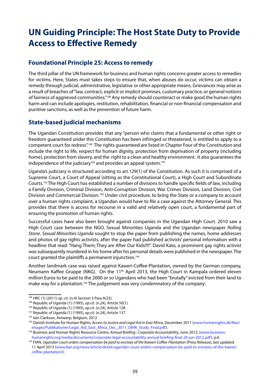## **UN Guiding Principle: The Host State Duty to Provide Access to Effective Remedy**

## **Foundational Principle 25: Access to remedy**

The third pillar of the UN framework for business and human rights concerns greater access to remedies for victims. Here, States must takes steps to ensure that, when abuses do occur, victims can obtain a remedy through judicial, administrative, legislative or other appropriate means. Grievances may arise as a result of breaches of "law, contract, explicit or implicit promises, customary practice, or general notions of fairness of aggrieved communities."<sup>188</sup> Any remedy should counteract or make good the human rights harm and can include apologies, restitution, rehabilitation, financial or non-financial compensation and punitive sanctions, as well as the prevention of future harm.

## **State-based judicial mechanisms**

The Ugandan Constitution provides that any "person who claims that a fundamental or other right or freedom guaranteed under this Constitution has been infringed or threatened, is entitled to apply to a competent court for redress".189 The rights guaranteed are listed in Chapter Four of the Constitution and include the right to life, respect for human dignity, protection from deprivation of property (including home), protection from slavery, and the right to a clean and healthy environment. It also guarantees the independence of the judiciary<sup>190</sup> and provides an appeal system.<sup>191</sup>

Uganda's judiciary is structured according to art.129(1) of the Constitution. As such it is comprised of a Supreme Court, a Court of Appeal (sitting as the Constitutional Court), a High Court and Subordinate Courts.192 The High Court has established a number of divisions to handle specific fields of law, including a Family Division, Criminal Division, Anti-Corruption Division, War Crimes Division, Land Division, Civil Division and Commercial Division.<sup>193</sup> Under civil procedure, to bring the State or a company to account over a human rights complaint, a Ugandan would have to file a case against the Attorney General. This provides that there is access for recourse in a valid and relatively open court, a fundamental part of ensuring the promotion of human rights.

Successful cases have also been brought against companies in the Ugandan High Court. 2010 saw a High Court case between the NGO, Sexual Minorities Uganda and the Ugandan newspaper *Rolling Stone*. *Sexual Minorities Uganda* sought to stop the paper from publishing the names, home addresses and photos of gay rights activists, after the paper had published activists' personal information with a headline that read: "Hang Them; They are After Our Kids!!!!". David Kato, a prominent gay rights activist was subsequently murdered in his home after his personal details were published in the newspaper. The court granted the plaintiffs a permanent injunction.194

Another landmark case was raised against Kaweri-Coffee-Plantation, owned by the German company, Neumann Kaffee Gruppe (NKG). On the 11<sup>th</sup> April 2013, the High Court in Kampala ordered eleven million Euros to be paid to the 2000 or so Ugandans who had been "brutally" evicted from their land to make way for a plantation.<sup>195</sup> The judgement was very condemnatory of the company:

<sup>&</sup>lt;sup>188</sup> HRC (1) (2011) *op. cit.* (n.4) Section 3 Para A(25).<br><sup>189</sup> Republic of Uganda (1) (1995), *op.cit.* (n.24), Article 50(1).

<sup>190</sup> Republic of Uganda (1) (1995), *op.cit.* (n.24), Article 128

<sup>&</sup>lt;sup>191</sup> Republic of Uganda (1) (1995), *op.cit.* (n.24), Article 137<br><sup>192</sup> Iain Clarkson, Antwerp, Belgium, 2012

<sup>&</sup>lt;sup>193</sup> Danish Institute for Human Rights, *Access to Justice and Legal Aid in East Africa*, December 2011 (www.humanrights.dk/files/<br>images/Publikationer/Legal\_Aid\_East\_Africa\_Dec\_2011\_DIHR\_Study\_Final.pdf).

<sup>&</sup>lt;sup>194</sup> Business and Human Rights Resource Centre, *Annual Briefing : Corporate Accountability*, June 2012, (www.businesshumanrights.org/media/documents/corporate-legal-accountability-annual-briefing-final-20-jun-2012.pdf), p.6.<br>FIAN, Ugandan court orders compensation be paid to evictees of the Kaweri-Coffee-Plantation (Press Release), last

<sup>11</sup> April 2013 (www.fian.org/news/article/detail/ugandan-court-orders-compensation-be-paid-to-evictees-of-the-kawericoffee-plantation/).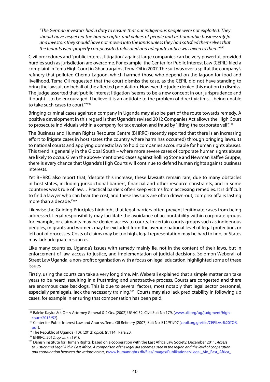*"The German investors had a duty to ensure that our indigenous people were not exploited. They should have respected the human rights and values of people and as honorable businessm[e]n and investors they should have not moved into the lands unless they had satisfied themselves that the tenants were properly compensated, relocated and adequate notice was given to them."196*

Civil procedures and "public interest litigation" against large companies can be very powerful, provided hurdles such as jurisdiction are overcome. For example, the Center for Public Interest Law (CEPIL) filed a complaint in Tema High Court in Ghana against Tema Oil in 2007. The suit was over a spill at the company's refinery that polluted Chemu Lagoon, which harmed those who depend on the lagoon for food and livelihood. Tema Oil requested that the court dismiss the case, as the CEPIL did not have standing to bring the lawsuit on behalf of the affected population. However the judge denied this motion to dismiss. The judge asserted that "public interest litigation "seems to be a new concept in our jurisprudence and it ought…to be encouraged. I believe it is an antidote to the problem of direct victims…being unable to take such cases to court.""197

Bringing criminal cases against a company in Uganda may also be part of the route towards remedy. A positive development in this regard is that Uganda's revised 2012 Companies Act allows the High Court to prosecute individuals within a company for tax evasion and fraud by "lifting the corporate veil".<sup>198</sup>

The Business and Human Rights Resource Centre (BHRRC) recently reported that there is an increasing effort to litigate cases in host states (the country where harm has occurred) through bringing lawsuits to national courts and applying domestic law to hold companies accountable for human rights abuses. This trend is generally in the Global South – where more severe cases of corporate human rights abuse are likely to occur. Given the above-mentioned cases against Rolling Stone and Newman Kaffee Gruppe, there is every chance that Uganda's High Courts will continue to defend human rights against business interests.

Yet BHRRC also report that, "despite this increase, these lawsuits remain rare, due to many obstacles in host states, including jurisdictional barriers, financial and other resource constraints, and in some countries weak rule of law… Practical barriers often keep victims from accessing remedies. It is difficult to find a lawyer who can bear the cost, and these lawsuits are often drawn-out, complex affairs lasting more than a decade."<sup>199</sup>

Likewise the Guiding Principles highlight that legal barriers often prevent legitimate cases from being addressed. Legal responsibility may facilitate the avoidance of accountability within corporate groups for example, or claimants may be denied access to courts. In certain courts groups such as indigenous peoples, migrants and women, may be excluded from the average national level of legal protection, or left out of processes. Costs of claims may be too high, legal representation may be hard to find, or States may lack adequate resources.

Like many countries, Uganda's issues with remedy mainly lie, not in the content of their laws, but in enforcement of law, access to justice, and implementation of judicial decisions. Solomon Weberali of Street Law Uganda, a non-profit organisation with a focus on legal education, highlighted some of these issues

Firstly, using the courts can take a very long time. Mr. Weberali explained that a simple matter can take years to be heard, resulting in a frustrating and unattractive process. Courts are congested and there are enormous case backlogs. This is due to several factors, most notably that legal sector personnel, especially paralegals, lack the necessary training.<sup>200</sup> Courts may also lack predictability in following up cases, for example in ensuring that compensation has been paid.

<sup>&</sup>lt;sup>196</sup> Baleke Kayira & 4 Ors v Attorney General & 2 Ors. [2002] UGHC 52, Civil Suit No 179, (www.ulii.org/ug/judgment/highcourt/2013/52).

<sup>197</sup> Center for Public Interest Law and Anor vs. Tema Oil Refinery [2007] Suit No. E12/91/07 (cepil.org.gh/file/CEPILvs.%20TOR. pdf).

<sup>198</sup> The Republic of Uganda (10), (2012) *op.cit*. (n.114), Para 20.

<sup>199</sup> BHRRC, 2012, *op.cit.* (n.194).

<sup>200</sup> Danish Institute for Human Rights, based on a cooperation with the East Africa Law Society, December 2011, *Access to Justice and Legal Aid in East Africa. A comparison of the legal aid schemes used in the region and the level of cooperation and coordination between the various actors*, (www.humanrights.dk/files/images/Publikationer/Legal\_Aid\_East\_Africa\_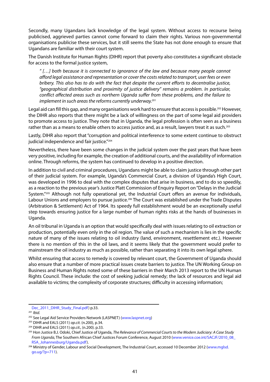Secondly, many Ugandans lack knowledge of the legal system. Without access to recourse being publicised, aggrieved parties cannot come forward to claim their rights. Various non-governmental organisations publicise these services, but it still seems the State has not done enough to ensure that Ugandans are familiar with their court system.

The Danish Institute for Human Rights (DIHR) report that poverty also constitutes a significant obstacle for access to the formal justice system,

*" […] both because it is connected to ignorance of the law and because many people cannot afford legal assistance and representation or cover the costs related to transport, user fees or even bribery. This also has to do with the fact that despite the current efforts to decentralise justice, "geographical distribution and proximity of justice delivery" remains a problem. In particular, conflict affected areas such as northern Uganda suffer from these problems, and the failure to implement in such areas the reforms currently underway.*<sup>201</sup>

Legal aid can fill this gap, and many organisations work hard to ensure that access is possible.<sup>202</sup> However, the DIHR also reports that there might be a lack of willingness on the part of some legal aid providers to promote access to justice. They note that in Uganda, the legal profession is often seen as a business rather than as a means to enable others to access justice and, as a result, lawyers treat it as such.<sup>203</sup>

Lastly, DIHR also report that "corruption and political interference to some extent continue to obstruct judicial independence and fair justice."<sup>204</sup>

Nevertheless, there have been some changes in the judicial system over the past years that have been very positive, including for example, the creation of additional courts, and the availability of information online. Through reforms, the system has continued to develop in a positive direction.

In addition to civil and criminal procedures, Ugandans might be able to claim justice through other part of their judicial system. For example, Uganda's Commercial Court, a division of Uganda's High Court, was developed in 1996 to deal with the complex disputes that arise in business, and to do so speedily, as a reaction to the previous year's Justice Platt Commission of Enquiry Report on "Delays in the Judicial System."205 Although not fully operational yet, the Industrial Court offers an avenue for individuals, Labour Unions and employers to pursue justice.<sup>206</sup> The Court was established under the Trade Disputes (Arbitration & Settlement) Act of 1964. Its speedy full establishment would be an exceptionally useful step towards ensuring justice for a large number of human rights risks at the hands of businesses in Uganda.

An oil tribunal in Uganda is an option that would specifically deal with issues relating to oil extraction or production, potentially even only in the oil region. The value of such a mechanism is lies in the specific nature of many of the issues relating to oil industry (land, environment, resettlement etc.). However there is no mention of this in the oil laws, and it seems likely that the government would prefer to mainstream the oil industry as much as possible, rather than separating it into its own legal sphere.

Whilst ensuring that access to remedy is covered by relevant court, the Government of Uganda should also ensure that a number of more practical issues create barriers to justice. The UN Working Group on Business and Human Rights noted some of these barriers in their March 2013 report to the UN Human Rights Council. These include: the cost of seeking judicial remedy; the lack of resources and legal aid available to victims; the complexity of corporate structures; difficulty in accessing information;

Dec\_2011\_DIHR\_Study\_Final.pdf) p.33.

<sup>201</sup> *Ibid.*

<sup>&</sup>lt;sup>202</sup> See Legal Aid Service Providers Network (LASPNET) (www.laspnet.org)

<sup>203</sup> DIHR and EALS (2011) *op.cit.* (n.200), p.34.

<sup>204</sup> DIHR and EALS (2011) *op.cit.,* (n.200). p.33.

<sup>205</sup> Hon Justice B.J. Odoki, Chief Justice of Uganda, *The Relevance of Commercial Courts to the Modern Judiciary: A Case Study From Uganda*, The Southern African Chief Justices Forum Conference, August 2010 (www.venice.coe.int/SACJF/2010\_08\_ RSA\_Johannesburg/Uganda.pdf).

<sup>206</sup> Ministry of Gender, Labour and Social Development, The Industrial Court, accessed 10 December 2012 (www.mglsd. go.ug/?p=711).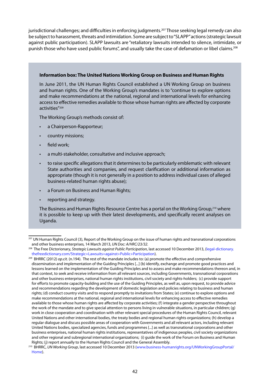jurisdictional challenges; and difficulties in enforcing judgments.<sup>207</sup> Those seeking legal remedy can also be subject to harassment, threats and intimidation. Some are subject to "SLAPP" actions (strategic lawsuit against public participation). SLAPP lawsuits are "retaliatory lawsuits intended to silence, intimidate, or punish those who have used public forums", and usually take the case of defamation or libel claims.<sup>208</sup>

#### **Information box: The United Nations Working Group on Business and Human Rights**

In June 2011, the UN Human Rights Council established a UN Working Group on business and human rights. One of the Working Group's mandates is to "continue to explore options and make recommendations at the national, regional and international levels for enhancing access to effective remedies available to those whose human rights are affected by corporate activities"209

The Working Group's methods consist of:

- a Chairperson-Rapporteur;
- country missions;
- field work;
- a multi-stakeholder, consultative and inclusive approach;
- to raise specific allegations that it determines to be particularly emblematic with relevant State authorities and companies, and request clarification or additional information as appropriate (though it is not generally in a position to address individual cases of alleged business-related human rights abuse);
- a Forum on Business and Human Rights;
- reporting and strategy.

The Business and Human Rights Resource Centre has a portal on the Working Group,210 where it is possible to keep up with their latest developments, and specifically recent analyses on Uganda.

<sup>&</sup>lt;sup>207</sup> UN Human Rights Council (3), Report of the Working Group on the issue of human rights and transnational corporations and other business enterprises, 14 March 2013, *UN Doc: A/HRC/23/32.*

<sup>208</sup> The Free Dictorionary, *Strategic Lawsuits against Public Participation*, last accessed 10 December 2013, (legal-dictionary. thefreedictionary.com/Strategic+Lawsuits+against+Public+Participation).

<sup>209</sup> BHRRC (2012) *op.cit.* (n.194). The rest of the mandate includes to: (a) promote the effective and comprehensive dissemination and implementation of the Guiding Principles [...] (b) identify, exchange and promote good practices and lessons learned on the implementation of the Guiding Principles and to assess and make recommendations thereon and, in that context, to seek and receive information from all relevant sources, including Governments, transnational corporations and other business enterprises, national human rights institutions, civil society and rights-holders; (c) provide support for efforts to promote capacity-building and the use of the Guiding Principles, as well as, upon request, to provide advice and recommendations regarding the development of domestic legislation and policies relating to business and human rights; (d) conduct country visits and to respond promptly to invitations from States; (e) continue to explore options and make recommendations at the national, regional and international levels for enhancing access to effective remedies available to those whose human rights are affected by corporate activities; (f) integrate a gender perspective throughout the work of the mandate and to give special attention to persons living in vulnerable situations, in particular children; (g) work in close cooperation and coordination with other relevant special procedures of the Human Rights Council, relevant United Nations and other international bodies, the treaty bodies and regional human rights organizations; (h) develop a regular dialogue and discuss possible areas of cooperation with Governments and all relevant actors, including relevant United Nations bodies, specialized agencies, funds and programmes [...] as well as transnational corporations and other business enterprises, national human rights institutions, representatives of indigenous peoples, civil society organizations and other regional and subregional international organizations; (i) guide the work of the Forum on Business and Human Rights; (j) report annually to the Human Rights Council and the General Assembly.

<sup>210</sup> BHRRC, *UN Working Group*, last accessed 10 December 2013 (www.business-humanrights.org/UNWorkingGroupPortal/ Home).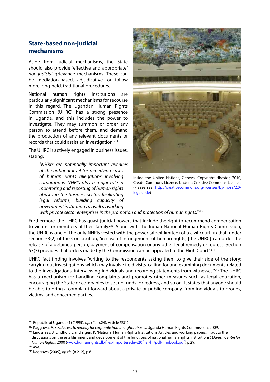## **State-based non-judicial mechanisms**

Aside from judicial mechanisms, the State should also provide "effective and appropriate" *non-judicial* grievance mechanisms. These can be mediation-based, adjudicative, or follow more long-held, traditional procedures.

National human rights institutions are particularly significant mechanisms for recourse in this regard. The Ugandan Human Rights Commission (UHRC) has a strong presence in Uganda, and this includes the power to investigate. They may summon or order any person to attend before them, and demand the production of any relevant documents or records that could assist an investigation.211

The UHRC is actively engaged in business issues, stating:

> *"NHRI's are potentially important avenues at the national level for remedying cases of human rights allegations involving corporations. NHRI's play a major role in monitoring and reporting of human rights abuses in the business sector, facilitating legal reforms, building capacity of government institutions as well as working*



Inside the United Nations, Geneva. Copyright Hhester, 2010, Create Commons Licence. Under a Creative Commons Licence. (Please see: http://creativecommons.org/licenses/by-nc-sa/2.0/ legalcode)

*with private sector enterprises in the promotion and protection of human rights."*<sup>212</sup>

Furthermore, the UHRC has quasi-judicial powers that include the right to recommend compensation to victims or members of their family.<sup>213</sup> Along with the Indian National Human Rights Commission, the UHRC is one of the only NHRIs vested with the power (albeit limited) of a civil court, in that, under section 53(2) of the Constitution, "in case of infringement of human rights, [the UHRC] can order the release of a detained person, payment of compensation or any other legal remedy or redress. Section 53(3) provides that orders made by the Commission can be appealed to the High Court."<sup>214</sup>

UHRC fact finding involves "writing to the respondents asking them to give their side of the story; carrying out investigations which may involve field visits, calling for and examining documents related to the investigations, interviewing individuals and recording statements from witnesses."<sup>215</sup> The UHRC has a mechanism for handling complaints and promotes other measures such as legal education, encouraging the State or companies to set up funds for redress, and so on. It states that anyone should be able to bring a complaint forward about a private or public company, from individuals to groups, victims, and concerned parties.

<sup>214</sup> *Ibid.*

<sup>211</sup> Republic of Uganda (1) (1995), *op. cit*. (n.24), Article 53(1).

<sup>212</sup> Kaggawa, M.S.K, *Access to remedy for corporate human rights abuses*, Uganda Human Rights Commission, 2009.

<sup>&</sup>lt;sup>213</sup> Lindsnaes, B, Lindholt, L and Yigen, K, "National Human Rights Institutions Articles and working papers: Input to the discussions on the establishment and development of the functions of national human rights institutions", *Danish Centre for Human Rights*, 2000 (www.humanrights.dk/files/Importerede%20filer/hr/pdf/nhribook.pdf) p.29.

<sup>215</sup> Kaggawa (2009), *op.cit.* (n.212), p.6.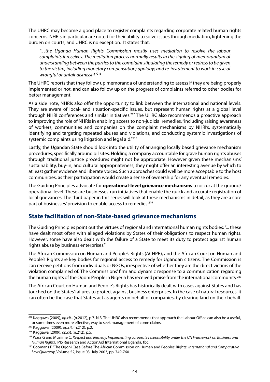The UHRC may become a good place to register complaints regarding corporate related human rights concerns. NHRIs in particular are noted for their ability to solve issues through mediation, lightening the burden on courts, and UHRC is no exception. It states that:

*"…the Uganda Human Rights Commission mostly uses mediation to resolve the labour complaints it receives. The mediation process normally results in the signing of memorandum of understanding between the parties to the complaint stipulating the remedy or redress to be given to the victim, including monetary compensation; apology; and re-instatement to work in case of wrongful or unfair dismissal."*<sup>216</sup>

The UHRC reports that they follow up memoranda of understanding to assess if they are being properly implemented or not, and can also follow up on the progress of complaints referred to other bodies for better management.

As a side note, NHRIs also offer the opportunity to link between the international and national levels. They are aware of local- and situation-specific issues, but represent human rights at a global level through NHRI conferences and similar initiatives.<sup>217</sup> The UHRC also recommends a proactive approach to improving the role of NHRIs in enabling access to non-judicial remedies, "including raising awareness of workers, communities and companies on the complaint mechanisms by NHRI's, systematically identifying and targeting repeated abuses and violations, and conducting systemic investigations of systemic complaints using litigation and legal aid."<sup>218</sup>

Lastly, the Ugandan State should look into the utility of arranging locally based grievance mechanism procedures, specifically around oil sites. Holding a company accountable for grave human rights abuses through traditional justice procedures might not be appropriate. However given these mechanisms' sustainability, buy-in, and cultural appropriateness, they might offer an interesting avenue by which to at least gather evidence and liberate voices. Such approaches could well be more acceptable to the host communities, as their participation would create a sense of ownership for any eventual remedies.

The Guiding Principles advocate for **operational-level grievance mechanisms** to occur at the ground/ operational level. These are businesses-run initiatives that enable the quick and accurate registration of local grievances. The third paper in this series will look at these mechanisms in detail, as they are a core part of businesses' provision to enable access to remedies.<sup>219</sup>

## **State facilitation of non-State-based grievance mechanisms**

The Guiding Principles point out the virtues of regional and international human rights bodies: "... these have dealt most often with alleged violations by States of their obligations to respect human rights. However, some have also dealt with the failure of a State to meet its duty to protect against human rights abuse by business enterprises."

The African Commission on Human and People's Rights (ACHPR), and the African Court on Human and People's Rights are key bodies for regional access to remedy for Ugandan citizens. The Commission is can receive petitions from individuals or NGOs, irrespective of whether they are the direct victims of the violation complained of. The Commissions' firm and dynamic response to a communication regarding the human rights of the Ogoni People in Nigeria has received praise from the international community.<sup>220</sup>

The African Court on Human and People's Rights has historically dealt with cases against States and has touched on the States' failures to protect against business enterprises. In the case of natural resources, it can often be the case that States act as agents on behalf of companies, by clearing land on their behalf.

<sup>216</sup> Kaggawa (2009), *op.cit.*, (n.2012), p.7. N.B. The UHRC also recommends that approach the Labour Office can also be a useful, or sometimes even more effective, way to seek management of come claims.

<sup>217</sup> Kaggawa (2009), *op.cit.* (n.212), p.2.

<sup>218</sup> Kaggawa (2009), *op.cit.* (n.212), p.5.

<sup>219</sup> Wass G and Musiime C, *Respect and Remedy: Implementing corporate responsibility under the UN Framework on Business and Human Rights*, IPIS Research and ActionAid International Uganda, tbc.

<sup>220</sup> Coomans F, 'The Ogoni Case Before The African Commission on Human and Peoples' Rights', *International and Comparative Law Quarterly*, Volume 52, Issue 03, July 2003, pp. 749-760.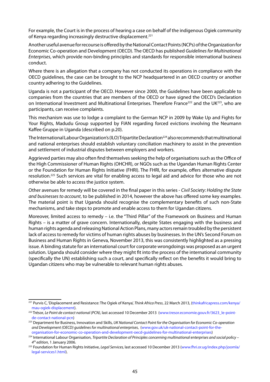For example, the Court is in the process of hearing a case on behalf of the indigenous Ogiek community of Kenya regarding increasingly destructive displacement.<sup>221</sup>

Another useful avenue for recourse is offered by the National Contact Points (NCPs) of the Organization for Economic Co-operation and Development (OECD). The OECD has published *Guidelines for Multinational Enterprises*, which provide non-binding principles and standards for responsible international business conduct.

Where there is an allegation that a company has not conducted its operations in compliance with the OECD guidelines, the case can be brought to the NCP headquartered in an OECD country or another country adhering to the Guidelines.

Uganda is not a participant of the OECD. However since 2000, the Guidelines have been applicable to companies from the countries that are members of the OECD or have signed the OECD's Declaration on International Investment and Multinational Enterprises. Therefore France<sup>222</sup> and the UK<sup>223</sup>, who are participants, can receive complaints.

This mechanism was use to lodge a complaint to the German NCP in 2009 by Wake Up and Fights for Your Rights, Madudu Group supported by FIAN regarding forced evictions involving the Neumann Kaffee Gruppe in Uganda (described on p.20).

The International Labour Organization's (ILO) Tripartite Declaration<sup>224</sup> also recommends that multinational and national enterprises should establish voluntary conciliation machinery to assist in the prevention and settlement of industrial disputes between employers and workers.

Aggrieved parties may also often find themselves seeking the help of organisations such as the Office of the High Commissioner of Human Rights (OHCHR), or NGOs such as the Ugandan Human Rights Center or the Foundation for Human Rights Initiative (FHRI). The FHRI, for example, offers alternative dispute resolution.<sup>225</sup> Such services are vital for enabling access to legal aid and advice for those who are not otherwise be able to access the justice system.

Other avenues for remedy will be covered in the final paper in this series - *Civil Society: Holding the State and businesses to account*, to be published in 2014, however the above has offered some key examples. The material point is that Uganda should recognise the complementary benefits of such non-State mechanisms, and take steps to promote and enable access to them for Ugandan citizens.

Moreover, limited access to remedy - i.e. the "Third Pillar" of the Framework on Business and Human Rights – is a matter of grave concern. Internationally, despite States engaging with the business and human rights agenda and releasing National Action Plans, many actors remain troubled by the persistent lack of access to remedy for victims of human rights abuses by businesses. In the UN's Second Forum on Business and Human Rights in Geneva, November 2013, this was consistently highlighted as a pressing issue. A binding statute for an international court for corporate wrongdoings was proposed as an urgent solution. Uganda should consider where they might fit into the process of the international community (specifically the UN) establishing such a court, and specifically reflect on the benefits it would bring to Ugandan citizens who may be vulnerable to relevant human rights abuses.

<sup>221</sup> Purvis C, 'Displacement and Resistance: The Ogiek of Kenya', *Think Africa Press*, 22 March 2013, (thinkafricapress.com/kenya/ mau-ogiek-displacement).

<sup>222</sup> Trésor, *Le Point de contact national (PCN)*, last accessed 10 December 2013 (www.tresor.economie.gouv.fr/3623\_le-pointde-contact-national-pcn)

<sup>223</sup> Department for Business, Innovation and Skills, *UK National Contact Point for the Organisation for Economic Co-operation and Development (OECD) guidelines for multinational enterprises*, (www.gov.uk/uk-national-contact-point-for-theorganisation-for-economic-co-operation-and-development-oecd-guidelines-for-multinational-enterprises)

<sup>224</sup> International Labour Organisation, *Tripartite Declaration of Principles concerning multinational enterprises and social policy –* 

*<sup>4</sup>th edition*, 1 January 2006. 225 Foundation for Human Rights Initiative, *Legal Services,* last accessed 10 December 2013 (www.fhri.or.ug/index.php/joomla/ legal-services1.html).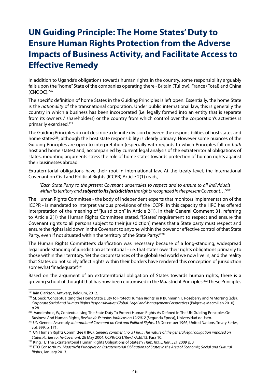## **UN Guiding Principle: The Home States' Duty to Ensure Human Rights Protection from the Adverse Impacts of Business Activity, and Facilitate Access to Effective Remedy**

In addition to Uganda's obligations towards human rights in the country, some responsibility arguably falls upon the "home" State of the companies operating there - Britain (Tullow), France (Total) and China (CNOOC).226

The specific definition of home States in the Guiding Principles is left open. Essentially, the home State is the *nationality* of the transnational corporation. Under public international law, this is generally the country in which a business has been incorporated (i.e. legally formed into an entity that is separate from its owners / shareholders) or the country from which control over the corporation's activities is primarily exercised.227

The Guiding Principles do not describe a definite division between the responsibilities of host states and home states<sup>228</sup>, although the host state responsibility is clearly primary. However some nuances of the Guiding Principles are open to interpretation (especially with regards to which Principles fall on *both* host and home states) and, accompanied by current legal analysis of the extraterritorial obligations of states, mounting arguments stress the role of home states towards protection of human rights against their businesses abroad.

Extraterritorial obligations have their root in international law. At the treaty level, the International Covenant on Civil and Political Rights (ICCPR) Article 2(1) reads,

*"Each State Party to the present Covenant undertakes to respect and to ensure to all individuals within its territory and subject to its jurisdiction the rights recognized in the present Covenant…"229*

The Human Rights Committee - the body of independent experts that monitors implementation of the ICCPR - is mandated to interpret various provisions of the ICCPR. In this capacity the HRC has offered interpretation of the meaning of "jurisdiction" in Article 2(1). In their General Comment 31, referring to Article 2(1) the Human Rights Committee stated, "[States' requirement to respect and ensure the Covenant rights to all persons subject to their jurisdiction] means that a State party must respect and ensure the rights laid down in the Covenant to anyone within the power or effective control of that State Party, even if not situated within the territory of the State Party."<sup>230</sup>

The Human Rights Committee's clarification was necessary because of a long-standing, widespread legal understanding of jurisdiction as territorial – i.e. that states owe their rights obligations primarily to those within their territory. Yet the circumstances of the globalised world we now live in, and the reality that States do not solely affect rights within their borders have rendered this conception of jurisdiction somewhat "inadequate".<sup>231</sup>

Based on the argument of an extraterritorial obligation of States towards human rights, there is a growing school of thought that has now been epitomised in the Maastricht Principles.<sup>232</sup> These Principles

<sup>&</sup>lt;sup>226</sup> Iain Clarkson, Antwerp, Belgium, 2012.<br><sup>227</sup> SL Seck, 'Conceptualizing the Home State Duty to Protect Human Rights' in K Buhmann, L Roseberry and M Morsing (eds), *Corporate Social and Human Rights Responsibilities: Global, Legal and Management Perspectives* (Palgrave Macmillan 2010). p.28.

<sup>&</sup>lt;sup>228</sup> Vandenhole, W, Contextualising The State Duty To Protect Human Rights As Defined In The UN Guiding Principles On Business And Human Rights, *Revista de Estudios Jurídicos no 12/2012* (Segunda Época), Universidad de Jaén.<br>UN General Assembly, *International Covenant on Civil and Political Rights*, 16 December 1966, United Nations, Tre

vol. 999, p. 171.

<sup>230</sup> UN Human Rights Committee (HRC), *General comment no. 31 [80], The nature of the general legal obligation imposed on States Parties to the Covenant*, 26 May 2004, CCPR/C/21/Rev.1/Add.13, Para 10.

<sup>231</sup> King, H, 'The Extraterritorial Human Rights Obligations of States' 9 *Hum. Rts. L. Rev*. 521 2009 p. 3

<sup>232</sup> ETO Consortium, *Maastricht Principles on Extraterritorial Obligations of States in the Area of Economic, Social and Cultural Rights*, January 2013.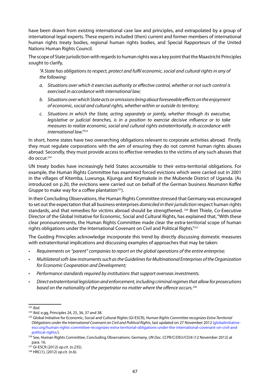have been drawn from existing international case law and principles, and extrapolated by a group of international legal experts. These experts included (then) current and former members of international human rights treaty bodies, regional human rights bodies, and Special Rapporteurs of the United Nations Human Rights Council.

The scope of State jurisdiction with regards to human rights was a key point that the Maastricht Principles sought to clarify,

*"A State has obligations to respect, protect and fulfil economic, social and cultural rights in any of the following:* 

- *a. Situations over which it exercises authority or effective control, whether or not such control is exercised in accordance with international law;*
- *b. Situations over which State acts or omissions bring about foreseeable effects on the enjoyment of economic, social and cultural rights, whether within or outside its territory;*
- *c. Situations in which the State, acting separately or jointly, whether through its executive, legislative or judicial branches, is in a position to exercise decisive influence or to take measures to realize economic, social and cultural rights extraterritorially, in accordance with international law."*<sup>233</sup>

In short, home states have two overarching obligations relevant to corporate activities abroad. Firstly, they must regulate corporations with the aim of ensuring they do not commit human rights abuses abroad. Secondly, they must provide access to effective remedies to the victims of any such abuses that do occur.234

UN treaty bodies have increasingly held States accountable to their extra-territorial obligations. For example, the Human Rights Committee has examined forced evictions which were carried out in 2001 in the villages of Kitemba, Luwunga, Kijunga and Kirymakole in the Mubende District of Uganda. (As introduced on p.20, the evictions were carried out on behalf of the German business *Neumann Kaffee Gruppe* to make way for a coffee plantation<sup>235</sup>).

In their Concluding Observations, the Human Rights Committee stressed that Germany was encouraged to set out the expectation that all business enterprises *domiciled in their jurisdiction* respect human rights standards, and that remedies for victims abroad should be strengthened. <sup>236</sup> Bret Thiele, Co-Executive Director of the Global Initiative for Economic, Social and Cultural Rights, has explained that, "With these clear pronouncements, the Human Rights Committee made clear the extra-territorial scope of human rights obligations under the International Covenant on Civil and Political Rights."<sup>237</sup>

The Guiding Principles acknowledge incorporate this trend by directly discussing domestic measures with extraterritorial implications and discussing examples of approaches that may be taken:

- Requirements on "parent" companies to report on the global operations of the entire enterprise;
- • *Multilateral soft-law instruments such as the Guidelines for Multinational Enterprises of the Organization for Economic Cooperation and Development;*
- Performance standards required by institutions that support overseas investments.
- • *Direct extraterritorial legislation and enforcement, including criminal regimes that allow for prosecutions based on the nationality of the perpetrator no matter where the offence occurs.*<sup>238</sup>

<sup>233</sup> *Ibid.*

<sup>&</sup>lt;sup>234</sup> *Ibid.* e.gg, Principles 24, 25, 36, 37 and 38.<br><sup>235</sup> Global Initiative for Economic, Social and Cultural Rights (GI-ESCR), *Human Rights Committee recognizes Extra-Territorial Obligations under the International Covenant on Civil and Political Rights*, last updated on 27 November 2012 (globalinitiativeescr.org/human-rights-committee-recognizes-extra-territorial-obligations-under-the-international-covenant-on-civil-andpolitical-rights/).

<sup>236</sup> See, Human Rights Committee, Concluding Observations: Germany, *UN Doc. CCPR/C/DEU/CO/6* (12 November 2012) at para. 16.

<sup>237</sup> GI-ESCR (2012) *op.cit*. (n.235). 238 HRC(1), (2012) *op.cit.* (n.6).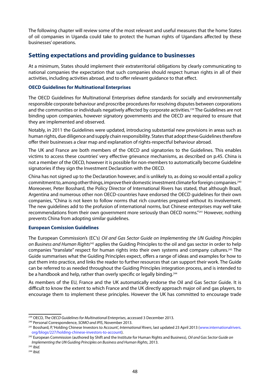The following chapter will review some of the most relevant and useful measures that the home States of oil companies in Uganda could take to protect the human rights of Ugandans affected by these businesses' operations.

## **Setting expectations and providing guidance to businesses**

At a minimum, States should implement their extraterritorial obligations by clearly communicating to national companies the expectation that such companies should respect human rights in all of their activities, including activities abroad, and to offer relevant guidance to that effect.

## **OECD Guidelines for Multinational Enterprises**

The OECD Guidelines for Multinational Enterprises define standards for socially and environmentally responsible corporate behaviour and proscribe procedures for resolving disputes between corporations and the communities or individuals negatively affected by corporate activities.<sup>239</sup> The Guidelines are not binding upon companies, however signatory governments and the OECD are required to ensure that they are implemented and observed.

Notably, in 2011 the Guidelines were updated, introducing substantial new provisions in areas such as human rights, due diligence and supply chain responsibility. States that adopt these Guidelines therefore offer their businesses a clear map and explanation of rights-respectful behaviour abroad.

The UK and France are both members of the OECD and signatories to the Guidelines. This enables victims to access these countries' very effective grievance mechanisms, as described on p.45. China is not a member of the OECD, however it is possible for non-members to automatically become Guideline signatories if they sign the Investment Declaration with the OECD.

China has not signed up to the Declaration however, and is unlikely to, as doing so would entail a policy commitment to, among other things, improve their domestic investment climate for foreign companies.<sup>240</sup> Moreoever, Peter Bosshard, the Policy Director of International Rivers has stated, that although Brazil, Argentina and numerous other non OECD-countries have endorsed the OECD guidelines for their own companies, "China is not keen to follow norms that rich countries prepared without its involvement. The new guidelines add to the profusion of international norms, but Chinese enterprises may well take recommendations from their own government more seriously than OECD norms."241 However, nothing prevents China from adopting similar guidelines.

## **European Comission Guidelines**

The European Commission's (EC's) *Oil and Gas Sector Guide on Implementing the UN Guiding Principles on Business and Human Rights*242 applies the Guiding Principles to the oil and gas sector in order to help companies "translate" respect for human rights into their own systems and company cultures.<sup>243</sup> The Guide summarises what the Guiding Principles expect, offers a range of ideas and examples for how to put them into practice, and links the reader to further resources that can support their work. The Guide can be referred to as needed throughout the Guiding Principles integration process, and is intended to be a handbook and help, rather than overly specific or legally binding.<sup>244</sup>

As members of the EU, France and the UK automatically endorse the Oil and Gas Sector Guide. It is difficult to know the extent to which France and the UK directly approach major oil and gas players, to encourage them to implement these principles. However the UK has committed to encourage trade

<sup>239</sup> OECD, *The OECD Guidelines for Multinational Enterprises*, accessed 3 December 2013.

<sup>&</sup>lt;sup>240</sup> Personal Correspondence, *SOMO and IPIS*, November 2013.<br><sup>241</sup> Bosshard, P, 'Holding Chinese Investors to Account', *International Rivers*, last updated 23 April 2013 (www.internationalrivers. org/blogs/227/holding-chinese-investors-to-account).

<sup>242</sup> European Commission (authored by Shift and the Institute for Human Rights and Business), *Oil and Gas Sector Guide on Implementing the UN Guiding Principles on Business and Human Rights*, 2013.

<sup>243</sup> *Ibid.*

<sup>244</sup> *Ibid.*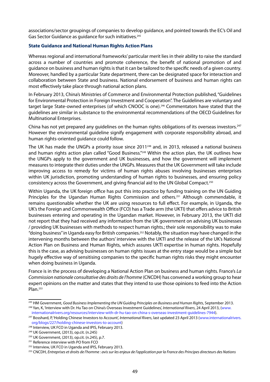associations/sector groupings of companies to develop guidance, and pointed towards the EC's Oil and Gas Sector Guidance as quidance for such initiatives.<sup>245</sup>

## **State Guidance and National Human Rights Action Plans**

Whereas regional and international frameworks' particular merit lies in their ability to raise the standard across a number of countries and promote coherence, the benefit of national promotion of and guidance on business and human rights is that it can be tailored to the specific needs of a given country. Moreover, handled by a particular State department, there can be designated space for interaction and collaboration between State and business. National endorsement of business and human rights can most effectively take place through national action plans.

In February 2013, China's Ministries of Commerce and Environmental Protection published, "Guidelines for Environmental Protection in Foreign Investment and Cooperation". The Guidelines are voluntary and target large State-owned enterprises (of which CNOOC is one).<sup>246</sup> Commentators have stated that the guidelines are similar in substance to the environmental recommendations of the OECD Guidelines for Multinational Enterprises.

China has not yet prepared any quidelines on the human rights obligations of its overseas investors.<sup>247</sup> However the environmental guideline signify engagement with corporate responsibility abroad, and human rights-oriented guidance could follow.

The UK has made the UNGPs a priority issue since 2011<sup>248</sup> and, in 2013, released a national business and human rights action plan called "Good Business."<sup>249</sup> Within the action plan, the UK outlines how the UNGPs apply to the government and UK businesses, and how the government will implement measures to integrate their duties under the UNGPs. Measures that the UK Government will take include improving access to remedy for victims of human rights abuses involving businesses enterprises within UK jurisdiction, promoting understanding of human rights to businesses, and ensuring policy consistency across the Government, and giving financial aid to the UN Global Compact.250

Within Uganda, the UK foreign office has put this into practice by funding training on the UN Guiding Principles for the Ugandan Human Rights Commission and others.<sup>251</sup> Although commendable, it remains questionable whether the UK are using resources to full effect. For example, in Uganda, the UK's the Foreign and Commonwealth Office (FCO) has a Trade arm (the UKTI) that offers advice to British businesses entering and operating in the Ugandan market. However, in February 2013, the UKTI did not report that they had received any information from the UK government on advising UK businesses / providing UK businesses with methods to respect human rights.; their sole responsibility was to make "doing business" in Uganda easy for British companies.252 Notably, the situation may have changed in the intervening months between the authors' interview with the UKTI and the release of the UK's National Action Plan on Business and Human Rights, which assures UKTI expertise in human rights. Hopefully this is the case, as advising businesses on human rights issues at the entry stage would be a simple but hugely effective way of sensitising companies to the specific human rights risks they might encounter when doing business in Uganda.

France is in the process of developing a National Action Plan on business and human rights. France's *La Commission nationale consultative des droits de l'homme* (CNCDH) has convened a working group to hear expert opinions on the matter and states that they intend to use those opinions to feed into the Action Plan.253

<sup>&</sup>lt;sup>245</sup> HM Government, *Good Business Implementing the UN Guiding Principles on Business and Human Rights*, September 2013. 246 Yan, K, 'Interview with Dr. Hu Tao on China's Overseas Investment Guidelines', *International Rivers*, 24 April 2013, (www.

internationalrivers.org/resources/interview-with-dr-hu-tao-on-china-s-overseas-investment-guidelines-7944).

<sup>247</sup> Bosshard, P, 'Holding Chinese Investors to Account', *International Rivers*, last updated 23 April 2013 (www.internationalrivers. org/blogs/227/holding-chinese-investors-to-account)

<sup>&</sup>lt;sup>248</sup> Interview, UK FCO in Uganda and IPIS, February 2013.

<sup>249</sup> UK Government, (2013), op.cit. (n.245)

 $250$  UK Government, (2013), op.cit. (n.245), p.7.<br> $251$  Reference interview with PO from FCO

<sup>252</sup> Interview, UK FCO in Uganda and IPIS, February 2013.

<sup>253</sup> CNCDH, *Entreprises et droits de l'homme : avis sur les enjeux de l'application par la France des Principes directeurs des Nations*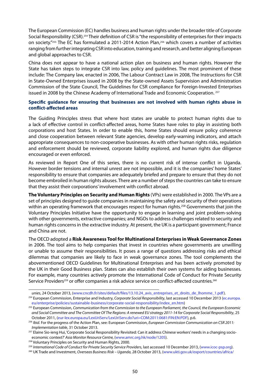The European Commission (EC) handles business and human rights under the broader title of Corporate Social Responsibility (CSR).254 Their definition of CSR is "the responsibility of enterprises for their impacts on society."255 The EC has formulated a 2011-2014 Action Plan,<sup>256</sup> which covers a number of activities ranging from further integrating CSR into education, training and research, and better aligning European and global approaches to CSR.

China does not appear to have a national action plan on business and human rights. However the State has taken steps to integrate CSR into law, policy and guidelines. The most prominent of these include: The Company law, enacted in 2006, The Labour Contract Law in 2008, The Instructions for CSR in State-Owned Enterprises issued in 2008 by the State-owned Assets Supervision and Administration Commission of the State Council, The Guidelines for CSR compliance for Foreign-Invested Enterprises issued in 2008 by the Chinese Academy of International Trade and Economic Cooperation. <sup>257</sup>

### **Specific guidance for ensuring that businesses are not involved with human rights abuse in conflict-affected areas**

The Guiding Principles stress that where host states are unable to protect human rights due to a lack of effective control in conflict-affected areas, home States have roles to play in assisting both corporations and host States. In order to enable this, home States should ensure policy coherence and close cooperation between relevant State agencies, develop early-warning indicators, and attach appropriate consequences to non-cooperative businesses. As with other human rights risks, regulation and enforcement should be reviewed, corporate liability explored, and human rights due diligence encouraged or even enforced.

As reviewed in Report One of this series, there is no current risk of intense conflict in Uganda. However border tensions and internal unrest are not impossible, and it is the companies' home States' responsibility to ensure that companies are adequately briefed and prepare to ensure that they do not become embroiled in human rights abuses. There are a number of steps the countries can take to ensure that they assist their corporations' involvement with conflict abroad.

**The Voluntary Principles on Security and Human Rights** (VPs) were established in 2000. The VPs are a set of principles designed to guide companies in maintaining the safety and security of their operations within an operating framework that encourages respect for human rights.<sup>258</sup> Governments that join the Voluntary Principles Initiative have the opportunity to engage in learning and joint problem-solving with other governments, extractive companies; and NGOs to address challenges related to security and human rights concerns in the extractive industry. At present, the UK is a participant government; France and China are not.

The OECD adopted a **Risk Awareness Tool for Multinational Enterprises in Weak Governance Zones** in 2006. The tool aims to help companies that invest in countries where governments are unwilling or unable to assume their responsibilities. It poses a range of questions addressing risks and ethical dilemmas that companies are likely to face in weak governance zones. The tool complements the abovementioned OECD Guidelines for Multinational Enterprises and has been actively promoted by the UK in their Good Business plan. States can also establish their own systems for aiding businesses. For example, many countries actively promote the International Code of Conduct for Private Security Service Providers<sup>259</sup> or offer companies a risk advice service on conflict-affected countries.<sup>260</sup>

unies, 24 October 2013, (www.cncdh.fr/sites/default/files/13.10.24\_avis\_entreprises\_et\_droits\_de\_lhomme\_1.pdf).

<sup>254</sup> European Commission, Enterprise and Industry, *Corporate Social Responsibility*, last accessed 10 December 2013 (ec.europa. eu/enterprise/policies/sustainable-business/corporate-social-responsibility/index\_en.htm)

<sup>255</sup> European Commission, *Communication from the Commission to the European Parliament, the Council, the European Economic and Social Committee and The Committee Of The Regions: A renewed EU strategy 2011-14 for Corporate Social Responsibility*, 25

October 2011, (eur-lex.europa.eu/LexUriServ/LexUriServ.do?uri=COM:2011:0681:FIN:EN:PDF), p.6.<br>256 *Ibid*. For the progress of the Action Plan, see: European Commission, *European Commission Communication on CSR 2011: Implementation table*, 31 October 2013.

<sup>257</sup> Elaine Sio-ieng Hui, 'Corporate Social Responsibility Revisited: Can it address Chinese workers' needs in a changing socioeconomic context?' *Asia Monitor Resource Centre,* (www.amrc.org.hk/node/1205).

<sup>&</sup>lt;sup>258</sup> Voluntary Principles on Security and Human Rights, 2000.

<sup>259</sup> *International Code of Conduct for Private Security Service Providers*, last accessed 10 December 2013, (www.icoc-psp.org).

<sup>260</sup> UK Trade and Investment, *Overseas Business Risk – Uganda,* 28 October 2013, (www.ukti.gov.uk/export/countries/africa/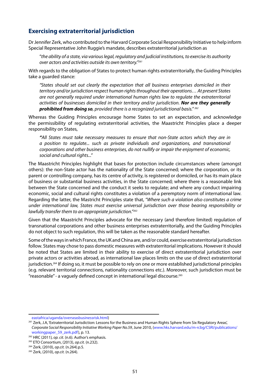## **Exercising extraterritorial jurisdiction**

Dr Jennifer Zerk, who contributed to the Harvard Corporate Social Responsibility Initiative to help inform Special Representative John Ruggie's mandate, describes extraterritorial jurisdiction as

"*the ability of a state, via various legal, regulatory and judicial institutions, to exercise its authority over actors and activities outside its own territory."261*

With regards to the obligation of States to protect human rights extraterritorially, the Guiding Principles take a guarded stance:

*"States should set out clearly the expectation that all business enterprises domiciled in their territory and/or jurisdiction respect human rights throughout their operations… At present States are not generally required under international human rights law to regulate the extraterritorial activities of businesses domiciled in their territory and/or jurisdiction. Nor are they generally prohibited from doing so, provided there is a recognized jurisdictional basis." <sup>262</sup>*

Whereas the Guiding Principles encourage home States to set an expectation, and acknowledge the permissibility of regulating extraterritorial activities, the Maastricht Principles place a deeper responsibility on States,

*"All States must take necessary measures to ensure that non-State actors which they are in a position to regulate... such as private individuals and organizations, and transnational corporations and other business enterprises, do not nullify or impair the enjoyment of economic, social and cultural rights..."* 

The Maastricht Principles highlight that bases for protection include circumstances where (amongst others): the non-State actor has the nationality of the State concerned; where the corporation, or its parent or controlling company, has its centre of activity, is registered or domiciled, or has its main place of business or substantial business activities, in the State concerned; where there is a reasonable link between the State concerned and the conduct it seeks to regulate; and where any conduct impairing economic, social and cultural rights constitutes a violation of a peremptory norm of international law. Regarding the latter, the Mastricht Principles state that, *"Where such a violation also constitutes a crime under international law, States must exercise universal jurisdiction over those bearing responsibility or lawfully transfer them to an appropriate jurisdiction."263*

Given that the Maastricht Principles advocate for the necessary (and therefore limited) regulation of transnational corporations and other business enterprises extraterritorially, and the Guiding Principles do not object to such regulation, this will be taken as the reasonable standard hereafter.

Some of the ways in which France, the UK and China are, and/or could, exercise extraterritorial jurisdiction follow. States may chose to pass domestic measures with extraterritorial implications. However it should be noted that States are limited in their ability to exercise of direct extraterritorial jurisdiction over private actors or activities abroad, as international law places limits on the use of direct extraterritorial jurisdiction.<sup>264</sup> If doing so, it must be possible to rely on one or more established jurisdictional principles (e.g. relevant territorial connections, nationality connections etc.). Moreover, such jurisdiction must be "reasonable" - a vaguely defined concept in international legal discourse.265

eastafrica/uganda/overseasbusinessrisk.html)

<sup>&</sup>lt;sup>261</sup> Zerk, J.A, 'Extraterritorial Jurisdiction: Lessons for the Business and Human Rights Sphere from Six Regulatory Areas', *Corporate Social Responsibility Initiative Working Paper No.59*, June 2010, (www.hks.harvard.edu/m-rcbg/CSRI/publications/ workingpaper\_59\_zerk.pdf), p. 13.

<sup>&</sup>lt;sup>262</sup> HRC (2011)*, op. cit*. (n.6). Author's emphasis.<br><sup>263</sup> ETO Consortium, (2013), *op.cit*. (n.232).<br><sup>264</sup> Zerk, (2010), *op.cit*. (n.264).<br><sup>265</sup> Zerk, (2010), *op.cit*. (n.264).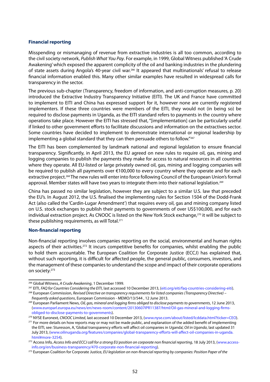#### **Financial reporting**

Misspending or mismanaging of revenue from extractive industries is all too common, according to the civil society network, *Publish What You Pay*. For example, in 1999, Global Witness published 'A Crude Awakening' which exposed the apparent complicity of the oil and banking industries in the plundering of state assets during Angola's 40-year civil war.266 It appeared that multinationals' refusal to release financial information enabled this. Many other similar examples have resulted in widespread calls for transparency in the sector.

The previous sub-chapter (Transparency, freedom of information, and anti-corruption measures, p. 20) introduced the Extractive Industry Transparency Initiative (EITI). The UK and France have committed to implement to EITI and China has expressed support for it, however none are currently registered implementers. If these three countries were members of the EITI, they would not (in being so) be required to disclose payments in Uganda, as the EITI standard refers to payments in the country where operations take place. However the EITI has stressed that, "[implementation] can be particularly useful if linked to other government efforts to facilitate discussions and information on the extractives sector. Some countries have decided to implement to demonstrate international or regional leadership by implementing a global standard that they can then persuade others to follow."267

The EITI has been complemented by landmark national and regional legislation to ensure financial transparency. Significantly, in April 2013, the EU agreed on new rules to require oil, gas, mining and logging companies to publish the payments they make for access to natural resources in all countries where they operate. All EU-listed or large privately owned oil, gas, mining and logging companies will be required to publish all payments over €100,000 to every country where they operate and for each extractive project.268 The new rules will enter into force following Council of the European Union's formal approval. Member states will have two years to integrate them into their national legislation.269

China has passed no similar legislation, however they are subject to a similar U.S. law that preceded the EU's. In August 2012, the U.S. finalised the implementing rules for Section 1504 of the Dodd-Frank Act (also called the 'Cardin-Lugar Amendment') that requires every oil, gas and mining company listed on U.S. stock exchanges to publish their payments to governments of over US\$100,000, and for each individual extraction project. As CNOOC is listed on the New York Stock exchange,270 it will be subject to these publishing requirements, as will Total.271

#### **Non-financial reporting**

Non-financial reporting involves companies reporting on the social, environmental and human rights aspects of their activities.<sup>272</sup> It incurs competitive benefits for companies, whilst enabling the public to hold them accountable. The European Coalition for Corporate Justice (ECCJ) has explained that, without such reporting, it is difficult for affected people, the general public, consumers, investors, and the management of these companies to understand the scope and impact of their corporate operations on society.<sup>273</sup>

<sup>266</sup> Global Witness, *A Crude Awakening*, 1 December 1999.

<sup>267</sup> EITI, *FAQ for Countries Considering the EITI*, last accessed 10 December 2013, (eiti.org/eiti/faq-countries-considering-eiti).

<sup>268</sup> European Commission, *Revised Directive on transparency requirements for listed companies (Transparency Directive) – frequently asked questions*, European Commission - MEMO/13/544 , 12 June 2013. 269 European Parliament News, *Oil, gas, mineral and logging firms obliged to disclose payments to governments*, 12 June 2013,

<sup>(</sup>www.europarl.europa.eu/news/en/news-room/content/20130607IPR11387/html/Oil-gas-mineral-and-logging-firmsobliged-to-disclose-payments-to-governments).

<sup>270</sup> NYSE Euronext*, CNOOC Limited*, last accessed 10 December 2013, (www.nyse.com/about/listed/lcddata.html?ticker=CEO).

<sup>&</sup>lt;sup>271</sup> For more details on how reports may or may not be made public, and explanation of the added benefit of implementing the EITI, see: Sturesson, A, 'Global transparency efforts will affect oil companies in Uganda', *Oil in Uganda*, last updated 31 July 2013, (www.oilinuganda.org/features/companies/global-transparency-efforts-will-affect-oil-companies-in-uganda. html#more-3254).

<sup>&</sup>lt;sup>272</sup> Access Info, Access Info and ECCJ call for a strong EU position on corporate non financial reporting, 18 July 2013, (www.accessinfo.org/en/business-transparency/470-corporate-non-financial-reporting).

<sup>273</sup> European Coalition for Corporate Justice, *EU legislation on non-financial reporting by companies: Position Paper of the*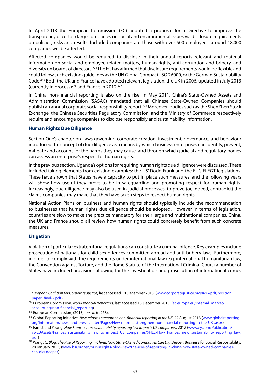In April 2013 the European Commission (EC) adopted a proposal for a Directive to improve the transparency of certain large companies on social and environmental issues via disclosure requirements on policies, risks and results. Included companies are those with over 500 employees: around 18,000 companies will be affected.

Affected companies would be required to disclose in their annual reports relevant and material information on social and employee-related matters, human rights, anti-corruption and bribery, and diversity on boards of directors.274 The EC has affirmed that disclosure requirements would be flexible and could follow such existing guidelines as the UN Global Compact, ISO 26000, or the German Sustainability Code.275 Both the UK and France have adopted relevant legislation; the UK in 2006, updated in July 2013 (currently in process)<sup>276</sup> and France in 2012.<sup>277</sup>

In China, non-financial reporting is also on the rise. In May 2011, China's State-Owned Assets and Administration Commission (SASAC) mandated that all Chinese State-Owned Companies should publish an annual corporate social responsibility report.<sup>278</sup> Moreover, bodies such as the ShenZhen Stock Exchange, the Chinese Securities Regulatory Commission, and the Ministry of Commerce respectively require and encourage companies to disclose responsibly and sustainability information.

#### **Human Rights Due Diligence**

Section One's chapter on Laws governing corporate creation, investment, governance, and behaviour introduced the concept of due diligence as a means by which business enterprises can identify, prevent, mitigate and account for the harms they may cause, and through which judicial and regulatory bodies can assess an enterprise's respect for human rights.

In the previous section, Uganda's options for requiring human rights due diligence were discussed. These included taking elements from existing examples: the US' Dodd Frank and the EU's FLEGT legislations. These have shown that States have a capacity to put in place such measures, and the following years will show how useful they prove to be in safeguarding and promoting respect for human rights. Increasingly, due diligence may also be used in judicial processes, to prove (or, indeed, contradict) the claims companies' may make that they have taken steps to respect human rights.

National Action Plans on business and human rights should typically include the recommendation to businesses that human rights due diligence should be adopted. However in terms of legislation, countries are slow to make the practice mandatory for their large and multinational companies. China, the UK and France should all review how human rights could concretely benefit from such concrete measures.

## **Litigation**

Violation of particular extraterritorial regulations can constitute a criminal offence. Key examples include prosecution of nationals for child sex offences committed abroad and anti-bribery laws. Furthermore, in order to comply with the requirements under international law (e.g. international humanitarian law, the Convention against Torture, and the Rome Statute of the International Criminal Court) a number of States have included provisions allowing for the investigation and prosecution of international crimes

*European Coalition for Corporate Justice*, last accessed 10 December 2013, (www.corporatejustice.org/IMG/pdf/position\_ paper\_final-2.pdf).

<sup>274</sup> European Commission, *Non-Financial Reporting*, last accessed 15 December 2013, (ec.europa.eu/internal\_market/ accounting/non-financial\_reporting)

<sup>275</sup> European Commission, (2013), *op.cit.* (n.268).

<sup>276</sup> Global Reporting Initiative, *New reforms strengthen non-financial reporting in the UK*, 22 August 2013 (www.globalreporting. org/information/news-and-press-center/Pages/New-reforms-strengthen-non-financial-reporting-in-the-UK-.aspx)

<sup>277</sup> Earnst and Young, *How France's new sustainability reporting law impacts US companies*, 2012 (www.ey.com/Publication/ vwLUAssets/Frances\_sustainability\_law\_to\_impact\_US\_companies/\$FILE/How\_Frances\_new\_sustainability\_reporting\_law. pdf)

<sup>278</sup> Wang**,** C, *Blog: The Rise of Reporting in China: How State-Owned Companies Can Dig Deeper*, Business for Social Responsibility, 28 January 2013, (www.bsr.org/en/our-insights/blog-view/the-rise-of-reporting-in-china-how-state-owned-companiescan-dig-deeper).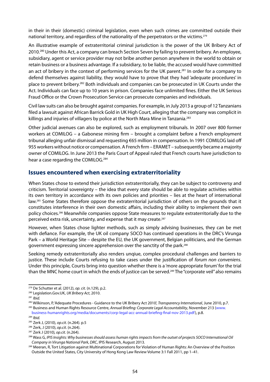in their in their (domestic) criminal legislation, even when such crimes are committed outside their national territory, and regardless of the nationality of the perpetrators or the victims.<sup>279</sup>

An illustrative example of extraterritorial criminal jurisdiction is the power of the UK Bribery Act of 2010.280 Under this Act, a company can breach Section Seven by failing to prevent bribery. An employee, subsidiary, agent or service provider may not bribe another person anywhere in the world to obtain or retain business or a business advantage. If a subsidiary, to be liable, the accused would have committed an act of bribery in the context of performing services for the UK parent.<sup>281</sup> In order for a company to defend themselves against liability, they would have to prove that they had 'adequate procedures' in place to prevent bribery.282 Both individuals and companies can be prosecuted in UK Courts under the Act. Individuals can face up to 10 years in prison. Companies face unlimited fines. Either the UK Serious Fraud Office or the Crown Prosecution Service can prosecute companies and individuals.

Civil law suits can also be brought against companies. For example, in July 2013 a group of 12 Tanzanians filed a lawsuit against African Barrick Gold in UK High Court, alleging that the company was complicit in killings and injuries of villagers by police at the North Mara Mine in Tanzania.<sup>283</sup>

Other judicial avenues can also be explored, such as employment tribunals. In 2007 over 800 former workers at COMILOG – a Gabonese mining firm – brought a complaint before a French employment tribunal alleging unfair dismissal and requesting €65 million in compensation. In 1991 COMILOG laid off 955 workers without notice or compensation. A French firm – ERAMET – subsequently became a majority owner of COMILOG. In June 2013 the Paris Court of Appeal ruled that French courts have jurisdiction to hear a case regarding the COMILOG.284

## **Issues encountered when exercising extraterritoriality**

When States chose to extend their jurisdiction extraterritorially, they can be subject to controversy and criticism. Territorial sovereignty – the idea that every state should be able to regulate activities within its own territory in accordance with its own policies and priorities – lies at the heart of international law.285 Some States therefore oppose the extraterritorial jurisdiction of others on the grounds that it constitutes interference in their own domestic affairs, including their ability to implement their own policy choices.286 Meanwhile companies oppose State measures to regulate extraterritorially due to the perceived extra risk, uncertainty, and expense that it may create.287

However, when States chose lighter methods, such as simply advising businesses, they can be met with defiance. For example, the UK oil company SOCO has continued operations in the DRC's Virunga Park – a World Heritage Site – despite the EU, the UK government, Belgian politicians, and the German government expressing sincere apprehension over the sanctity of the park.288

Seeking remedy extraterritorially also renders unqiue, complex procedural challenges and barriers to justice. These include Courts refusing to take cases under the justification of *forum non conveniens*. Under this principle, Courts bring into question whether there is a 'more appropriate forum' for the trial than the MNC home court in which the ends of justice can be served.289 The "corporate veil" also remains

<sup>279</sup> De Schutter et al. (2012), *op. cit.* (n.129), p.2.

<sup>280</sup> Legislation.Gov.UK, *UK Bribery Act*, 2010.

<sup>281</sup> *Ibid.*

<sup>282</sup> Wilkinson, P, 'Adequate Procedures - Guidance to the UK Bribery Act 2010', *Transparency International*, June 2010, p.7.

<sup>283</sup> Business and Human Rights Resource Centre, *Annual Briefing: Corporate Legal Accountability*, November 213 (www. business-humanrights.org/media/documents/corp-legal-acc-annual-briefing-final-nov-2013.pdf), p.8.

<sup>284</sup> *Ibid.*

<sup>285</sup> Zerk J, (2010), *op.cit*. (n.264). p.5 286 Zerk, J (2010), *op.cit*. (n.264).

<sup>287</sup> Zerk J (2010)*, op.cit*. (n.264).

<sup>288</sup> Wass G, *IPIS Insights: Why businesses should assess human rights impacts from the outset of projects SOCO International Oil Company in Virunga National Park, DRC*, IPIS Research, August 2013.

<sup>289</sup> Meeran, R, Tort Litigation against Multinational Corporations for Violation of Human Rights: An Overview of the Position Outside the United States, City University of Hong Kong Law Review Volume 3:1 Fall 2011, pp 1–41.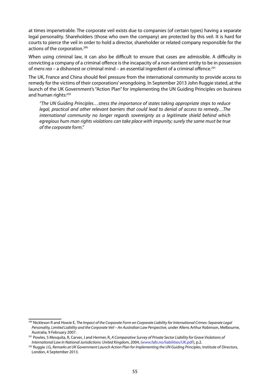at times impenetrable. The corporate veil exists due to companies (of certain types) having a separate legal personality. Shareholders (those who own the company) are protected by this veil. It is hard for courts to pierce the veil in order to hold a director, shareholder or related company responsible for the actions of the corporation.<sup>290</sup>

When using criminal law, it can also be difficult to ensure that cases are admissible. A difficulty in convicting a company of a criminal offence is the incapacity of a non-sentient entity to be in possession of *mens rea* – a dishonest or criminal mind – an essential ingredient of a criminal offence.291

The UK, France and China should feel pressure from the international community to provide access to remedy for the victims of their corporations' wrongdoing. In September 2013 John Ruggie stated, at the launch of the UK Government's "Action Plan" for implementing the UN Guiding Principles on business and human rights:<sup>292</sup>

*"The UN Guiding Principles…stress the importance of states taking appropriate steps to reduce legal, practical and other relevant barriers that could lead to denial of access to remedy…The international community no longer regards sovereignty as a legitimate shield behind which egregious hum man rights violations can take place with impunity; surely the same must be true of the corporate form."*

<sup>290</sup> Nickleson R and Howie E, *The Impact of the Corporate Form on Corporate Liability for International Crimes: Separate Legal Personality, Limited Liability and the Corporate Veil – An Australian Law Perspective*, under Allens Arthur Robinson, Melbourne, Australia, 9 February 2007.

<sup>291</sup> Powles, S Mesquita, R, Carver, J and Hermer, R, *A Comparative Survey of Private Sector Liability for Grave Violations of*  International Law in National Jurisdictions: United Kingdom, 2004, (www.fafo.no/liabilities/UK.pdf), p.2.<br><sup>292</sup> Ruggie J.G, Remarks at UK Government Launch Action Plan for Implementing the UN Guiding Principles, Institute

London, 4 September 2013.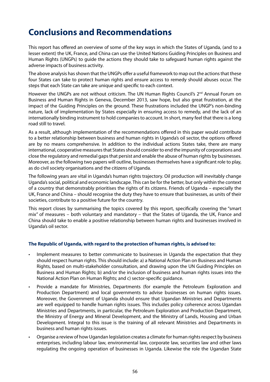## **Conclusions and Recommendations**

This report has offered an overview of some of the key ways in which the States of Uganda, (and to a lesser extent) the UK, France, and China can use the United Nations Guiding Principles on Business and Human Rights (UNGPs) to guide the actions they should take to safeguard human rights against the adverse impacts of business activity.

The above analysis has shown that the UNGPs offer a useful framework to map out the actions that these four States can take to protect human rights and ensure access to remedy should abuses occur. The steps that each State can take are unique and specific to each context.

However the UNGPs are not without criticism. The UN Human Rights Council's 2<sup>nd</sup> Annual Forum on Business and Human Rights in Geneva, December 2013, saw hope, but also great frustration, at the impact of the Guiding Principles on the ground. These frustrations included the UNGP's non-binding nature, lack of implementation by States especially in ensuring access to remedy, and the lack of an internationally binding instrument to hold companies to account. In short, many feel that there is a long road still to travel.

As a result, although implementation of the recommendations offered in this paper would contribute to a better relationship between business and human rights in Uganda's oil sector, the options offered are by no means comprehensive. In addition to the individual actions States take, there are many international, cooperative measures that States should consider to end the impunity of corporations and close the regulatory and remedial gaps that persist and enable the abuse of human rights by businesses. Moreover, as the following two papers will outline, businesses themselves have a significant role to play, as do civil society organisations and the citizens of Uganda.

The following years are vital in Uganda's human rights trajectory. Oil production will inevitably change Uganda's social, political and economic landscape. This can be for the better, but only within the context of a country that demonstrably prioritises the rights of its citizens. Friends of Uganda – especially the UK, France and China – should recognise the duty they have to ensure that businesses, as units of their societies, contribute to a positive future for the country.

This report closes by summarising the topics covered by this report, specifically covering the "smart mix" of measures – both voluntary and mandatory – that the States of Uganda, the UK, France and China should take to enable a positive relationship between human rights and businesses involved in Uganda's oil sector.

## **The Republic of Uganda, with regard to the protection of human rights, is advised to:**

- Implement measures to better communicate to businesses in Uganda the expectation that they should respect human rights. This should include: a) a National Action Plan on Business and Human Rights, based on multi-stakeholder consultation, and drawing upon the UN Guiding Principles on Business and Human Rights; b) and/or the inclusion of business and human rights issues into the National Action Plan on Human Rights; and c) sector-specific guidance.
- Provide a mandate for Ministries, Departments (for example the Petroleum Exploration and Production Department) and local governments to advise businesses on human rights issues. Moreover, the Government of Uganda should ensure that Ugandan Ministries and Departments are well equipped to handle human rights issues. This includes policy coherence across Ugandan Ministries and Departments, in particular, the Petroleum Exploration and Production Department, the Ministry of Energy and Mineral Development, and the Ministry of Lands, Housing and Urban Development. Integral to this issue is the training of all relevant Ministries and Departments in business and human rights issues.
- Organise a review of how Ugandan legislation creates a climate for human rights respect by business enterprises, including labour law, environmental law, corporate law, securities law and other laws regulating the ongoing operation of businesses in Uganda. Likewise the role the Ugandan State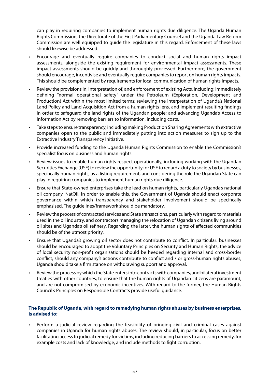can play in requiring companies to implement human rights due diligence. The Uganda Human Rights Commission, the Directorate of the First Parliamentary Counsel and the Uganda Law Reform Commission are well equipped to guide the legislature in this regard. Enforcement of these laws should likewise be addressed.

- Encourage and eventually require companies to conduct social and human rights impact assessments, alongside the existing requirement for environmental impact assessments. These impact assessments should be quickly and thoroughly processed. Furthermore, the government should encourage, incentivise and eventually require companies to report on human rights impacts. This should be complemented by requirements for local communication of human rights impacts.
- Review the provisions in, interpretation of, and enforcement of existing Acts, including: immediately defining "normal operational safety" under the Petroleum (Exploration, Development and Production) Act within the most limited terms; reviewing the interpretation of Uganda's National Land Policy and Land Acquisition Act from a human rights lens, and implement resulting findings in order to safeguard the land rights of the Ugandan people; and advancing Uganda's Access to Information Act by removing barriers to information, including costs.
- Take steps to ensure transparency, including making Production Sharing Agreements with extractive companies open to the public and immediately putting into action measures to sign up to the Extractive Industry Transparency Initiative.
- Provide increased funding to the Uganda Human Rights Commission to enable the Commission's specialist focus on business and human rights.
- Review issues to enable human rights respect operationally, including working with the Ugandan Securities Exchange (USE) to review the opportunity for USE to regard a duty to society by businesses, specifically human rights, as a listing requirement, and considering the role the Ugandan State can play in requiring companies to implement human rights due diligence.
- Ensure that State-owned enterprises take the lead on human rights, particularly Uganda's national oil company, NatOil. In order to enable this, the Government of Uganda should enact corporate governance within which transparency and stakeholder involvement should be specifically emphasised. The guidelines/framework should be mandatory.
- Review the process of contracted services and State transactions, particularly with regard to materials used in the oil industry, and contractors managing the relocation of Ugandan citizens living around oil sites and Uganda's oil refinery. Regarding the latter, the human rights of affected communities should be of the utmost priority.
- Ensure that Uganda's growing oil sector does not contribute to conflict. In particular: businesses should be encouraged to adopt the Voluntary Principles on Security and Human Rights; the advice of local security non-profit organisations should be heeded regarding internal and cross-border conflict; should any company's actions contribute to conflict and / or gross-human rights abuses, Uganda should take a firm stance on withdrawing support and approval.
- Review the process by which the State enters into contracts with companies, and bilateral investment treaties with other countries, to ensure that the human rights of Ugandan citizens are paramount, and are not compromised by economic incentives. With regard to the former, the Human Rights Council's Principles on Responsible Contracts provide useful guidance.

## **The Republic of Uganda, with regard to remedying human rights abuses by business enterprises, is advised to:**

Perform a judicial review regarding the feasibility of bringing civil and criminal cases against companies in Uganda for human rights abuses. The review should, in particular, focus on better facilitating access to judicial remedy for victims, including reducing barriers to accessing remedy, for example costs and lack of knowledge, and include methods to fight corruption.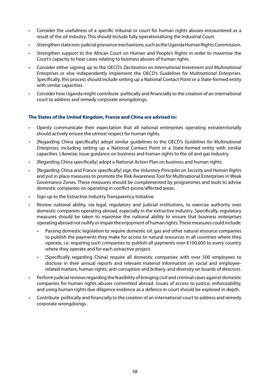- • Consider the usefulness of a specific tribunal or court for human rights abuses encountered as a result of the oil industry. This should include fully operationalising the Industrial Court.
- Strengthen state non-judicial grievance mechanisms, such as the Uganda Human Rights Commission.
- Strengthen support to the African Court on Human and People's Rights in order to maximise the Court's capacity to hear cases relating to business abuses of human rights.
- Consider either signing up to the OECD's *Declaration on International Investment and Multinational Enterprises* or else independently implement the OECD's *Guidelines for Multinational Enterprises.*  Specifically, this process should include setting up a National Contact Point or a State-formed entity with similar capacities.
- Consider how Uganda might contribute politically and financially to the creation of an international court to address and remedy corporate wrongdoings.

## **The States of the United Kingdom, France and China are advised to:**

- Openly communicate their expectation that all national enterprises operating extraterritorially should actively ensure the utmost respect for human rights.
- [Regarding China specifically] adopt similar guidelines to the OECD's *Guidelines for Multinational Enterprises,* including setting up a National Contact Point or a State-formed entity with similar capacities. Likewise, issue guidance on business and human rights to the oil and gas industry.
- [Regarding China specifically] adopt a National Action Plan on business and human rights.
- [Regarding China and France specifically] sign the *Voluntary Principles on Security and Human Rights* and put in place measures to promote the Risk Awareness Tool for Multinational Enterprises in Weak Governance Zones. These measures should be complemented by programmes and tools to advise domestic companies on operating in conflict-prone/affected areas.
- Sign up to the Extractive Industry Transparency Initiative.
- Review national ability, via legal, regulatory and judicial institutions, to exercise authority over domestic companies operating abroad, especially in the extractive industry. Specifically, regulatory measures should be taken to maximise the national ability to ensure that business enterprises operating abroad not nullify or impair the enjoyment of human rights. These measures could include:
	- Passing domestic legislation to require domestic oil, gas and other natural resource companies to publish the payments they make for access to natural resources in all countries where they operate, i.e. requiring such companies to publish all payments over €100,000 to every country where they operate and for each extractive project.
	- [Specifically regarding China] require all domestic companies with over 500 employees to disclose in their annual reports and relevant material information on social and employeerelated matters, human rights, anti-corruption and bribery, and diversity on boards of directors.
- Perform judicial reviews regarding the feasibility of bringing civil and criminal cases against domestic companies for human rights abuses committed abroad. Issues of access to justice, enforceability, and using human rights due diligence evidence as a defence in court should be explored in depth.
- Contribute politically and financially to the creation of an international court to address and remedy corporate wrongdoings .